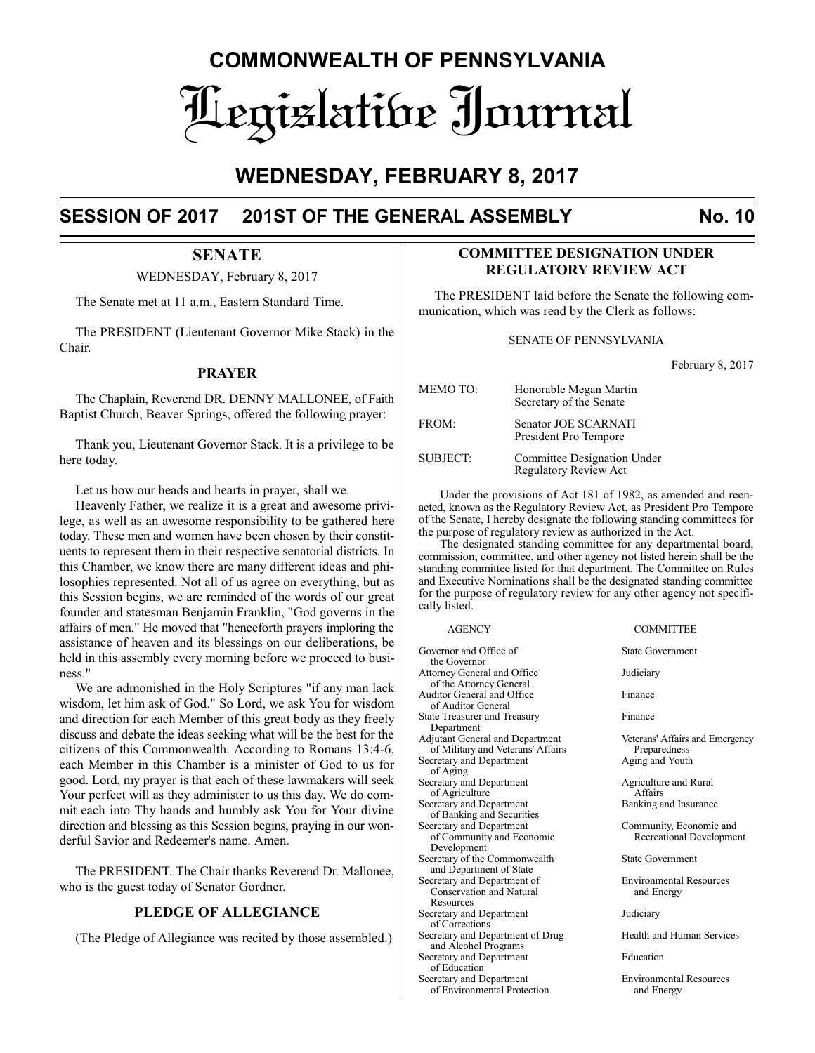# **COMMONWEALTH OF PENNSYLVANIA** Legislative Journal

# **WEDNESDAY, FEBRUARY 8, 2017**

# **SESSION OF 2017 201ST OF THE GENERAL ASSEMBLY No. 10**

## **SENATE**

WEDNESDAY, February 8, 2017

The Senate met at 11 a.m., Eastern Standard Time.

The PRESIDENT (Lieutenant Governor Mike Stack) in the Chair.

#### **PRAYER**

The Chaplain, Reverend DR. DENNY MALLONEE, of Faith Baptist Church, Beaver Springs, offered the following prayer:

Thank you, Lieutenant Governor Stack. It is a privilege to be here today.

Let us bow our heads and hearts in prayer, shall we.

Heavenly Father, we realize it is a great and awesome privilege, as well as an awesome responsibility to be gathered here today. These men and women have been chosen by their constituents to represent them in their respective senatorial districts. In this Chamber, we know there are many different ideas and philosophies represented. Not all of us agree on everything, but as this Session begins, we are reminded of the words of our great founder and statesman Benjamin Franklin, "God governs in the affairs of men." He moved that "henceforth prayers imploring the assistance of heaven and its blessings on our deliberations, be held in this assembly every morning before we proceed to business."

We are admonished in the Holy Scriptures "if any man lack wisdom, let him ask of God." So Lord, we ask You for wisdom and direction for each Member of this great body as they freely discuss and debate the ideas seeking what will be the best for the citizens of this Commonwealth. According to Romans 13:4-6, each Member in this Chamber is a minister of God to us for good. Lord, my prayer is that each of these lawmakers will seek Your perfect will as they administer to us this day. We do commit each into Thy hands and humbly ask You for Your divine direction and blessing as this Session begins, praying in our wonderful Savior and Redeemer's name. Amen.

The PRESIDENT. The Chair thanks Reverend Dr. Mallonee, who is the guest today of Senator Gordner.

#### **PLEDGE OF ALLEGIANCE**

(The Pledge of Allegiance was recited by those assembled.)

### **COMMITTEE DESIGNATION UNDER REGULATORY REVIEW ACT**

The PRESIDENT laid before the Senate the following communication, which was read by the Clerk as follows:

#### SENATE OF PENNSYLVANIA

February 8, 2017

| <b>MEMOTO:</b>  | Honorable Megan Martin<br>Secretary of the Senate    |
|-----------------|------------------------------------------------------|
| FROM:           | Senator JOE SCARNATI<br>President Pro Tempore        |
| <b>SUBJECT:</b> | Committee Designation Under<br>Regulatory Review Act |

Under the provisions of Act 181 of 1982, as amended and reenacted, known as the Regulatory Review Act, as President Pro Tempore of the Senate, I hereby designate the following standing committees for the purpose of regulatory review as authorized in the Act.

The designated standing committee for any departmental board, commission, committee, and other agency not listed herein shall be the standing committee listed for that department. The Committee on Rules and Executive Nominations shall be the designated standing committee for the purpose of regulatory review for any other agency not specifically listed.

Governor and Office of State Government the Governor Attorney General and Office Judiciary of the Attorney General Auditor General and Office Finance of Auditor General State Treasurer and Treasury Finance Department Adjutant General and Department Veterans' Affairs and Emergency of Military and Veterans' Affairs Preparedness<br>
Preparedness<br>
Aging and Youth Secretary and Department of Aging Secretary and Department Agriculture and Rural<br>of Agriculture Affairs of Agriculture **Affairs**<br>
Sanking and Insurance<br>
Ranking and Insurance Secretary and Department of Banking and Securities of Community and Economic Recreational Development Development Secretary of the Commonwealth State Government and Department of State Secretary and Department of Environmental Resources<br>
Conservation and Natural and Energy Conservation and Natural **Resources** Secretary and Department Judiciary of Corrections Secretary and Department of Drug Health and Human Services and Alcohol Programs Secretary and Department Education of Education Secretary and Department **Environmental Resources**<br>of Environmental Protection and Energy of Environmental Protection

#### AGENCY COMMITTEE

Community, Economic and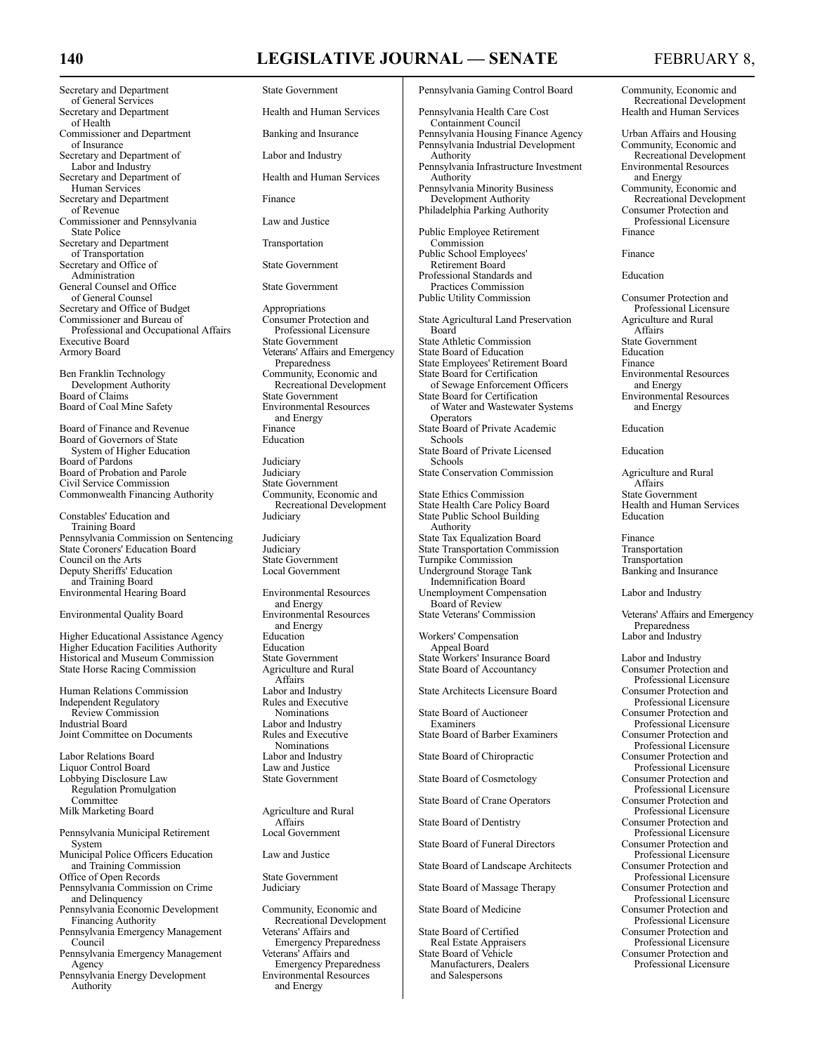# 140 **LEGISLATIVE JOURNAL — SENATE** FEBRUARY 8,

Secretary and Department State Government of General Services<br>Secretary and Department of Health Commissioner and Department Banking and Insurance of Insurance Secretary and Department of Labor and Industry Labor and Industry Secretary and Department of **Health and Human Services** Human Services Secretary and Department Finance of Revenue Commissioner and Pennsylvania Law and Justice State Police Secretary and Department Transportation of Transportation Secretary and Office of State Government Administration General Counsel and Office State Government of General Counsel Secretary and Office of Budget<br>
Commissioner and Bureau of 
Consumer Protection and Commissioner and Bureau of Consumer Protection and<br>Professional and Occupational Affairs Professional Licensure Professional and Occupational Affairs<br>Executive Board Executive Board<br>
Armory Board<br>
State Government<br>
Veterans' Affairs an

Board of Coal Mine Safety

Board of Finance and Revenue<br>
Board of Governors of State<br>
Education Board of Governors of State System of Higher Education Board of Pardons<br>
Board of Probation and Parole<br>
Judiciary Board of Probation and Parole Judiciary<br>
Civil Service Commission<br>
State Government Civil Service Commission<br>
Commonwealth Financing Authority<br>
Community, Economic and Commonwealth Financing Authority

Constables' Education and Training Board Pennsylvania Commission on Sentencing Judiciary<br>State Coroners' Education Board Judiciary State Coroners' Education Board<br>
Council on the Arts<br>
State Government Council on the Arts<br>
Deputy Sheriffs' Education<br>
Local Government Deputy Sheriffs' Education and Training Board Environmental Hearing Board Environmental Resources

Environmental Quality Board

**Higher Educational Assistance Agency Education**<br> **Higher Education Facilities Authority Feducation** Higher Education Facilities Authority<br>
Historical and Museum Commission<br>
State Government Historical and Museum Commission<br>
State Government<br>
State Horse Racing Commission<br>
Agriculture and Rural State Horse Racing Commission

Human Relations Commission<br>
Independent Regulatory<br>
Rules and Executive Independent Regulatory<br>
Rules and Executive Commission<br>
Nominations Review Commission<br>Industrial Board Joint Committee on Documents

Labor Relations Board<br>
Labor and Industrial Law and Justice<br>
Law and Justice Liquor Control Board Law and Justice Lobbying Disclosure Law Regulation Promulgation

Committee Milk Marketing Board Agriculture and Rural

- Pennsylvania Municipal Retirement System
- Municipal Police Officers Education Law and Justice and Training Commission
- Office of Open Records<br>
Pennsylvania Commission on Crime<br>
Judiciary Pennsylvania Commission on Crime
- and Delinquency Pennsylvania Economic Development<br>
Financing Authority<br>
Community, Economic and<br>
Recreational Development<br>
Recreational Development
- Pennsylvania Emergency Management<br>Council

Pennsylvania Emergency Management<br>Agency

Pennsylvania Energy Development<br>Authority

Health and Human Services Veterans' Affairs and Emergency Preparedness Ben Franklin Technology Community, Economic and<br>Development Authority Recreational Development Development Authority Recreational Development State Government<br>Environmental Resources and Energy<br>Finance Recreational Development<br>Judiciary and Energy<br>Environmental Resources and Energy<br>Education Affairs<br>Labor and Industry Labor and Industry<br>Rules and Executive

Nominations<br>Labor and Industry

Affairs<br>Local Government

Recreational Development<br>Veterans' Affairs and

- Emergency Preparedness<br>Veterans' Affairs and
- **Emergency Preparedness**<br>Environmental Resources and Energy

Pennsylvania Gaming Control Board Community, Economic and Pennsylvania Health Care Cost Containment Council Pennsylvania Housing Finance Agency Urban Affairs and Housing<br>
Pennsylvania Industrial Development Community, Economic and Pennsylvania Industrial Development<br>Authority Pennsylvania Infrastructure Investment Environmental Resources<br>
Authority Australian Minority Business<br>
Community, Economic and Authority and Energy Pennsylvania Minority Business Community, Economic and Development Authority<br>
iladelphia Parking Authority<br>
Consumer Protection and Philadelphia Parking Authority Public Employee Retirement Commission Public School Employees' Finance Retirement Board Professional Standards and Education Practices Commission

State Agricultural Land Preservation<br>Board State Athletic Commission<br>
State Board of Education<br>
Education<br>
Education State Board of Education<br>
State Employees' Retirement Board<br>
Finance State Employees' Retirement Board<br>
State Board for Certification<br>
Environmental Resources State Board for Certification Environmenta<br>
of Sewage Enforcement Officers and Energy of Sewage Enforcement Officers and Energy<br>the Board for Certification **Environmental Resources** State Board for Certification Environmental<br>of Water and Wastewater Systems and Energy of Water and Wastewater Systems **Operators** State Board of Private Academic Education Schools State Board of Private Licensed Education Schools State Conservation Commission Agriculture and Rural State Ethics Commission<br>
State Health Care Policy Board<br>
Health and Human Services State Health Care Policy Board<br>
State Public School Building<br>
Health and Human State Public School Building State Public School Building Authority State Tax Equalization Board<br>
State Transportation Commission<br>
Transportation State Transportation Commission<br>
Transportation<br>
Transportation<br>
Transportation Turnpike Commission<br>
Underground Storage Tank<br>
Banking and Insurance Underground Storage Tank Indemnification Board Unemployment Compensation Labor and Industry Board of Review<br>State Veterans' Commission Workers' Compensation Appeal Board State Workers' Insurance Board<br>
State Board of Accountancy<br>
Consumer Protection and State Board of Accountancy State Architects Licensure Board State Board of Auctioneer<br>Examiners State Board of Barber Examiners State Board of Chiropractic State Board of Cosmetology

State Board of Crane Operators

State Board of Funeral Directors

State Board of Landscape Architects

State Board of Massage Therapy

Real Estate Appraisers<br>State Board of Vehicle Manufacturers, Dealers and Salespersons

Recreational Development<br>Health and Human Services

Recreational Development<br>Environmental Resources Professional Licensure

Public Utility Commission Consumer Protection and Professional Licensure<br>Agriculture and Rural Affairs<br>State Government

Affairs<br>State Government

Veterans' Affairs and Emergency Preparedness<br>Labor and Industry

Professional Licensure<br>Consumer Protection and Professional Licensure<br>Consumer Protection and Professional Licensure<br>Consumer Protection and Professional Licensure<br>Consumer Protection and Professional Licensure<br>Consumer Protection and Professional Licensure<br>Consumer Protection and Professional Licensure State Board of Dentistry Consumer Protection and Professional Licensure<br>Consumer Protection and Professional Licensure<br>Consumer Protection and Professional Licensure<br>Consumer Protection and Professional Licensure State Board of Medicine Consumer Protection and Professional Licensure State Board of Certified Consumer Protection and<br>
Real Estate Appraisers<br>
Professional Licensure Consumer Protection and<br>Professional Licensure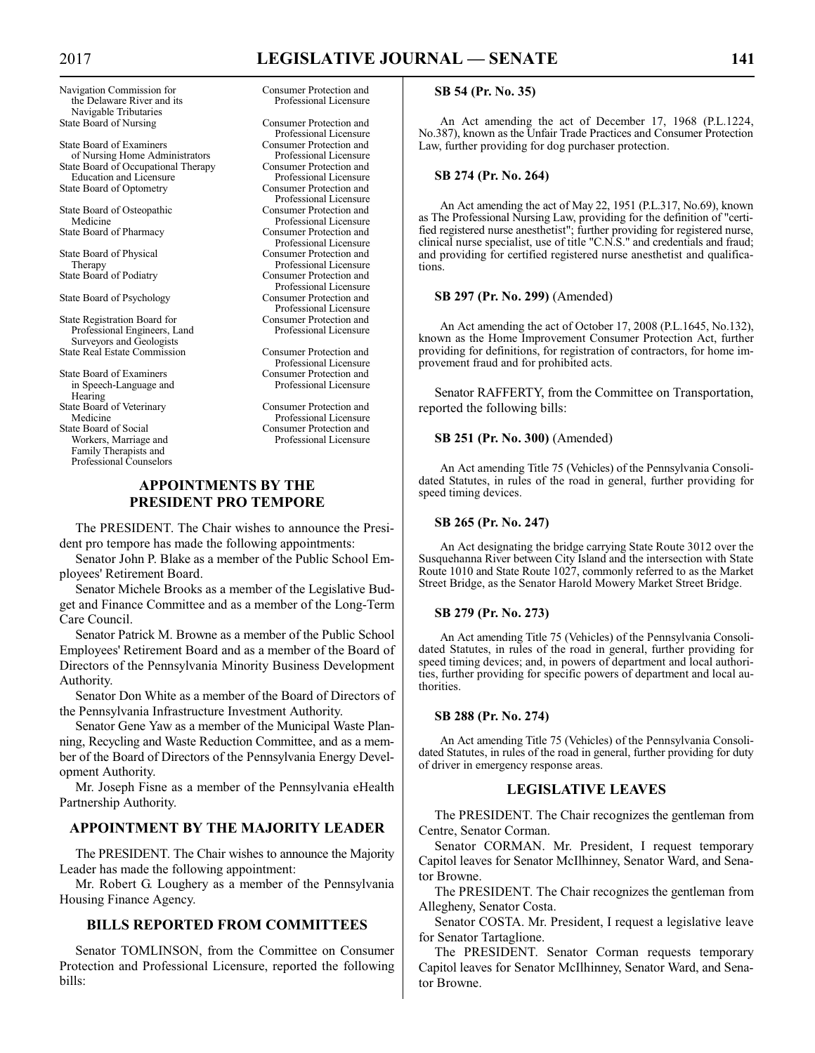### 2017 **LEGISLATIVE JOURNAL — SENATE 141**

Navigation Commission for Consumer Protection and the Delaware River and its Professional Licensure the Delaware River and its Navigable Tributaries<br>State Board of Nursing

State Board of Examiners of Nursing Home Administrators<br>the Board of Occupational Therapy<br>Consumer Protection and State Board of Occupational Therapy Consumer Protection and<br>Education and Licensure Professional Licensure Education and Licensure **Professional Licensure**<br>the Board of Ontometry **Professional Licensure** State Board of Optometry

State Board of Osteopathic<br>Medicine

State Board of Physical State Board of Podiatry

State Board of Psychology

State Registration Board for Consumer Protection and<br>Professional Engineers, Land Professional Licensure Professional Engineers, Land Surveyors and Geologists State Real Estate Commission Consumer Protection and

State Board of Examiners Consumer Protection and<br>in Speech-Language and Professional Licensure in Speech-Language and Hearing<br>State Board of Veterinary Reflexed of Veterinary Consumer Protection and<br>
Medicine Professional Licensure Medicine Professional Licensure<br>
State Board of Social Consumer Protection and

Workers, Marriage and Family Therapists and Professional Counselors

Consumer Protection and Professional Licensure<br>Consumer Protection and Professional Licensure<br>Consumer Protection and Medicine Professional Licensure<br>
State Board of Pharmacy<br>
Consumer Protection and Consumer Protection and Professional Licensure<br>Consumer Protection and Therapy Professional Licensure<br>te Board of Podiatry Professional Licensure Professional Licensure<br>Consumer Protection and Professional Licensure<br>Consumer Protection and

Professional Licensure

Consumer Protection and<br>Professional Licensure

#### **APPOINTMENTS BY THE PRESIDENT PRO TEMPORE**

The PRESIDENT. The Chair wishes to announce the President pro tempore has made the following appointments:

Senator John P. Blake as a member of the Public School Employees' Retirement Board.

Senator Michele Brooks as a member of the Legislative Budget and Finance Committee and as a member of the Long-Term Care Council.

Senator Patrick M. Browne as a member of the Public School Employees' Retirement Board and as a member of the Board of Directors of the Pennsylvania Minority Business Development Authority.

Senator Don White as a member of the Board of Directors of the Pennsylvania Infrastructure Investment Authority.

Senator Gene Yaw as a member of the Municipal Waste Planning, Recycling and Waste Reduction Committee, and as a member of the Board of Directors of the Pennsylvania Energy Development Authority.

Mr. Joseph Fisne as a member of the Pennsylvania eHealth Partnership Authority.

#### **APPOINTMENT BY THE MAJORITY LEADER**

The PRESIDENT. The Chair wishes to announce the Majority Leader has made the following appointment:

Mr. Robert G. Loughery as a member of the Pennsylvania Housing Finance Agency.

#### **BILLS REPORTED FROM COMMITTEES**

Senator TOMLINSON, from the Committee on Consumer Protection and Professional Licensure, reported the following bills:

#### **SB 54 (Pr. No. 35)**

An Act amending the act of December 17, 1968 (P.L.1224, No.387), known as the Unfair Trade Practices and Consumer Protection Law, further providing for dog purchaser protection.

#### **SB 274 (Pr. No. 264)**

An Act amending the act of May 22, 1951 (P.L.317, No.69), known as The Professional Nursing Law, providing for the definition of "certified registered nurse anesthetist"; further providing for registered nurse, clinical nurse specialist, use of title "C.N.S." and credentials and fraud; and providing for certified registered nurse anesthetist and qualifications.

#### **SB 297 (Pr. No. 299)** (Amended)

An Act amending the act of October 17, 2008 (P.L.1645, No.132), known as the Home Improvement Consumer Protection Act, further providing for definitions, for registration of contractors, for home improvement fraud and for prohibited acts.

Senator RAFFERTY, from the Committee on Transportation, reported the following bills:

#### **SB 251 (Pr. No. 300)** (Amended)

An Act amending Title 75 (Vehicles) of the Pennsylvania Consolidated Statutes, in rules of the road in general, further providing for speed timing devices.

#### **SB 265 (Pr. No. 247)**

An Act designating the bridge carrying State Route 3012 over the Susquehanna River between City Island and the intersection with State Route 1010 and State Route 1027, commonly referred to as the Market Street Bridge, as the Senator Harold Mowery Market Street Bridge.

#### **SB 279 (Pr. No. 273)**

An Act amending Title 75 (Vehicles) of the Pennsylvania Consolidated Statutes, in rules of the road in general, further providing for speed timing devices; and, in powers of department and local authorities, further providing for specific powers of department and local authorities.

#### **SB 288 (Pr. No. 274)**

An Act amending Title 75 (Vehicles) of the Pennsylvania Consolidated Statutes, in rules of the road in general, further providing for duty of driver in emergency response areas.

#### **LEGISLATIVE LEAVES**

The PRESIDENT. The Chair recognizes the gentleman from Centre, Senator Corman.

Senator CORMAN. Mr. President, I request temporary Capitol leaves for Senator McIlhinney, Senator Ward, and Senator Browne.

The PRESIDENT. The Chair recognizes the gentleman from Allegheny, Senator Costa.

Senator COSTA. Mr. President, I request a legislative leave for Senator Tartaglione.

The PRESIDENT. Senator Corman requests temporary Capitol leaves for Senator McIlhinney, Senator Ward, and Senator Browne.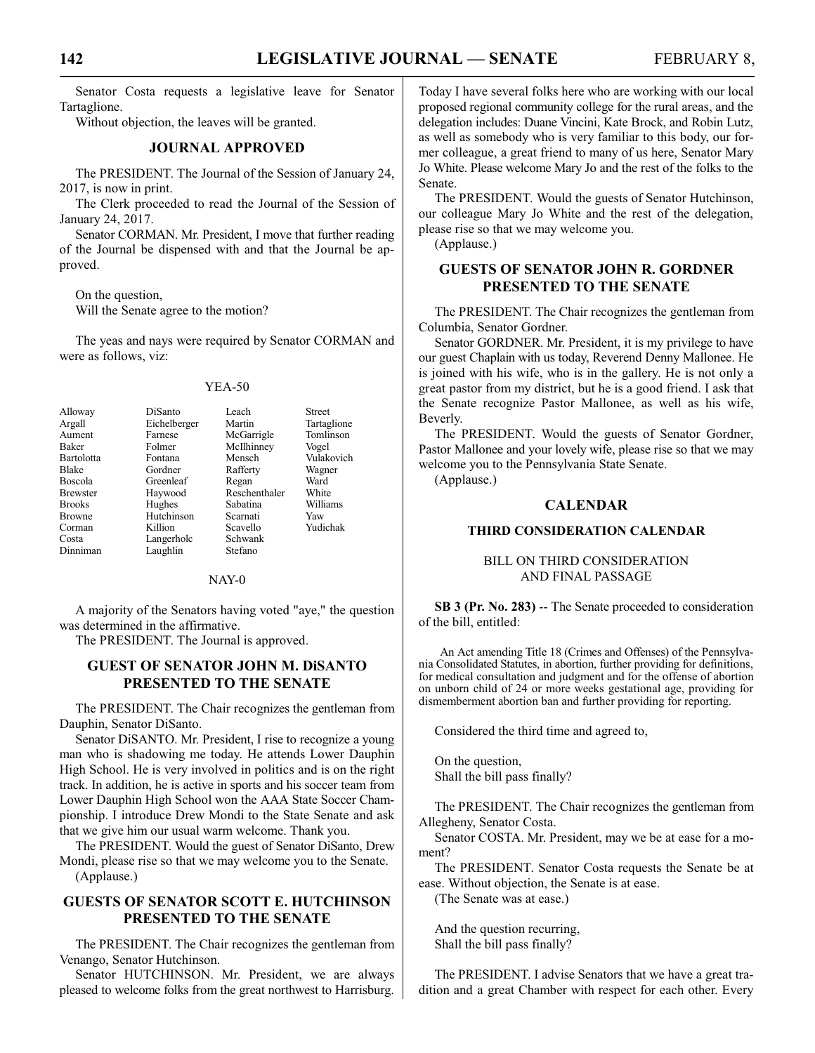Senator Costa requests a legislative leave for Senator Tartaglione.

Without objection, the leaves will be granted.

#### **JOURNAL APPROVED**

The PRESIDENT. The Journal of the Session of January 24, 2017, is now in print.

The Clerk proceeded to read the Journal of the Session of January 24, 2017.

Senator CORMAN. Mr. President, I move that further reading of the Journal be dispensed with and that the Journal be approved.

On the question,

Will the Senate agree to the motion?

The yeas and nays were required by Senator CORMAN and were as follows, viz:

#### YEA-50

| Alloway         | DiSanto      | I each        | <b>Street</b> |
|-----------------|--------------|---------------|---------------|
| Argall          | Eichelberger | Martin        | Tartaglione   |
| Aument          | Farnese      | McGarrigle    | Tomlinson     |
| <b>Baker</b>    | Folmer       | McIlhinney    | Vogel         |
| Bartolotta      | Fontana      | Mensch        | Vulakovich    |
| <b>Blake</b>    | Gordner      | Rafferty      | Wagner        |
| <b>Boscola</b>  | Greenleaf    | Regan         | Ward          |
| <b>Brewster</b> | Haywood      | Reschenthaler | White         |
| <b>Brooks</b>   | Hughes       | Sabatina      | Williams      |
| <b>Browne</b>   | Hutchinson   | Scarnati      | Yaw           |
| Corman          | Killion      | Scavello      | Yudichak      |
| Costa           | Langerholc   | Schwank       |               |
| Dinniman        | Laughlin     | Stefano       |               |

NAY-0

A majority of the Senators having voted "aye," the question was determined in the affirmative.

The PRESIDENT. The Journal is approved.

#### **GUEST OF SENATOR JOHN M. DiSANTO PRESENTED TO THE SENATE**

The PRESIDENT. The Chair recognizes the gentleman from Dauphin, Senator DiSanto.

Senator DiSANTO. Mr. President, I rise to recognize a young man who is shadowing me today. He attends Lower Dauphin High School. He is very involved in politics and is on the right track. In addition, he is active in sports and his soccer team from Lower Dauphin High School won the AAA State Soccer Championship. I introduce Drew Mondi to the State Senate and ask that we give him our usual warm welcome. Thank you.

The PRESIDENT. Would the guest of Senator DiSanto, Drew Mondi, please rise so that we may welcome you to the Senate. (Applause.)

#### **GUESTS OF SENATOR SCOTT E. HUTCHINSON PRESENTED TO THE SENATE**

The PRESIDENT. The Chair recognizes the gentleman from Venango, Senator Hutchinson.

Senator HUTCHINSON. Mr. President, we are always pleased to welcome folks from the great northwest to Harrisburg. Today I have several folks here who are working with our local proposed regional community college for the rural areas, and the delegation includes: Duane Vincini, Kate Brock, and Robin Lutz, as well as somebody who is very familiar to this body, our former colleague, a great friend to many of us here, Senator Mary Jo White. Please welcome Mary Jo and the rest of the folks to the Senate.

The PRESIDENT. Would the guests of Senator Hutchinson, our colleague Mary Jo White and the rest of the delegation, please rise so that we may welcome you.

(Applause.)

#### **GUESTS OF SENATOR JOHN R. GORDNER PRESENTED TO THE SENATE**

The PRESIDENT. The Chair recognizes the gentleman from Columbia, Senator Gordner.

Senator GORDNER. Mr. President, it is my privilege to have our guest Chaplain with us today, Reverend Denny Mallonee. He is joined with his wife, who is in the gallery. He is not only a great pastor from my district, but he is a good friend. I ask that the Senate recognize Pastor Mallonee, as well as his wife, Beverly.

The PRESIDENT. Would the guests of Senator Gordner, Pastor Mallonee and your lovely wife, please rise so that we may welcome you to the Pennsylvania State Senate.

(Applause.)

#### **CALENDAR**

#### **THIRD CONSIDERATION CALENDAR**

#### BILL ON THIRD CONSIDERATION AND FINAL PASSAGE

**SB 3 (Pr. No. 283)** -- The Senate proceeded to consideration of the bill, entitled:

An Act amending Title 18 (Crimes and Offenses) of the Pennsylvania Consolidated Statutes, in abortion, further providing for definitions, for medical consultation and judgment and for the offense of abortion on unborn child of 24 or more weeks gestational age, providing for dismemberment abortion ban and further providing for reporting.

Considered the third time and agreed to,

On the question, Shall the bill pass finally?

The PRESIDENT. The Chair recognizes the gentleman from Allegheny, Senator Costa.

Senator COSTA. Mr. President, may we be at ease for a moment?

The PRESIDENT. Senator Costa requests the Senate be at ease. Without objection, the Senate is at ease.

(The Senate was at ease.)

And the question recurring, Shall the bill pass finally?

The PRESIDENT. I advise Senators that we have a great tradition and a great Chamber with respect for each other. Every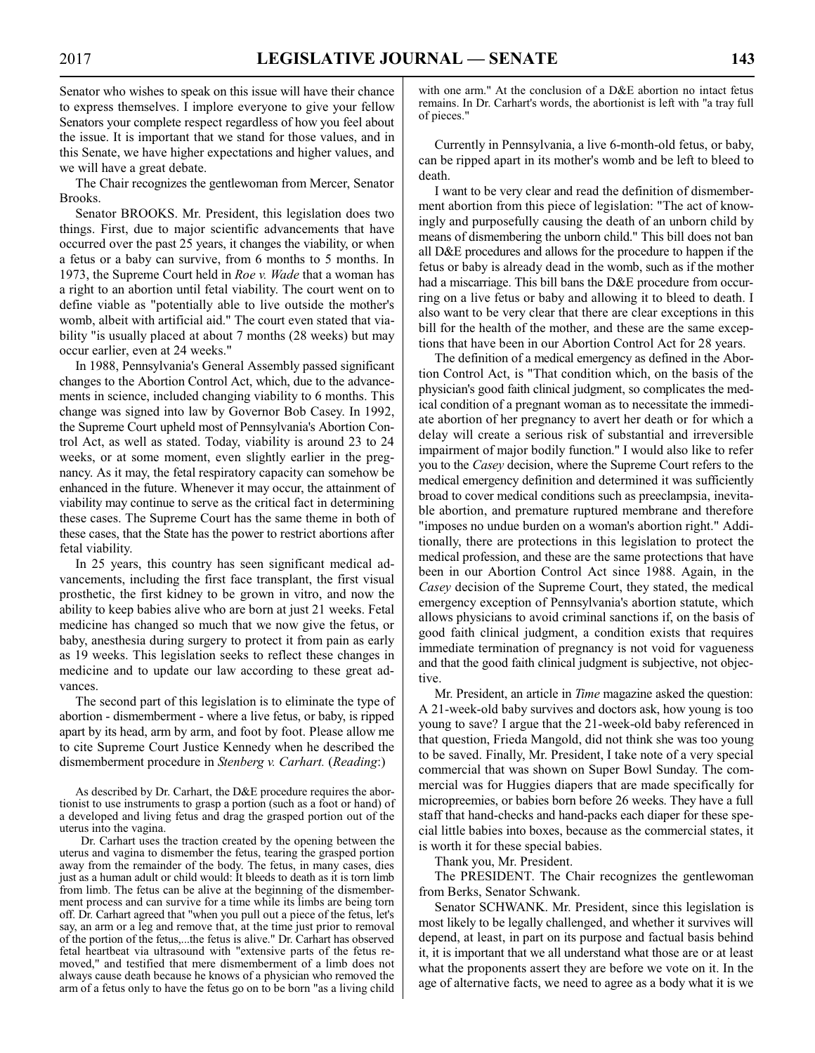Senator who wishes to speak on this issue will have their chance to express themselves. I implore everyone to give your fellow Senators your complete respect regardless of how you feel about the issue. It is important that we stand for those values, and in this Senate, we have higher expectations and higher values, and we will have a great debate.

The Chair recognizes the gentlewoman from Mercer, Senator Brooks.

Senator BROOKS. Mr. President, this legislation does two things. First, due to major scientific advancements that have occurred over the past 25 years, it changes the viability, or when a fetus or a baby can survive, from 6 months to 5 months. In 1973, the Supreme Court held in *Roe v. Wade* that a woman has a right to an abortion until fetal viability. The court went on to define viable as "potentially able to live outside the mother's womb, albeit with artificial aid." The court even stated that viability "is usually placed at about 7 months (28 weeks) but may occur earlier, even at 24 weeks."

In 1988, Pennsylvania's General Assembly passed significant changes to the Abortion Control Act, which, due to the advancements in science, included changing viability to 6 months. This change was signed into law by Governor Bob Casey. In 1992, the Supreme Court upheld most of Pennsylvania's Abortion Control Act, as well as stated. Today, viability is around 23 to 24 weeks, or at some moment, even slightly earlier in the pregnancy. As it may, the fetal respiratory capacity can somehow be enhanced in the future. Whenever it may occur, the attainment of viability may continue to serve as the critical fact in determining these cases. The Supreme Court has the same theme in both of these cases, that the State has the power to restrict abortions after fetal viability.

In 25 years, this country has seen significant medical advancements, including the first face transplant, the first visual prosthetic, the first kidney to be grown in vitro, and now the ability to keep babies alive who are born at just 21 weeks. Fetal medicine has changed so much that we now give the fetus, or baby, anesthesia during surgery to protect it from pain as early as 19 weeks. This legislation seeks to reflect these changes in medicine and to update our law according to these great advances.

The second part of this legislation is to eliminate the type of abortion - dismemberment - where a live fetus, or baby, is ripped apart by its head, arm by arm, and foot by foot. Please allow me to cite Supreme Court Justice Kennedy when he described the dismemberment procedure in *Stenberg v. Carhart.* (*Reading*:)

As described by Dr. Carhart, the D&E procedure requires the abortionist to use instruments to grasp a portion (such as a foot or hand) of a developed and living fetus and drag the grasped portion out of the uterus into the vagina.

Dr. Carhart uses the traction created by the opening between the uterus and vagina to dismember the fetus, tearing the grasped portion away from the remainder of the body. The fetus, in many cases, dies just as a human adult or child would: It bleeds to death as it is torn limb from limb. The fetus can be alive at the beginning of the dismemberment process and can survive for a time while its limbs are being torn off. Dr. Carhart agreed that "when you pull out a piece of the fetus, let's say, an arm or a leg and remove that, at the time just prior to removal of the portion of the fetus,...the fetus is alive." Dr. Carhart has observed fetal heartbeat via ultrasound with "extensive parts of the fetus removed," and testified that mere dismemberment of a limb does not always cause death because he knows of a physician who removed the arm of a fetus only to have the fetus go on to be born "as a living child

with one arm." At the conclusion of a D&E abortion no intact fetus remains. In Dr. Carhart's words, the abortionist is left with "a tray full of pieces."

Currently in Pennsylvania, a live 6-month-old fetus, or baby, can be ripped apart in its mother's womb and be left to bleed to death.

I want to be very clear and read the definition of dismemberment abortion from this piece of legislation: "The act of knowingly and purposefully causing the death of an unborn child by means of dismembering the unborn child." This bill does not ban all D&E procedures and allows for the procedure to happen if the fetus or baby is already dead in the womb, such as if the mother had a miscarriage. This bill bans the D&E procedure from occurring on a live fetus or baby and allowing it to bleed to death. I also want to be very clear that there are clear exceptions in this bill for the health of the mother, and these are the same exceptions that have been in our Abortion Control Act for 28 years.

The definition of a medical emergency as defined in the Abortion Control Act, is "That condition which, on the basis of the physician's good faith clinical judgment, so complicates the medical condition of a pregnant woman as to necessitate the immediate abortion of her pregnancy to avert her death or for which a delay will create a serious risk of substantial and irreversible impairment of major bodily function." I would also like to refer you to the *Casey* decision, where the Supreme Court refers to the medical emergency definition and determined it was sufficiently broad to cover medical conditions such as preeclampsia, inevitable abortion, and premature ruptured membrane and therefore "imposes no undue burden on a woman's abortion right." Additionally, there are protections in this legislation to protect the medical profession, and these are the same protections that have been in our Abortion Control Act since 1988. Again, in the *Casey* decision of the Supreme Court, they stated, the medical emergency exception of Pennsylvania's abortion statute, which allows physicians to avoid criminal sanctions if, on the basis of good faith clinical judgment, a condition exists that requires immediate termination of pregnancy is not void for vagueness and that the good faith clinical judgment is subjective, not objective.

Mr. President, an article in *Time* magazine asked the question: A 21-week-old baby survives and doctors ask, how young is too young to save? I argue that the 21-week-old baby referenced in that question, Frieda Mangold, did not think she was too young to be saved. Finally, Mr. President, I take note of a very special commercial that was shown on Super Bowl Sunday. The commercial was for Huggies diapers that are made specifically for micropreemies, or babies born before 26 weeks. They have a full staff that hand-checks and hand-packs each diaper for these special little babies into boxes, because as the commercial states, it is worth it for these special babies.

Thank you, Mr. President.

The PRESIDENT. The Chair recognizes the gentlewoman from Berks, Senator Schwank.

Senator SCHWANK. Mr. President, since this legislation is most likely to be legally challenged, and whether it survives will depend, at least, in part on its purpose and factual basis behind it, it is important that we all understand what those are or at least what the proponents assert they are before we vote on it. In the age of alternative facts, we need to agree as a body what it is we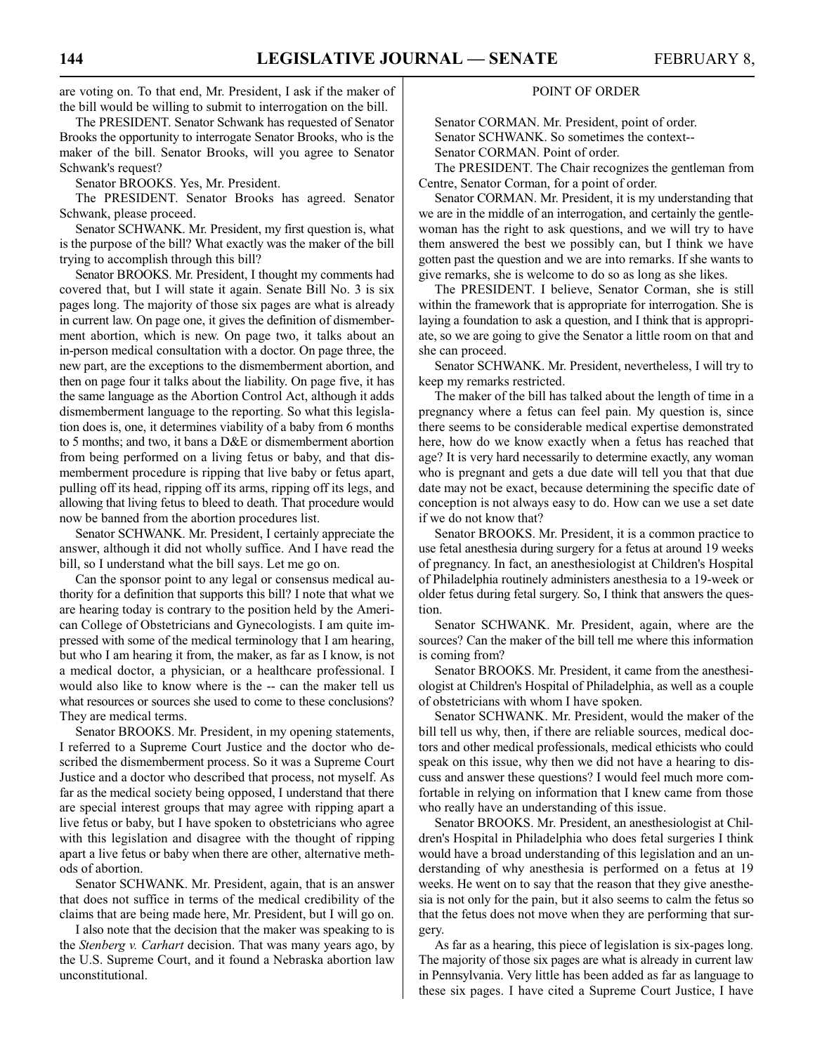are voting on. To that end, Mr. President, I ask if the maker of the bill would be willing to submit to interrogation on the bill.

The PRESIDENT. Senator Schwank has requested of Senator Brooks the opportunity to interrogate Senator Brooks, who is the maker of the bill. Senator Brooks, will you agree to Senator Schwank's request?

Senator BROOKS. Yes, Mr. President.

The PRESIDENT. Senator Brooks has agreed. Senator Schwank, please proceed.

Senator SCHWANK. Mr. President, my first question is, what is the purpose of the bill? What exactly was the maker of the bill trying to accomplish through this bill?

Senator BROOKS. Mr. President, I thought my comments had covered that, but I will state it again. Senate Bill No. 3 is six pages long. The majority of those six pages are what is already in current law. On page one, it gives the definition of dismemberment abortion, which is new. On page two, it talks about an in-person medical consultation with a doctor. On page three, the new part, are the exceptions to the dismemberment abortion, and then on page four it talks about the liability. On page five, it has the same language as the Abortion Control Act, although it adds dismemberment language to the reporting. So what this legislation does is, one, it determines viability of a baby from 6 months to 5 months; and two, it bans a D&E or dismemberment abortion from being performed on a living fetus or baby, and that dismemberment procedure is ripping that live baby or fetus apart, pulling off its head, ripping off its arms, ripping off its legs, and allowing that living fetus to bleed to death. That procedure would now be banned from the abortion procedures list.

Senator SCHWANK. Mr. President, I certainly appreciate the answer, although it did not wholly suffice. And I have read the bill, so I understand what the bill says. Let me go on.

Can the sponsor point to any legal or consensus medical authority for a definition that supports this bill? I note that what we are hearing today is contrary to the position held by the American College of Obstetricians and Gynecologists. I am quite impressed with some of the medical terminology that I am hearing, but who I am hearing it from, the maker, as far as I know, is not a medical doctor, a physician, or a healthcare professional. I would also like to know where is the -- can the maker tell us what resources or sources she used to come to these conclusions? They are medical terms.

Senator BROOKS. Mr. President, in my opening statements, I referred to a Supreme Court Justice and the doctor who described the dismemberment process. So it was a Supreme Court Justice and a doctor who described that process, not myself. As far as the medical society being opposed, I understand that there are special interest groups that may agree with ripping apart a live fetus or baby, but I have spoken to obstetricians who agree with this legislation and disagree with the thought of ripping apart a live fetus or baby when there are other, alternative methods of abortion.

Senator SCHWANK. Mr. President, again, that is an answer that does not suffice in terms of the medical credibility of the claims that are being made here, Mr. President, but I will go on.

I also note that the decision that the maker was speaking to is the *Stenberg v. Carhart* decision. That was many years ago, by the U.S. Supreme Court, and it found a Nebraska abortion law unconstitutional.

#### POINT OF ORDER

Senator CORMAN. Mr. President, point of order. Senator SCHWANK. So sometimes the context-- Senator CORMAN. Point of order.

The PRESIDENT. The Chair recognizes the gentleman from Centre, Senator Corman, for a point of order.

Senator CORMAN. Mr. President, it is my understanding that we are in the middle of an interrogation, and certainly the gentlewoman has the right to ask questions, and we will try to have them answered the best we possibly can, but I think we have gotten past the question and we are into remarks. If she wants to give remarks, she is welcome to do so as long as she likes.

The PRESIDENT. I believe, Senator Corman, she is still within the framework that is appropriate for interrogation. She is laying a foundation to ask a question, and I think that is appropriate, so we are going to give the Senator a little room on that and she can proceed.

Senator SCHWANK. Mr. President, nevertheless, I will try to keep my remarks restricted.

The maker of the bill has talked about the length of time in a pregnancy where a fetus can feel pain. My question is, since there seems to be considerable medical expertise demonstrated here, how do we know exactly when a fetus has reached that age? It is very hard necessarily to determine exactly, any woman who is pregnant and gets a due date will tell you that that due date may not be exact, because determining the specific date of conception is not always easy to do. How can we use a set date if we do not know that?

Senator BROOKS. Mr. President, it is a common practice to use fetal anesthesia during surgery for a fetus at around 19 weeks of pregnancy. In fact, an anesthesiologist at Children's Hospital of Philadelphia routinely administers anesthesia to a 19-week or older fetus during fetal surgery. So, I think that answers the question.

Senator SCHWANK. Mr. President, again, where are the sources? Can the maker of the bill tell me where this information is coming from?

Senator BROOKS. Mr. President, it came from the anesthesiologist at Children's Hospital of Philadelphia, as well as a couple of obstetricians with whom I have spoken.

Senator SCHWANK. Mr. President, would the maker of the bill tell us why, then, if there are reliable sources, medical doctors and other medical professionals, medical ethicists who could speak on this issue, why then we did not have a hearing to discuss and answer these questions? I would feel much more comfortable in relying on information that I knew came from those who really have an understanding of this issue.

Senator BROOKS. Mr. President, an anesthesiologist at Children's Hospital in Philadelphia who does fetal surgeries I think would have a broad understanding of this legislation and an understanding of why anesthesia is performed on a fetus at 19 weeks. He went on to say that the reason that they give anesthesia is not only for the pain, but it also seems to calm the fetus so that the fetus does not move when they are performing that surgery.

As far as a hearing, this piece of legislation is six-pages long. The majority of those six pages are what is already in current law in Pennsylvania. Very little has been added as far as language to these six pages. I have cited a Supreme Court Justice, I have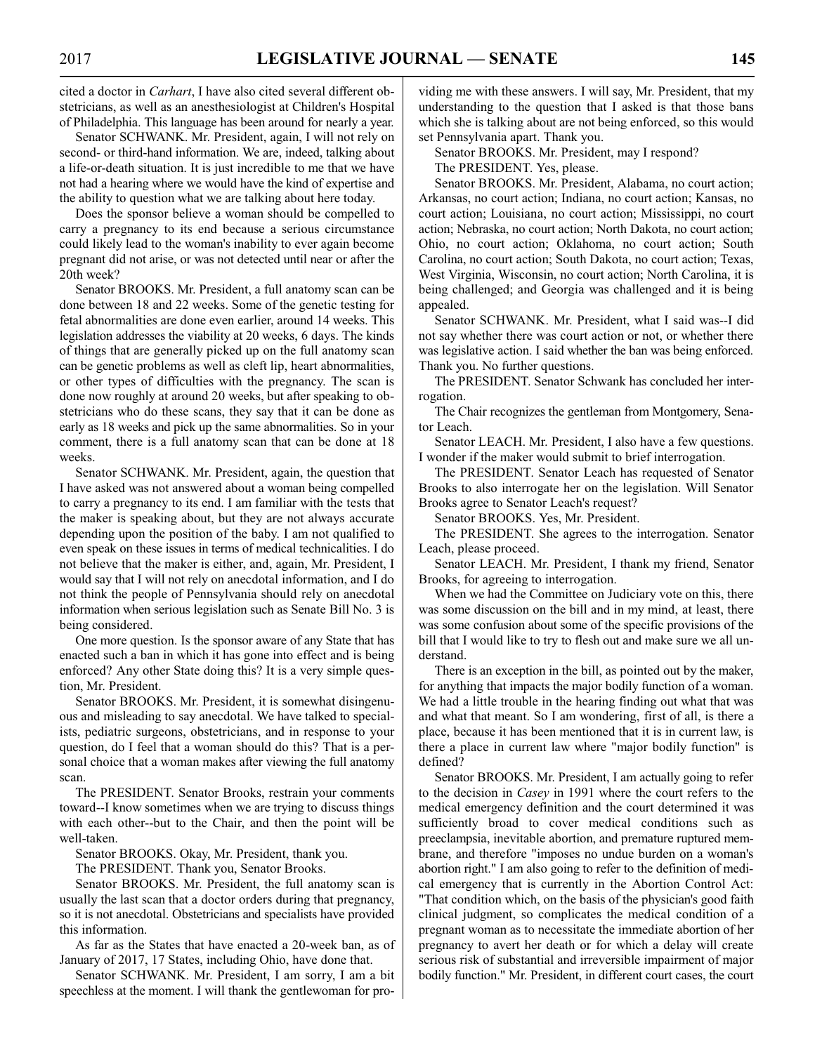cited a doctor in *Carhart*, I have also cited several different obstetricians, as well as an anesthesiologist at Children's Hospital of Philadelphia. This language has been around for nearly a year.

Senator SCHWANK. Mr. President, again, I will not rely on second- or third-hand information. We are, indeed, talking about a life-or-death situation. It is just incredible to me that we have not had a hearing where we would have the kind of expertise and the ability to question what we are talking about here today.

Does the sponsor believe a woman should be compelled to carry a pregnancy to its end because a serious circumstance could likely lead to the woman's inability to ever again become pregnant did not arise, or was not detected until near or after the 20th week?

Senator BROOKS. Mr. President, a full anatomy scan can be done between 18 and 22 weeks. Some of the genetic testing for fetal abnormalities are done even earlier, around 14 weeks. This legislation addresses the viability at 20 weeks, 6 days. The kinds of things that are generally picked up on the full anatomy scan can be genetic problems as well as cleft lip, heart abnormalities, or other types of difficulties with the pregnancy. The scan is done now roughly at around 20 weeks, but after speaking to obstetricians who do these scans, they say that it can be done as early as 18 weeks and pick up the same abnormalities. So in your comment, there is a full anatomy scan that can be done at 18 weeks.

Senator SCHWANK. Mr. President, again, the question that I have asked was not answered about a woman being compelled to carry a pregnancy to its end. I am familiar with the tests that the maker is speaking about, but they are not always accurate depending upon the position of the baby. I am not qualified to even speak on these issues in terms of medical technicalities. I do not believe that the maker is either, and, again, Mr. President, I would say that I will not rely on anecdotal information, and I do not think the people of Pennsylvania should rely on anecdotal information when serious legislation such as Senate Bill No. 3 is being considered.

One more question. Is the sponsor aware of any State that has enacted such a ban in which it has gone into effect and is being enforced? Any other State doing this? It is a very simple question, Mr. President.

Senator BROOKS. Mr. President, it is somewhat disingenuous and misleading to say anecdotal. We have talked to specialists, pediatric surgeons, obstetricians, and in response to your question, do I feel that a woman should do this? That is a personal choice that a woman makes after viewing the full anatomy scan.

The PRESIDENT. Senator Brooks, restrain your comments toward--I know sometimes when we are trying to discuss things with each other--but to the Chair, and then the point will be well-taken.

Senator BROOKS. Okay, Mr. President, thank you.

The PRESIDENT. Thank you, Senator Brooks.

Senator BROOKS. Mr. President, the full anatomy scan is usually the last scan that a doctor orders during that pregnancy, so it is not anecdotal. Obstetricians and specialists have provided this information.

As far as the States that have enacted a 20-week ban, as of January of 2017, 17 States, including Ohio, have done that.

Senator SCHWANK. Mr. President, I am sorry, I am a bit speechless at the moment. I will thank the gentlewoman for providing me with these answers. I will say, Mr. President, that my understanding to the question that I asked is that those bans which she is talking about are not being enforced, so this would set Pennsylvania apart. Thank you.

Senator BROOKS. Mr. President, may I respond?

The PRESIDENT. Yes, please.

Senator BROOKS. Mr. President, Alabama, no court action; Arkansas, no court action; Indiana, no court action; Kansas, no court action; Louisiana, no court action; Mississippi, no court action; Nebraska, no court action; North Dakota, no court action; Ohio, no court action; Oklahoma, no court action; South Carolina, no court action; South Dakota, no court action; Texas, West Virginia, Wisconsin, no court action; North Carolina, it is being challenged; and Georgia was challenged and it is being appealed.

Senator SCHWANK. Mr. President, what I said was--I did not say whether there was court action or not, or whether there was legislative action. I said whether the ban was being enforced. Thank you. No further questions.

The PRESIDENT. Senator Schwank has concluded her interrogation.

The Chair recognizes the gentleman from Montgomery, Senator Leach.

Senator LEACH. Mr. President, I also have a few questions. I wonder if the maker would submit to brief interrogation.

The PRESIDENT. Senator Leach has requested of Senator Brooks to also interrogate her on the legislation. Will Senator Brooks agree to Senator Leach's request?

Senator BROOKS. Yes, Mr. President.

The PRESIDENT. She agrees to the interrogation. Senator Leach, please proceed.

Senator LEACH. Mr. President, I thank my friend, Senator Brooks, for agreeing to interrogation.

When we had the Committee on Judiciary vote on this, there was some discussion on the bill and in my mind, at least, there was some confusion about some of the specific provisions of the bill that I would like to try to flesh out and make sure we all understand.

There is an exception in the bill, as pointed out by the maker, for anything that impacts the major bodily function of a woman. We had a little trouble in the hearing finding out what that was and what that meant. So I am wondering, first of all, is there a place, because it has been mentioned that it is in current law, is there a place in current law where "major bodily function" is defined?

Senator BROOKS. Mr. President, I am actually going to refer to the decision in *Casey* in 1991 where the court refers to the medical emergency definition and the court determined it was sufficiently broad to cover medical conditions such as preeclampsia, inevitable abortion, and premature ruptured membrane, and therefore "imposes no undue burden on a woman's abortion right." I am also going to refer to the definition of medical emergency that is currently in the Abortion Control Act: "That condition which, on the basis of the physician's good faith clinical judgment, so complicates the medical condition of a pregnant woman as to necessitate the immediate abortion of her pregnancy to avert her death or for which a delay will create serious risk of substantial and irreversible impairment of major bodily function." Mr. President, in different court cases, the court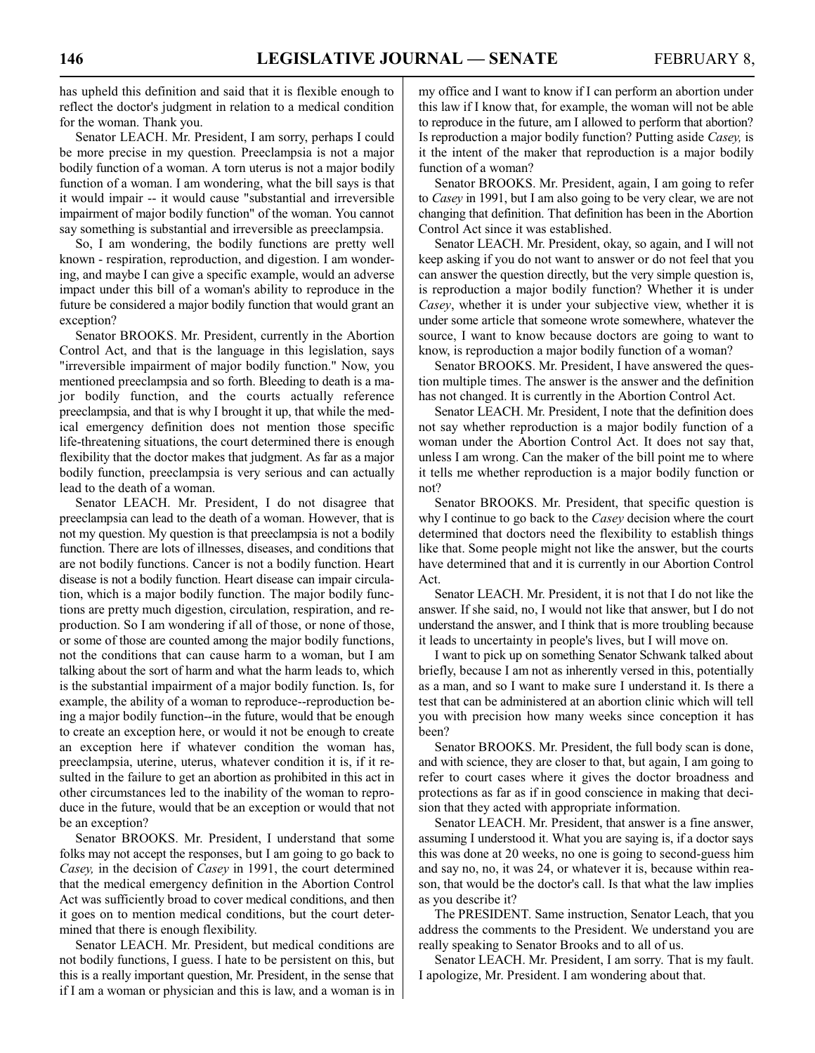has upheld this definition and said that it is flexible enough to reflect the doctor's judgment in relation to a medical condition for the woman. Thank you.

Senator LEACH. Mr. President, I am sorry, perhaps I could be more precise in my question. Preeclampsia is not a major bodily function of a woman. A torn uterus is not a major bodily function of a woman. I am wondering, what the bill says is that it would impair -- it would cause "substantial and irreversible impairment of major bodily function" of the woman. You cannot say something is substantial and irreversible as preeclampsia.

So, I am wondering, the bodily functions are pretty well known - respiration, reproduction, and digestion. I am wondering, and maybe I can give a specific example, would an adverse impact under this bill of a woman's ability to reproduce in the future be considered a major bodily function that would grant an exception?

Senator BROOKS. Mr. President, currently in the Abortion Control Act, and that is the language in this legislation, says "irreversible impairment of major bodily function." Now, you mentioned preeclampsia and so forth. Bleeding to death is a major bodily function, and the courts actually reference preeclampsia, and that is why I brought it up, that while the medical emergency definition does not mention those specific life-threatening situations, the court determined there is enough flexibility that the doctor makes that judgment. As far as a major bodily function, preeclampsia is very serious and can actually lead to the death of a woman.

Senator LEACH. Mr. President, I do not disagree that preeclampsia can lead to the death of a woman. However, that is not my question. My question is that preeclampsia is not a bodily function. There are lots of illnesses, diseases, and conditions that are not bodily functions. Cancer is not a bodily function. Heart disease is not a bodily function. Heart disease can impair circulation, which is a major bodily function. The major bodily functions are pretty much digestion, circulation, respiration, and reproduction. So I am wondering if all of those, or none of those, or some of those are counted among the major bodily functions, not the conditions that can cause harm to a woman, but I am talking about the sort of harm and what the harm leads to, which is the substantial impairment of a major bodily function. Is, for example, the ability of a woman to reproduce--reproduction being a major bodily function--in the future, would that be enough to create an exception here, or would it not be enough to create an exception here if whatever condition the woman has, preeclampsia, uterine, uterus, whatever condition it is, if it resulted in the failure to get an abortion as prohibited in this act in other circumstances led to the inability of the woman to reproduce in the future, would that be an exception or would that not be an exception?

Senator BROOKS. Mr. President, I understand that some folks may not accept the responses, but I am going to go back to *Casey,* in the decision of *Casey* in 1991, the court determined that the medical emergency definition in the Abortion Control Act was sufficiently broad to cover medical conditions, and then it goes on to mention medical conditions, but the court determined that there is enough flexibility.

Senator LEACH. Mr. President, but medical conditions are not bodily functions, I guess. I hate to be persistent on this, but this is a really important question, Mr. President, in the sense that if I am a woman or physician and this is law, and a woman is in my office and I want to know if I can perform an abortion under this law if I know that, for example, the woman will not be able to reproduce in the future, am I allowed to perform that abortion? Is reproduction a major bodily function? Putting aside *Casey,* is it the intent of the maker that reproduction is a major bodily function of a woman?

Senator BROOKS. Mr. President, again, I am going to refer to *Casey* in 1991, but I am also going to be very clear, we are not changing that definition. That definition has been in the Abortion Control Act since it was established.

Senator LEACH. Mr. President, okay, so again, and I will not keep asking if you do not want to answer or do not feel that you can answer the question directly, but the very simple question is, is reproduction a major bodily function? Whether it is under *Casey*, whether it is under your subjective view, whether it is under some article that someone wrote somewhere, whatever the source, I want to know because doctors are going to want to know, is reproduction a major bodily function of a woman?

Senator BROOKS. Mr. President, I have answered the question multiple times. The answer is the answer and the definition has not changed. It is currently in the Abortion Control Act.

Senator LEACH. Mr. President, I note that the definition does not say whether reproduction is a major bodily function of a woman under the Abortion Control Act. It does not say that, unless I am wrong. Can the maker of the bill point me to where it tells me whether reproduction is a major bodily function or not?

Senator BROOKS. Mr. President, that specific question is why I continue to go back to the *Casey* decision where the court determined that doctors need the flexibility to establish things like that. Some people might not like the answer, but the courts have determined that and it is currently in our Abortion Control Act.

Senator LEACH. Mr. President, it is not that I do not like the answer. If she said, no, I would not like that answer, but I do not understand the answer, and I think that is more troubling because it leads to uncertainty in people's lives, but I will move on.

I want to pick up on something Senator Schwank talked about briefly, because I am not as inherently versed in this, potentially as a man, and so I want to make sure I understand it. Is there a test that can be administered at an abortion clinic which will tell you with precision how many weeks since conception it has been?

Senator BROOKS. Mr. President, the full body scan is done, and with science, they are closer to that, but again, I am going to refer to court cases where it gives the doctor broadness and protections as far as if in good conscience in making that decision that they acted with appropriate information.

Senator LEACH. Mr. President, that answer is a fine answer, assuming I understood it. What you are saying is, if a doctor says this was done at 20 weeks, no one is going to second-guess him and say no, no, it was 24, or whatever it is, because within reason, that would be the doctor's call. Is that what the law implies as you describe it?

The PRESIDENT. Same instruction, Senator Leach, that you address the comments to the President. We understand you are really speaking to Senator Brooks and to all of us.

Senator LEACH. Mr. President, I am sorry. That is my fault. I apologize, Mr. President. I am wondering about that.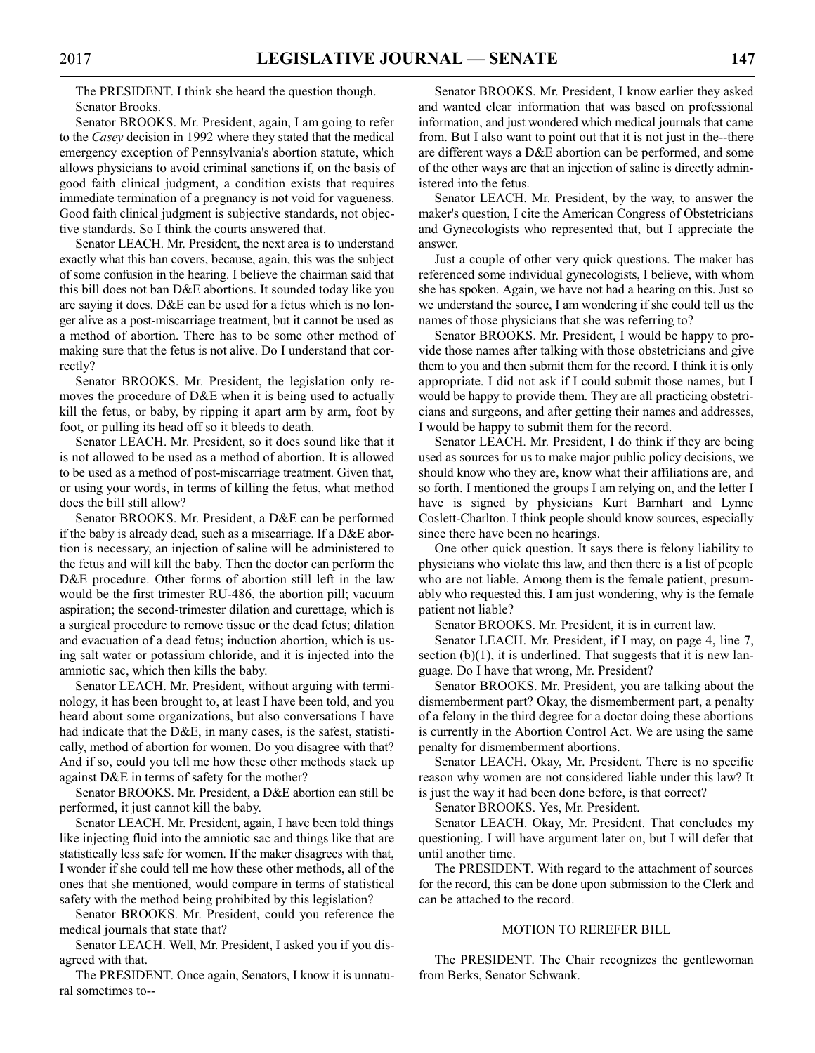The PRESIDENT. I think she heard the question though. Senator Brooks.

Senator BROOKS. Mr. President, again, I am going to refer to the *Casey* decision in 1992 where they stated that the medical emergency exception of Pennsylvania's abortion statute, which allows physicians to avoid criminal sanctions if, on the basis of good faith clinical judgment, a condition exists that requires immediate termination of a pregnancy is not void for vagueness. Good faith clinical judgment is subjective standards, not objective standards. So I think the courts answered that.

Senator LEACH. Mr. President, the next area is to understand exactly what this ban covers, because, again, this was the subject of some confusion in the hearing. I believe the chairman said that this bill does not ban D&E abortions. It sounded today like you are saying it does. D&E can be used for a fetus which is no longer alive as a post-miscarriage treatment, but it cannot be used as a method of abortion. There has to be some other method of making sure that the fetus is not alive. Do I understand that correctly?

Senator BROOKS. Mr. President, the legislation only removes the procedure of D&E when it is being used to actually kill the fetus, or baby, by ripping it apart arm by arm, foot by foot, or pulling its head off so it bleeds to death.

Senator LEACH. Mr. President, so it does sound like that it is not allowed to be used as a method of abortion. It is allowed to be used as a method of post-miscarriage treatment. Given that, or using your words, in terms of killing the fetus, what method does the bill still allow?

Senator BROOKS. Mr. President, a D&E can be performed if the baby is already dead, such as a miscarriage. If a D&E abortion is necessary, an injection of saline will be administered to the fetus and will kill the baby. Then the doctor can perform the D&E procedure. Other forms of abortion still left in the law would be the first trimester RU-486, the abortion pill; vacuum aspiration; the second-trimester dilation and curettage, which is a surgical procedure to remove tissue or the dead fetus; dilation and evacuation of a dead fetus; induction abortion, which is using salt water or potassium chloride, and it is injected into the amniotic sac, which then kills the baby.

Senator LEACH. Mr. President, without arguing with terminology, it has been brought to, at least I have been told, and you heard about some organizations, but also conversations I have had indicate that the D&E, in many cases, is the safest, statistically, method of abortion for women. Do you disagree with that? And if so, could you tell me how these other methods stack up against D&E in terms of safety for the mother?

Senator BROOKS. Mr. President, a D&E abortion can still be performed, it just cannot kill the baby.

Senator LEACH. Mr. President, again, I have been told things like injecting fluid into the amniotic sac and things like that are statistically less safe for women. If the maker disagrees with that, I wonder if she could tell me how these other methods, all of the ones that she mentioned, would compare in terms of statistical safety with the method being prohibited by this legislation?

Senator BROOKS. Mr. President, could you reference the medical journals that state that?

Senator LEACH. Well, Mr. President, I asked you if you disagreed with that.

The PRESIDENT. Once again, Senators, I know it is unnatural sometimes to--

Senator BROOKS. Mr. President, I know earlier they asked and wanted clear information that was based on professional information, and just wondered which medical journals that came from. But I also want to point out that it is not just in the--there are different ways a D&E abortion can be performed, and some of the other ways are that an injection of saline is directly administered into the fetus.

Senator LEACH. Mr. President, by the way, to answer the maker's question, I cite the American Congress of Obstetricians and Gynecologists who represented that, but I appreciate the answer.

Just a couple of other very quick questions. The maker has referenced some individual gynecologists, I believe, with whom she has spoken. Again, we have not had a hearing on this. Just so we understand the source, I am wondering if she could tell us the names of those physicians that she was referring to?

Senator BROOKS. Mr. President, I would be happy to provide those names after talking with those obstetricians and give them to you and then submit them for the record. I think it is only appropriate. I did not ask if I could submit those names, but I would be happy to provide them. They are all practicing obstetricians and surgeons, and after getting their names and addresses, I would be happy to submit them for the record.

Senator LEACH. Mr. President, I do think if they are being used as sources for us to make major public policy decisions, we should know who they are, know what their affiliations are, and so forth. I mentioned the groups I am relying on, and the letter I have is signed by physicians Kurt Barnhart and Lynne Coslett-Charlton. I think people should know sources, especially since there have been no hearings.

One other quick question. It says there is felony liability to physicians who violate this law, and then there is a list of people who are not liable. Among them is the female patient, presumably who requested this. I am just wondering, why is the female patient not liable?

Senator BROOKS. Mr. President, it is in current law.

Senator LEACH. Mr. President, if I may, on page 4, line 7, section  $(b)(1)$ , it is underlined. That suggests that it is new language. Do I have that wrong, Mr. President?

Senator BROOKS. Mr. President, you are talking about the dismemberment part? Okay, the dismemberment part, a penalty of a felony in the third degree for a doctor doing these abortions is currently in the Abortion Control Act. We are using the same penalty for dismemberment abortions.

Senator LEACH. Okay, Mr. President. There is no specific reason why women are not considered liable under this law? It is just the way it had been done before, is that correct?

Senator BROOKS. Yes, Mr. President.

Senator LEACH. Okay, Mr. President. That concludes my questioning. I will have argument later on, but I will defer that until another time.

The PRESIDENT. With regard to the attachment of sources for the record, this can be done upon submission to the Clerk and can be attached to the record.

#### MOTION TO REREFER BILL

The PRESIDENT. The Chair recognizes the gentlewoman from Berks, Senator Schwank.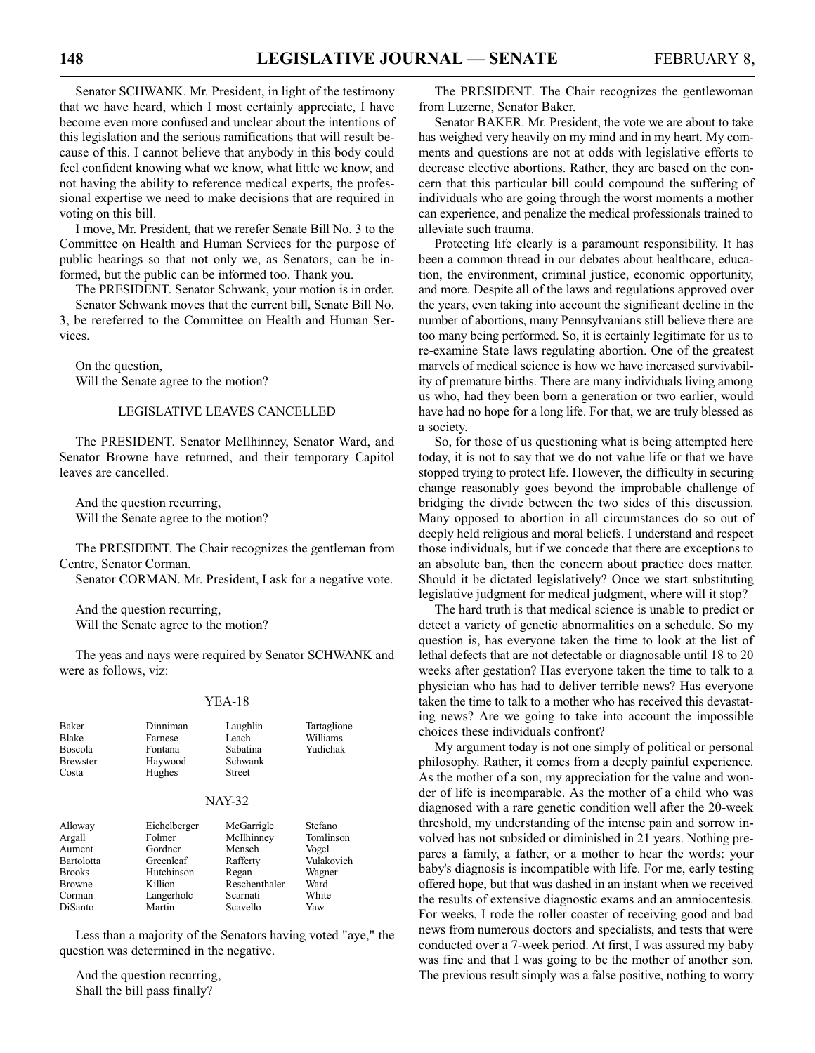Senator SCHWANK. Mr. President, in light of the testimony that we have heard, which I most certainly appreciate, I have become even more confused and unclear about the intentions of this legislation and the serious ramifications that will result because of this. I cannot believe that anybody in this body could feel confident knowing what we know, what little we know, and not having the ability to reference medical experts, the professional expertise we need to make decisions that are required in voting on this bill.

I move, Mr. President, that we rerefer Senate Bill No. 3 to the Committee on Health and Human Services for the purpose of public hearings so that not only we, as Senators, can be informed, but the public can be informed too. Thank you.

The PRESIDENT. Senator Schwank, your motion is in order. Senator Schwank moves that the current bill, Senate Bill No.

3, be rereferred to the Committee on Health and Human Services.

On the question, Will the Senate agree to the motion?

#### LEGISLATIVE LEAVES CANCELLED

The PRESIDENT. Senator McIlhinney, Senator Ward, and Senator Browne have returned, and their temporary Capitol leaves are cancelled.

And the question recurring, Will the Senate agree to the motion?

The PRESIDENT. The Chair recognizes the gentleman from Centre, Senator Corman.

Senator CORMAN. Mr. President, I ask for a negative vote.

And the question recurring, Will the Senate agree to the motion?

The yeas and nays were required by Senator SCHWANK and were as follows, viz:

#### YEA-18

| <b>Baker</b><br><b>Blake</b><br>Boscola<br><b>Brewster</b><br>Costa         | Dinniman<br>Farnese<br>Fontana<br>Haywood<br>Hughes                     | Laughlin<br>Leach<br>Sabatina<br>Schwank<br><b>Street</b>                | Tartaglione<br>Williams<br>Yudichak                           |  |
|-----------------------------------------------------------------------------|-------------------------------------------------------------------------|--------------------------------------------------------------------------|---------------------------------------------------------------|--|
| <b>NAY-32</b>                                                               |                                                                         |                                                                          |                                                               |  |
| Alloway<br>Argall<br>Aument<br>Bartolotta<br><b>Brooks</b><br><b>Browne</b> | Eichelberger<br>Folmer<br>Gordner<br>Greenleaf<br>Hutchinson<br>Killion | McGarrigle<br>McIlhinney<br>Mensch<br>Rafferty<br>Regan<br>Reschenthaler | Stefano<br>Tomlinson<br>Vogel<br>Vulakovich<br>Wagner<br>Ward |  |

Corman Langerholc Scarnati White DiSanto Martin Scavello Yaw

Less than a majority of the Senators having voted "aye," the question was determined in the negative.

And the question recurring, Shall the bill pass finally?

The PRESIDENT. The Chair recognizes the gentlewoman from Luzerne, Senator Baker.

Senator BAKER. Mr. President, the vote we are about to take has weighed very heavily on my mind and in my heart. My comments and questions are not at odds with legislative efforts to decrease elective abortions. Rather, they are based on the concern that this particular bill could compound the suffering of individuals who are going through the worst moments a mother can experience, and penalize the medical professionals trained to alleviate such trauma.

Protecting life clearly is a paramount responsibility. It has been a common thread in our debates about healthcare, education, the environment, criminal justice, economic opportunity, and more. Despite all of the laws and regulations approved over the years, even taking into account the significant decline in the number of abortions, many Pennsylvanians still believe there are too many being performed. So, it is certainly legitimate for us to re-examine State laws regulating abortion. One of the greatest marvels of medical science is how we have increased survivability of premature births. There are many individuals living among us who, had they been born a generation or two earlier, would have had no hope for a long life. For that, we are truly blessed as a society.

So, for those of us questioning what is being attempted here today, it is not to say that we do not value life or that we have stopped trying to protect life. However, the difficulty in securing change reasonably goes beyond the improbable challenge of bridging the divide between the two sides of this discussion. Many opposed to abortion in all circumstances do so out of deeply held religious and moral beliefs. I understand and respect those individuals, but if we concede that there are exceptions to an absolute ban, then the concern about practice does matter. Should it be dictated legislatively? Once we start substituting legislative judgment for medical judgment, where will it stop?

The hard truth is that medical science is unable to predict or detect a variety of genetic abnormalities on a schedule. So my question is, has everyone taken the time to look at the list of lethal defects that are not detectable or diagnosable until 18 to 20 weeks after gestation? Has everyone taken the time to talk to a physician who has had to deliver terrible news? Has everyone taken the time to talk to a mother who has received this devastating news? Are we going to take into account the impossible choices these individuals confront?

My argument today is not one simply of political or personal philosophy. Rather, it comes from a deeply painful experience. As the mother of a son, my appreciation for the value and wonder of life is incomparable. As the mother of a child who was diagnosed with a rare genetic condition well after the 20-week threshold, my understanding of the intense pain and sorrow involved has not subsided or diminished in 21 years. Nothing prepares a family, a father, or a mother to hear the words: your baby's diagnosis is incompatible with life. For me, early testing offered hope, but that was dashed in an instant when we received the results of extensive diagnostic exams and an amniocentesis. For weeks, I rode the roller coaster of receiving good and bad news from numerous doctors and specialists, and tests that were conducted over a 7-week period. At first, I was assured my baby was fine and that I was going to be the mother of another son. The previous result simply was a false positive, nothing to worry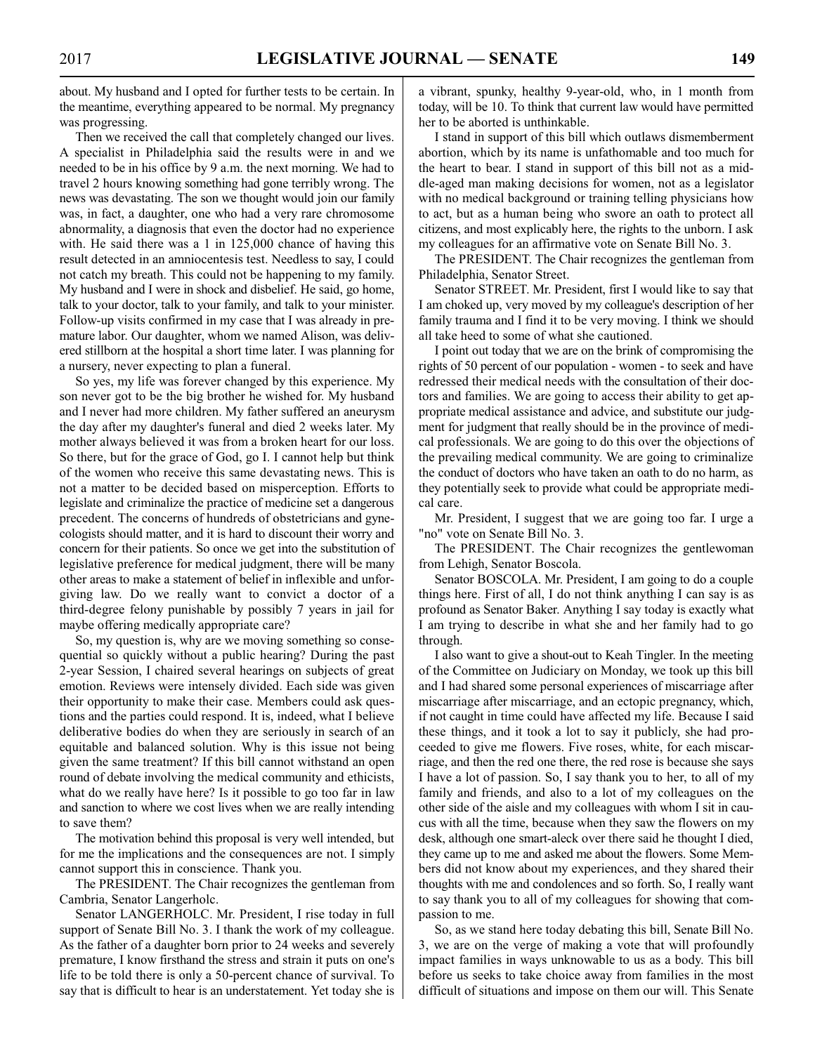about. My husband and I opted for further tests to be certain. In the meantime, everything appeared to be normal. My pregnancy was progressing.

Then we received the call that completely changed our lives. A specialist in Philadelphia said the results were in and we needed to be in his office by 9 a.m. the next morning. We had to travel 2 hours knowing something had gone terribly wrong. The news was devastating. The son we thought would join our family was, in fact, a daughter, one who had a very rare chromosome abnormality, a diagnosis that even the doctor had no experience with. He said there was a 1 in 125,000 chance of having this result detected in an amniocentesis test. Needless to say, I could not catch my breath. This could not be happening to my family. My husband and I were in shock and disbelief. He said, go home, talk to your doctor, talk to your family, and talk to your minister. Follow-up visits confirmed in my case that I was already in premature labor. Our daughter, whom we named Alison, was delivered stillborn at the hospital a short time later. I was planning for a nursery, never expecting to plan a funeral.

So yes, my life was forever changed by this experience. My son never got to be the big brother he wished for. My husband and I never had more children. My father suffered an aneurysm the day after my daughter's funeral and died 2 weeks later. My mother always believed it was from a broken heart for our loss. So there, but for the grace of God, go I. I cannot help but think of the women who receive this same devastating news. This is not a matter to be decided based on misperception. Efforts to legislate and criminalize the practice of medicine set a dangerous precedent. The concerns of hundreds of obstetricians and gynecologists should matter, and it is hard to discount their worry and concern for their patients. So once we get into the substitution of legislative preference for medical judgment, there will be many other areas to make a statement of belief in inflexible and unforgiving law. Do we really want to convict a doctor of a third-degree felony punishable by possibly 7 years in jail for maybe offering medically appropriate care?

So, my question is, why are we moving something so consequential so quickly without a public hearing? During the past 2-year Session, I chaired several hearings on subjects of great emotion. Reviews were intensely divided. Each side was given their opportunity to make their case. Members could ask questions and the parties could respond. It is, indeed, what I believe deliberative bodies do when they are seriously in search of an equitable and balanced solution. Why is this issue not being given the same treatment? If this bill cannot withstand an open round of debate involving the medical community and ethicists, what do we really have here? Is it possible to go too far in law and sanction to where we cost lives when we are really intending to save them?

The motivation behind this proposal is very well intended, but for me the implications and the consequences are not. I simply cannot support this in conscience. Thank you.

The PRESIDENT. The Chair recognizes the gentleman from Cambria, Senator Langerholc.

Senator LANGERHOLC. Mr. President, I rise today in full support of Senate Bill No. 3. I thank the work of my colleague. As the father of a daughter born prior to 24 weeks and severely premature, I know firsthand the stress and strain it puts on one's life to be told there is only a 50-percent chance of survival. To say that is difficult to hear is an understatement. Yet today she is a vibrant, spunky, healthy 9-year-old, who, in 1 month from today, will be 10. To think that current law would have permitted her to be aborted is unthinkable.

I stand in support of this bill which outlaws dismemberment abortion, which by its name is unfathomable and too much for the heart to bear. I stand in support of this bill not as a middle-aged man making decisions for women, not as a legislator with no medical background or training telling physicians how to act, but as a human being who swore an oath to protect all citizens, and most explicably here, the rights to the unborn. I ask my colleagues for an affirmative vote on Senate Bill No. 3.

The PRESIDENT. The Chair recognizes the gentleman from Philadelphia, Senator Street.

Senator STREET. Mr. President, first I would like to say that I am choked up, very moved by my colleague's description of her family trauma and I find it to be very moving. I think we should all take heed to some of what she cautioned.

I point out today that we are on the brink of compromising the rights of 50 percent of our population - women - to seek and have redressed their medical needs with the consultation of their doctors and families. We are going to access their ability to get appropriate medical assistance and advice, and substitute our judgment for judgment that really should be in the province of medical professionals. We are going to do this over the objections of the prevailing medical community. We are going to criminalize the conduct of doctors who have taken an oath to do no harm, as they potentially seek to provide what could be appropriate medical care.

Mr. President, I suggest that we are going too far. I urge a "no" vote on Senate Bill No. 3.

The PRESIDENT. The Chair recognizes the gentlewoman from Lehigh, Senator Boscola.

Senator BOSCOLA. Mr. President, I am going to do a couple things here. First of all, I do not think anything I can say is as profound as Senator Baker. Anything I say today is exactly what I am trying to describe in what she and her family had to go through.

I also want to give a shout-out to Keah Tingler. In the meeting of the Committee on Judiciary on Monday, we took up this bill and I had shared some personal experiences of miscarriage after miscarriage after miscarriage, and an ectopic pregnancy, which, if not caught in time could have affected my life. Because I said these things, and it took a lot to say it publicly, she had proceeded to give me flowers. Five roses, white, for each miscarriage, and then the red one there, the red rose is because she says I have a lot of passion. So, I say thank you to her, to all of my family and friends, and also to a lot of my colleagues on the other side of the aisle and my colleagues with whom I sit in caucus with all the time, because when they saw the flowers on my desk, although one smart-aleck over there said he thought I died, they came up to me and asked me about the flowers. Some Members did not know about my experiences, and they shared their thoughts with me and condolences and so forth. So, I really want to say thank you to all of my colleagues for showing that compassion to me.

So, as we stand here today debating this bill, Senate Bill No. 3, we are on the verge of making a vote that will profoundly impact families in ways unknowable to us as a body. This bill before us seeks to take choice away from families in the most difficult of situations and impose on them our will. This Senate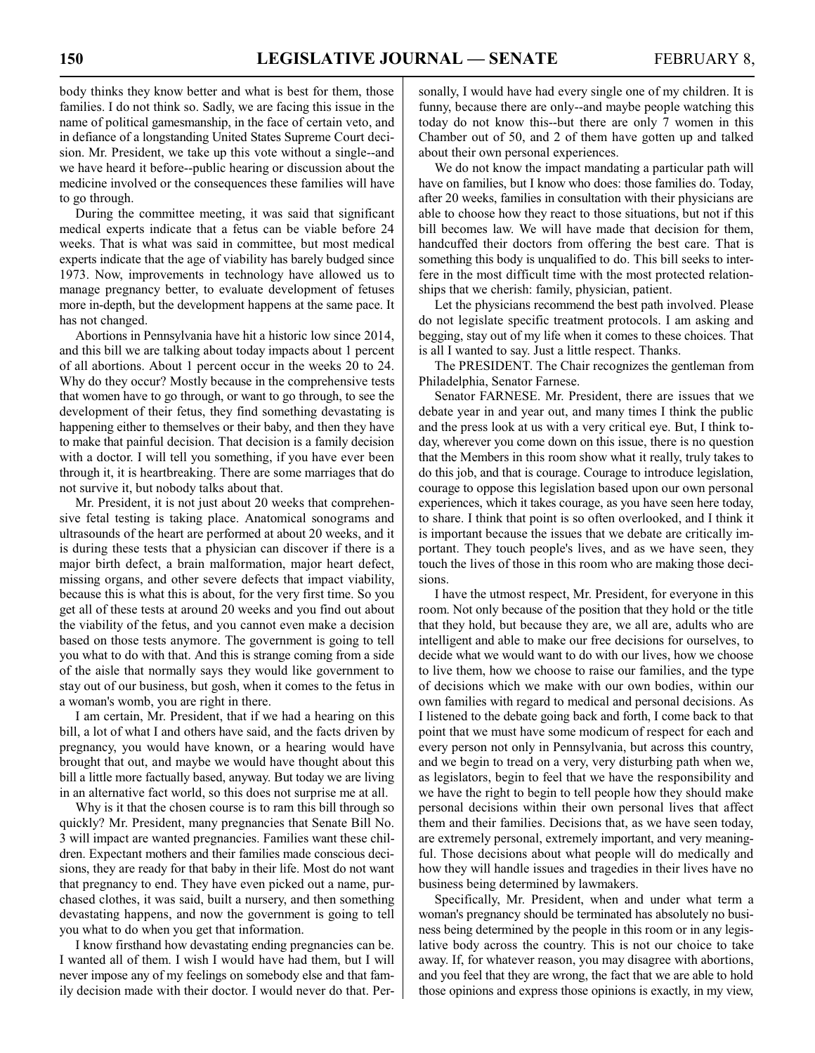body thinks they know better and what is best for them, those families. I do not think so. Sadly, we are facing this issue in the name of political gamesmanship, in the face of certain veto, and in defiance of a longstanding United States Supreme Court decision. Mr. President, we take up this vote without a single--and we have heard it before--public hearing or discussion about the medicine involved or the consequences these families will have to go through.

During the committee meeting, it was said that significant medical experts indicate that a fetus can be viable before 24 weeks. That is what was said in committee, but most medical experts indicate that the age of viability has barely budged since 1973. Now, improvements in technology have allowed us to manage pregnancy better, to evaluate development of fetuses more in-depth, but the development happens at the same pace. It has not changed.

Abortions in Pennsylvania have hit a historic low since 2014, and this bill we are talking about today impacts about 1 percent of all abortions. About 1 percent occur in the weeks 20 to 24. Why do they occur? Mostly because in the comprehensive tests that women have to go through, or want to go through, to see the development of their fetus, they find something devastating is happening either to themselves or their baby, and then they have to make that painful decision. That decision is a family decision with a doctor. I will tell you something, if you have ever been through it, it is heartbreaking. There are some marriages that do not survive it, but nobody talks about that.

Mr. President, it is not just about 20 weeks that comprehensive fetal testing is taking place. Anatomical sonograms and ultrasounds of the heart are performed at about 20 weeks, and it is during these tests that a physician can discover if there is a major birth defect, a brain malformation, major heart defect, missing organs, and other severe defects that impact viability, because this is what this is about, for the very first time. So you get all of these tests at around 20 weeks and you find out about the viability of the fetus, and you cannot even make a decision based on those tests anymore. The government is going to tell you what to do with that. And this is strange coming from a side of the aisle that normally says they would like government to stay out of our business, but gosh, when it comes to the fetus in a woman's womb, you are right in there.

I am certain, Mr. President, that if we had a hearing on this bill, a lot of what I and others have said, and the facts driven by pregnancy, you would have known, or a hearing would have brought that out, and maybe we would have thought about this bill a little more factually based, anyway. But today we are living in an alternative fact world, so this does not surprise me at all.

Why is it that the chosen course is to ram this bill through so quickly? Mr. President, many pregnancies that Senate Bill No. 3 will impact are wanted pregnancies. Families want these children. Expectant mothers and their families made conscious decisions, they are ready for that baby in their life. Most do not want that pregnancy to end. They have even picked out a name, purchased clothes, it was said, built a nursery, and then something devastating happens, and now the government is going to tell you what to do when you get that information.

I know firsthand how devastating ending pregnancies can be. I wanted all of them. I wish I would have had them, but I will never impose any of my feelings on somebody else and that family decision made with their doctor. I would never do that. Personally, I would have had every single one of my children. It is funny, because there are only--and maybe people watching this today do not know this--but there are only 7 women in this Chamber out of 50, and 2 of them have gotten up and talked about their own personal experiences.

We do not know the impact mandating a particular path will have on families, but I know who does: those families do. Today, after 20 weeks, families in consultation with their physicians are able to choose how they react to those situations, but not if this bill becomes law. We will have made that decision for them, handcuffed their doctors from offering the best care. That is something this body is unqualified to do. This bill seeks to interfere in the most difficult time with the most protected relationships that we cherish: family, physician, patient.

Let the physicians recommend the best path involved. Please do not legislate specific treatment protocols. I am asking and begging, stay out of my life when it comes to these choices. That is all I wanted to say. Just a little respect. Thanks.

The PRESIDENT. The Chair recognizes the gentleman from Philadelphia, Senator Farnese.

Senator FARNESE. Mr. President, there are issues that we debate year in and year out, and many times I think the public and the press look at us with a very critical eye. But, I think today, wherever you come down on this issue, there is no question that the Members in this room show what it really, truly takes to do this job, and that is courage. Courage to introduce legislation, courage to oppose this legislation based upon our own personal experiences, which it takes courage, as you have seen here today, to share. I think that point is so often overlooked, and I think it is important because the issues that we debate are critically important. They touch people's lives, and as we have seen, they touch the lives of those in this room who are making those decisions.

I have the utmost respect, Mr. President, for everyone in this room. Not only because of the position that they hold or the title that they hold, but because they are, we all are, adults who are intelligent and able to make our free decisions for ourselves, to decide what we would want to do with our lives, how we choose to live them, how we choose to raise our families, and the type of decisions which we make with our own bodies, within our own families with regard to medical and personal decisions. As I listened to the debate going back and forth, I come back to that point that we must have some modicum of respect for each and every person not only in Pennsylvania, but across this country, and we begin to tread on a very, very disturbing path when we, as legislators, begin to feel that we have the responsibility and we have the right to begin to tell people how they should make personal decisions within their own personal lives that affect them and their families. Decisions that, as we have seen today, are extremely personal, extremely important, and very meaningful. Those decisions about what people will do medically and how they will handle issues and tragedies in their lives have no business being determined by lawmakers.

Specifically, Mr. President, when and under what term a woman's pregnancy should be terminated has absolutely no business being determined by the people in this room or in any legislative body across the country. This is not our choice to take away. If, for whatever reason, you may disagree with abortions, and you feel that they are wrong, the fact that we are able to hold those opinions and express those opinions is exactly, in my view,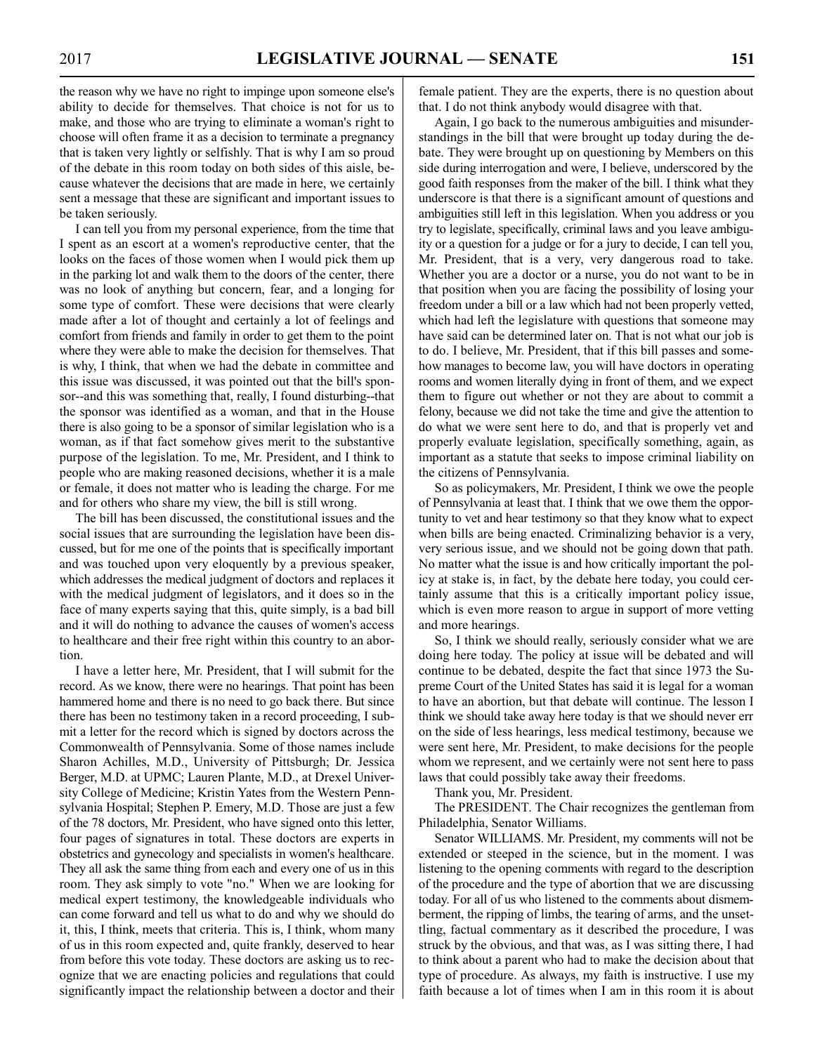the reason why we have no right to impinge upon someone else's ability to decide for themselves. That choice is not for us to make, and those who are trying to eliminate a woman's right to choose will often frame it as a decision to terminate a pregnancy that is taken very lightly or selfishly. That is why I am so proud of the debate in this room today on both sides of this aisle, because whatever the decisions that are made in here, we certainly sent a message that these are significant and important issues to be taken seriously.

I can tell you from my personal experience, from the time that I spent as an escort at a women's reproductive center, that the looks on the faces of those women when I would pick them up in the parking lot and walk them to the doors of the center, there was no look of anything but concern, fear, and a longing for some type of comfort. These were decisions that were clearly made after a lot of thought and certainly a lot of feelings and comfort from friends and family in order to get them to the point where they were able to make the decision for themselves. That is why, I think, that when we had the debate in committee and this issue was discussed, it was pointed out that the bill's sponsor--and this was something that, really, I found disturbing--that the sponsor was identified as a woman, and that in the House there is also going to be a sponsor of similar legislation who is a woman, as if that fact somehow gives merit to the substantive purpose of the legislation. To me, Mr. President, and I think to people who are making reasoned decisions, whether it is a male or female, it does not matter who is leading the charge. For me and for others who share my view, the bill is still wrong.

The bill has been discussed, the constitutional issues and the social issues that are surrounding the legislation have been discussed, but for me one of the points that is specifically important and was touched upon very eloquently by a previous speaker, which addresses the medical judgment of doctors and replaces it with the medical judgment of legislators, and it does so in the face of many experts saying that this, quite simply, is a bad bill and it will do nothing to advance the causes of women's access to healthcare and their free right within this country to an abortion.

I have a letter here, Mr. President, that I will submit for the record. As we know, there were no hearings. That point has been hammered home and there is no need to go back there. But since there has been no testimony taken in a record proceeding, I submit a letter for the record which is signed by doctors across the Commonwealth of Pennsylvania. Some of those names include Sharon Achilles, M.D., University of Pittsburgh; Dr. Jessica Berger, M.D. at UPMC; Lauren Plante, M.D., at Drexel University College of Medicine; Kristin Yates from the Western Pennsylvania Hospital; Stephen P. Emery, M.D. Those are just a few of the 78 doctors, Mr. President, who have signed onto this letter, four pages of signatures in total. These doctors are experts in obstetrics and gynecology and specialists in women's healthcare. They all ask the same thing from each and every one of us in this room. They ask simply to vote "no." When we are looking for medical expert testimony, the knowledgeable individuals who can come forward and tell us what to do and why we should do it, this, I think, meets that criteria. This is, I think, whom many of us in this room expected and, quite frankly, deserved to hear from before this vote today. These doctors are asking us to recognize that we are enacting policies and regulations that could significantly impact the relationship between a doctor and their female patient. They are the experts, there is no question about that. I do not think anybody would disagree with that.

Again, I go back to the numerous ambiguities and misunderstandings in the bill that were brought up today during the debate. They were brought up on questioning by Members on this side during interrogation and were, I believe, underscored by the good faith responses from the maker of the bill. I think what they underscore is that there is a significant amount of questions and ambiguities still left in this legislation. When you address or you try to legislate, specifically, criminal laws and you leave ambiguity or a question for a judge or for a jury to decide, I can tell you, Mr. President, that is a very, very dangerous road to take. Whether you are a doctor or a nurse, you do not want to be in that position when you are facing the possibility of losing your freedom under a bill or a law which had not been properly vetted, which had left the legislature with questions that someone may have said can be determined later on. That is not what our job is to do. I believe, Mr. President, that if this bill passes and somehow manages to become law, you will have doctors in operating rooms and women literally dying in front of them, and we expect them to figure out whether or not they are about to commit a felony, because we did not take the time and give the attention to do what we were sent here to do, and that is properly vet and properly evaluate legislation, specifically something, again, as important as a statute that seeks to impose criminal liability on the citizens of Pennsylvania.

So as policymakers, Mr. President, I think we owe the people of Pennsylvania at least that. I think that we owe them the opportunity to vet and hear testimony so that they know what to expect when bills are being enacted. Criminalizing behavior is a very, very serious issue, and we should not be going down that path. No matter what the issue is and how critically important the policy at stake is, in fact, by the debate here today, you could certainly assume that this is a critically important policy issue, which is even more reason to argue in support of more vetting and more hearings.

So, I think we should really, seriously consider what we are doing here today. The policy at issue will be debated and will continue to be debated, despite the fact that since 1973 the Supreme Court of the United States has said it is legal for a woman to have an abortion, but that debate will continue. The lesson I think we should take away here today is that we should never err on the side of less hearings, less medical testimony, because we were sent here, Mr. President, to make decisions for the people whom we represent, and we certainly were not sent here to pass laws that could possibly take away their freedoms.

Thank you, Mr. President.

The PRESIDENT. The Chair recognizes the gentleman from Philadelphia, Senator Williams.

Senator WILLIAMS. Mr. President, my comments will not be extended or steeped in the science, but in the moment. I was listening to the opening comments with regard to the description of the procedure and the type of abortion that we are discussing today. For all of us who listened to the comments about dismemberment, the ripping of limbs, the tearing of arms, and the unsettling, factual commentary as it described the procedure, I was struck by the obvious, and that was, as I was sitting there, I had to think about a parent who had to make the decision about that type of procedure. As always, my faith is instructive. I use my faith because a lot of times when I am in this room it is about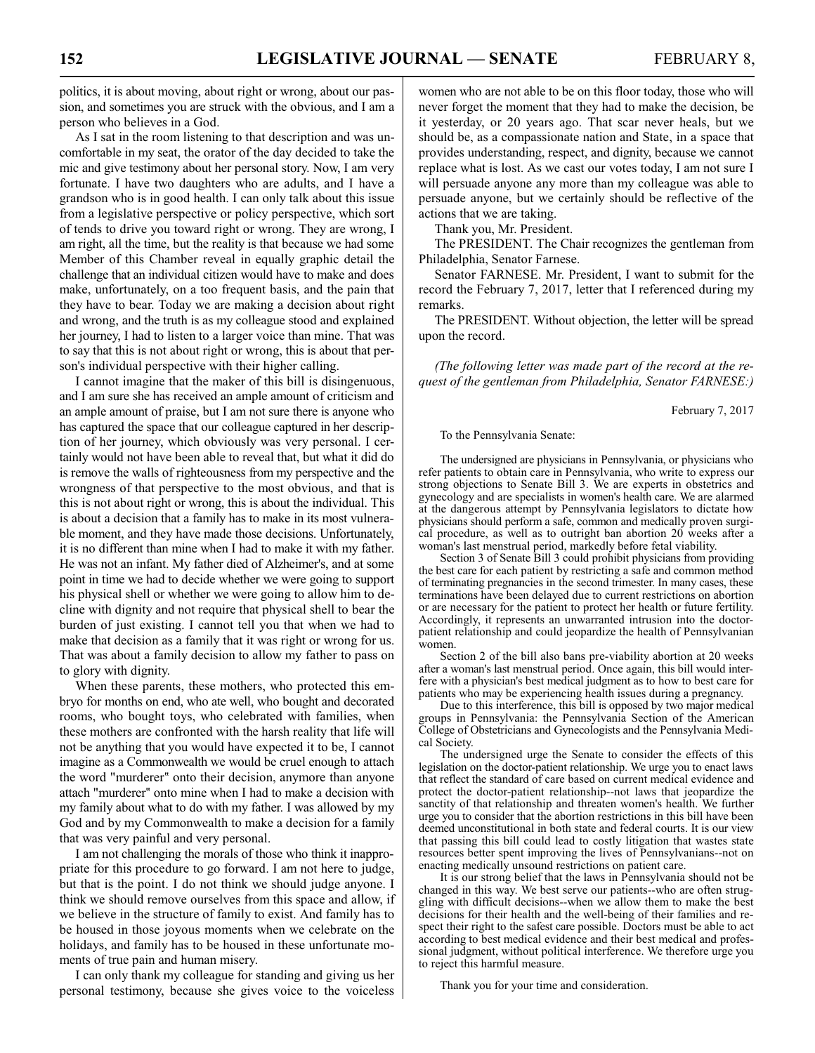politics, it is about moving, about right or wrong, about our passion, and sometimes you are struck with the obvious, and I am a person who believes in a God.

As I sat in the room listening to that description and was uncomfortable in my seat, the orator of the day decided to take the mic and give testimony about her personal story. Now, I am very fortunate. I have two daughters who are adults, and I have a grandson who is in good health. I can only talk about this issue from a legislative perspective or policy perspective, which sort of tends to drive you toward right or wrong. They are wrong, I am right, all the time, but the reality is that because we had some Member of this Chamber reveal in equally graphic detail the challenge that an individual citizen would have to make and does make, unfortunately, on a too frequent basis, and the pain that they have to bear. Today we are making a decision about right and wrong, and the truth is as my colleague stood and explained her journey, I had to listen to a larger voice than mine. That was to say that this is not about right or wrong, this is about that person's individual perspective with their higher calling.

I cannot imagine that the maker of this bill is disingenuous, and I am sure she has received an ample amount of criticism and an ample amount of praise, but I am not sure there is anyone who has captured the space that our colleague captured in her description of her journey, which obviously was very personal. I certainly would not have been able to reveal that, but what it did do is remove the walls of righteousness from my perspective and the wrongness of that perspective to the most obvious, and that is this is not about right or wrong, this is about the individual. This is about a decision that a family has to make in its most vulnerable moment, and they have made those decisions. Unfortunately, it is no different than mine when I had to make it with my father. He was not an infant. My father died of Alzheimer's, and at some point in time we had to decide whether we were going to support his physical shell or whether we were going to allow him to decline with dignity and not require that physical shell to bear the burden of just existing. I cannot tell you that when we had to make that decision as a family that it was right or wrong for us. That was about a family decision to allow my father to pass on to glory with dignity.

When these parents, these mothers, who protected this embryo for months on end, who ate well, who bought and decorated rooms, who bought toys, who celebrated with families, when these mothers are confronted with the harsh reality that life will not be anything that you would have expected it to be, I cannot imagine as a Commonwealth we would be cruel enough to attach the word "murderer? onto their decision, anymore than anyone attach "murderer? onto mine when I had to make a decision with my family about what to do with my father. I was allowed by my God and by my Commonwealth to make a decision for a family that was very painful and very personal.

I am not challenging the morals of those who think it inappropriate for this procedure to go forward. I am not here to judge, but that is the point. I do not think we should judge anyone. I think we should remove ourselves from this space and allow, if we believe in the structure of family to exist. And family has to be housed in those joyous moments when we celebrate on the holidays, and family has to be housed in these unfortunate moments of true pain and human misery.

I can only thank my colleague for standing and giving us her personal testimony, because she gives voice to the voiceless women who are not able to be on this floor today, those who will never forget the moment that they had to make the decision, be it yesterday, or 20 years ago. That scar never heals, but we should be, as a compassionate nation and State, in a space that provides understanding, respect, and dignity, because we cannot replace what is lost. As we cast our votes today, I am not sure I will persuade anyone any more than my colleague was able to persuade anyone, but we certainly should be reflective of the actions that we are taking.

Thank you, Mr. President.

The PRESIDENT. The Chair recognizes the gentleman from Philadelphia, Senator Farnese.

Senator FARNESE. Mr. President, I want to submit for the record the February 7, 2017, letter that I referenced during my remarks.

The PRESIDENT. Without objection, the letter will be spread upon the record.

*(The following letter was made part of the record at the request of the gentleman from Philadelphia, Senator FARNESE:)*

February 7, 2017

#### To the Pennsylvania Senate:

The undersigned are physicians in Pennsylvania, or physicians who refer patients to obtain care in Pennsylvania, who write to express our strong objections to Senate Bill 3. We are experts in obstetrics and gynecology and are specialists in women's health care. We are alarmed at the dangerous attempt by Pennsylvania legislators to dictate how physicians should perform a safe, common and medically proven surgical procedure, as well as to outright ban abortion 20 weeks after a woman's last menstrual period, markedly before fetal viability.

Section 3 of Senate Bill 3 could prohibit physicians from providing the best care for each patient by restricting a safe and common method of terminating pregnancies in the second trimester. In many cases, these terminations have been delayed due to current restrictions on abortion or are necessary for the patient to protect her health or future fertility. Accordingly, it represents an unwarranted intrusion into the doctorpatient relationship and could jeopardize the health of Pennsylvanian women.

Section 2 of the bill also bans pre-viability abortion at 20 weeks after a woman's last menstrual period. Once again, this bill would interfere with a physician's best medical judgment as to how to best care for patients who may be experiencing health issues during a pregnancy.

Due to this interference, this bill is opposed by two major medical groups in Pennsylvania: the Pennsylvania Section of the American College of Obstetricians and Gynecologists and the Pennsylvania Medical Society.

The undersigned urge the Senate to consider the effects of this legislation on the doctor-patient relationship. We urge you to enact laws that reflect the standard of care based on current medical evidence and protect the doctor-patient relationship--not laws that jeopardize the sanctity of that relationship and threaten women's health. We further urge you to consider that the abortion restrictions in this bill have been deemed unconstitutional in both state and federal courts. It is our view that passing this bill could lead to costly litigation that wastes state resources better spent improving the lives of Pennsylvanians--not on enacting medically unsound restrictions on patient care.

It is our strong belief that the laws in Pennsylvania should not be changed in this way. We best serve our patients--who are often struggling with difficult decisions--when we allow them to make the best decisions for their health and the well-being of their families and respect their right to the safest care possible. Doctors must be able to act according to best medical evidence and their best medical and professional judgment, without political interference. We therefore urge you to reject this harmful measure.

Thank you for your time and consideration.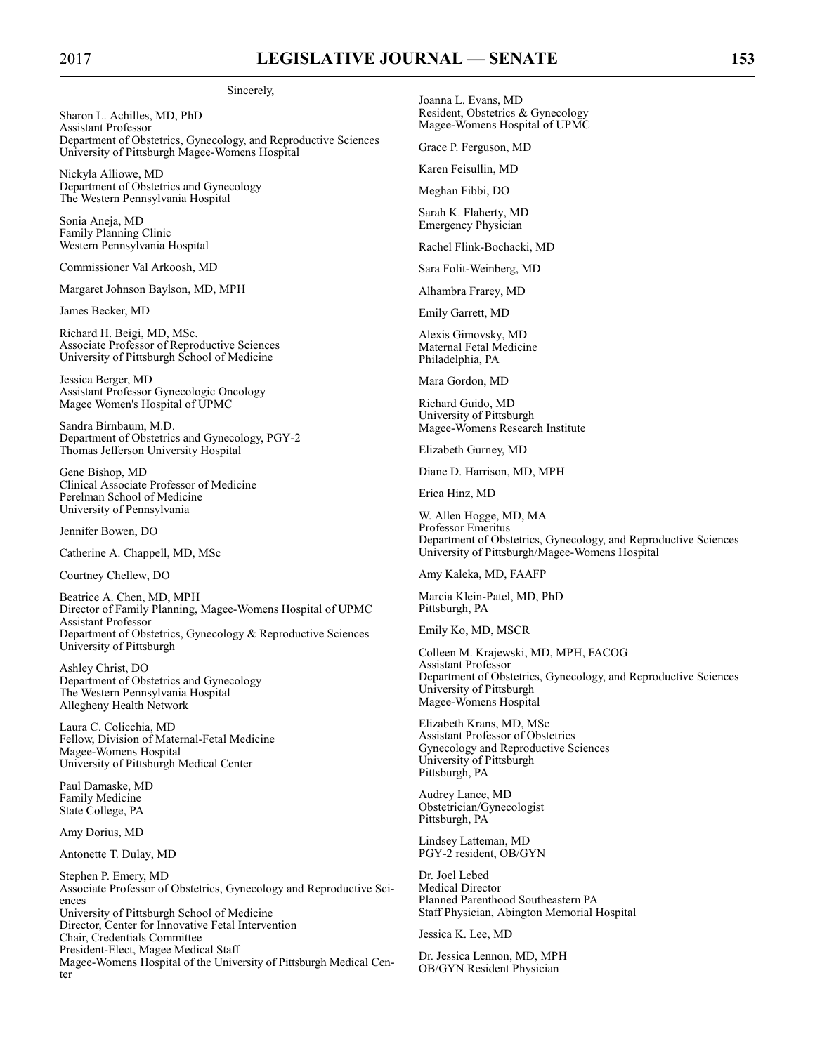#### Sincerely,

Sharon L. Achilles, MD, PhD Assistant Professor Department of Obstetrics, Gynecology, and Reproductive Sciences University of Pittsburgh Magee-Womens Hospital

Nickyla Alliowe, MD Department of Obstetrics and Gynecology The Western Pennsylvania Hospital

Sonia Aneja, MD Family Planning Clinic Western Pennsylvania Hospital

Commissioner Val Arkoosh, MD

Margaret Johnson Baylson, MD, MPH

James Becker, MD

Richard H. Beigi, MD, MSc. Associate Professor of Reproductive Sciences University of Pittsburgh School of Medicine

Jessica Berger, MD Assistant Professor Gynecologic Oncology Magee Women's Hospital of UPMC

Sandra Birnbaum, M.D. Department of Obstetrics and Gynecology, PGY-2 Thomas Jefferson University Hospital

Gene Bishop, MD Clinical Associate Professor of Medicine Perelman School of Medicine University of Pennsylvania

Jennifer Bowen, DO

Catherine A. Chappell, MD, MSc

Courtney Chellew, DO

Beatrice A. Chen, MD, MPH Director of Family Planning, Magee-Womens Hospital of UPMC Assistant Professor Department of Obstetrics, Gynecology & Reproductive Sciences University of Pittsburgh

Ashley Christ, DO Department of Obstetrics and Gynecology The Western Pennsylvania Hospital Allegheny Health Network

Laura C. Colicchia, MD Fellow, Division of Maternal-Fetal Medicine Magee-Womens Hospital University of Pittsburgh Medical Center

Paul Damaske, MD Family Medicine State College, PA

Amy Dorius, MD

Antonette T. Dulay, MD

Stephen P. Emery, MD Associate Professor of Obstetrics, Gynecology and Reproductive Sciences University of Pittsburgh School of Medicine Director, Center for Innovative Fetal Intervention Chair, Credentials Committee President-Elect, Magee Medical Staff Magee-Womens Hospital of the University of Pittsburgh Medical Center

Joanna L. Evans, MD Resident, Obstetrics & Gynecology Magee-Womens Hospital of UPMC

Grace P. Ferguson, MD

Karen Feisullin, MD

Meghan Fibbi, DO

Sarah K. Flaherty, MD Emergency Physician

Rachel Flink-Bochacki, MD

Sara Folit-Weinberg, MD

Alhambra Frarey, MD

Emily Garrett, MD

Alexis Gimovsky, MD Maternal Fetal Medicine Philadelphia, PA

Mara Gordon, MD

Richard Guido, MD University of Pittsburgh Magee-Womens Research Institute

Elizabeth Gurney, MD

Diane D. Harrison, MD, MPH

Erica Hinz, MD

W. Allen Hogge, MD, MA Professor Emeritus Department of Obstetrics, Gynecology, and Reproductive Sciences University of Pittsburgh/Magee-Womens Hospital

Amy Kaleka, MD, FAAFP

Marcia Klein-Patel, MD, PhD Pittsburgh, PA

Emily Ko, MD, MSCR

Colleen M. Krajewski, MD, MPH, FACOG Assistant Professor Department of Obstetrics, Gynecology, and Reproductive Sciences University of Pittsburgh Magee-Womens Hospital

Elizabeth Krans, MD, MSc Assistant Professor of Obstetrics Gynecology and Reproductive Sciences University of Pittsburgh Pittsburgh, PA

Audrey Lance, MD Obstetrician/Gynecologist Pittsburgh, PA

Lindsey Latteman, MD PGY-2 resident, OB/GYN

Dr. Joel Lebed Medical Director Planned Parenthood Southeastern PA Staff Physician, Abington Memorial Hospital

Jessica K. Lee, MD

Dr. Jessica Lennon, MD, MPH OB/GYN Resident Physician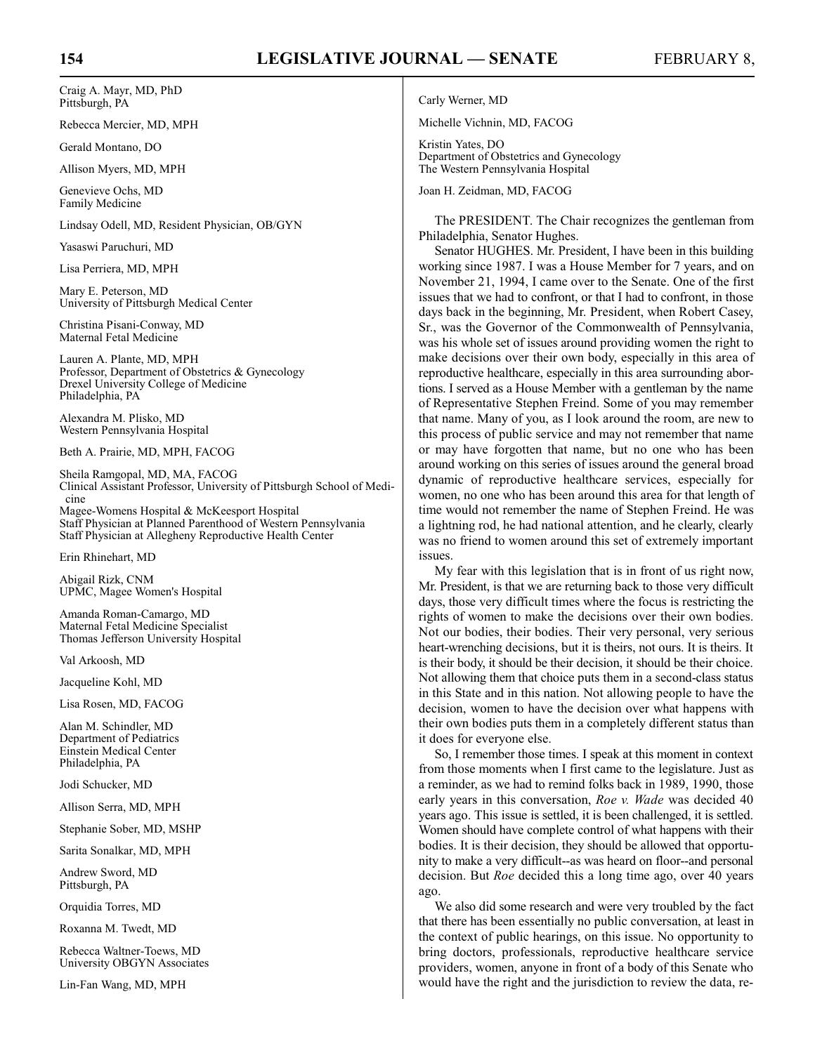Craig A. Mayr, MD, PhD Pittsburgh, PA

Rebecca Mercier, MD, MPH

Gerald Montano, DO

Allison Myers, MD, MPH

Genevieve Ochs, MD Family Medicine

Lindsay Odell, MD, Resident Physician, OB/GYN

Yasaswi Paruchuri, MD

Lisa Perriera, MD, MPH

Mary E. Peterson, MD University of Pittsburgh Medical Center

Christina Pisani-Conway, MD Maternal Fetal Medicine

Lauren A. Plante, MD, MPH Professor, Department of Obstetrics & Gynecology Drexel University College of Medicine Philadelphia, PA

Alexandra M. Plisko, MD Western Pennsylvania Hospital

Beth A. Prairie, MD, MPH, FACOG

Sheila Ramgopal, MD, MA, FACOG Clinical Assistant Professor, University of Pittsburgh School of Medi cine

Magee-Womens Hospital & McKeesport Hospital Staff Physician at Planned Parenthood of Western Pennsylvania Staff Physician at Allegheny Reproductive Health Center

Erin Rhinehart, MD

Abigail Rizk, CNM UPMC, Magee Women's Hospital

Amanda Roman-Camargo, MD Maternal Fetal Medicine Specialist Thomas Jefferson University Hospital

Val Arkoosh, MD

Jacqueline Kohl, MD

Lisa Rosen, MD, FACOG

Alan M. Schindler, MD Department of Pediatrics Einstein Medical Center Philadelphia, PA

Jodi Schucker, MD

Allison Serra, MD, MPH

Stephanie Sober, MD, MSHP

Sarita Sonalkar, MD, MPH

Andrew Sword, MD Pittsburgh, PA

Orquidia Torres, MD

Roxanna M. Twedt, MD

Rebecca Waltner-Toews, MD University OBGYN Associates

Lin-Fan Wang, MD, MPH

Carly Werner, MD

Michelle Vichnin, MD, FACOG

Kristin Yates, DO Department of Obstetrics and Gynecology The Western Pennsylvania Hospital

Joan H. Zeidman, MD, FACOG

The PRESIDENT. The Chair recognizes the gentleman from Philadelphia, Senator Hughes.

Senator HUGHES. Mr. President, I have been in this building working since 1987. I was a House Member for 7 years, and on November 21, 1994, I came over to the Senate. One of the first issues that we had to confront, or that I had to confront, in those days back in the beginning, Mr. President, when Robert Casey, Sr., was the Governor of the Commonwealth of Pennsylvania, was his whole set of issues around providing women the right to make decisions over their own body, especially in this area of reproductive healthcare, especially in this area surrounding abortions. I served as a House Member with a gentleman by the name of Representative Stephen Freind. Some of you may remember that name. Many of you, as I look around the room, are new to this process of public service and may not remember that name or may have forgotten that name, but no one who has been around working on this series of issues around the general broad dynamic of reproductive healthcare services, especially for women, no one who has been around this area for that length of time would not remember the name of Stephen Freind. He was a lightning rod, he had national attention, and he clearly, clearly was no friend to women around this set of extremely important issues.

My fear with this legislation that is in front of us right now, Mr. President, is that we are returning back to those very difficult days, those very difficult times where the focus is restricting the rights of women to make the decisions over their own bodies. Not our bodies, their bodies. Their very personal, very serious heart-wrenching decisions, but it is theirs, not ours. It is theirs. It is their body, it should be their decision, it should be their choice. Not allowing them that choice puts them in a second-class status in this State and in this nation. Not allowing people to have the decision, women to have the decision over what happens with their own bodies puts them in a completely different status than it does for everyone else.

So, I remember those times. I speak at this moment in context from those moments when I first came to the legislature. Just as a reminder, as we had to remind folks back in 1989, 1990, those early years in this conversation, *Roe v. Wade* was decided 40 years ago. This issue is settled, it is been challenged, it is settled. Women should have complete control of what happens with their bodies. It is their decision, they should be allowed that opportunity to make a very difficult--as was heard on floor--and personal decision. But *Roe* decided this a long time ago, over 40 years ago.

We also did some research and were very troubled by the fact that there has been essentially no public conversation, at least in the context of public hearings, on this issue. No opportunity to bring doctors, professionals, reproductive healthcare service providers, women, anyone in front of a body of this Senate who would have the right and the jurisdiction to review the data, re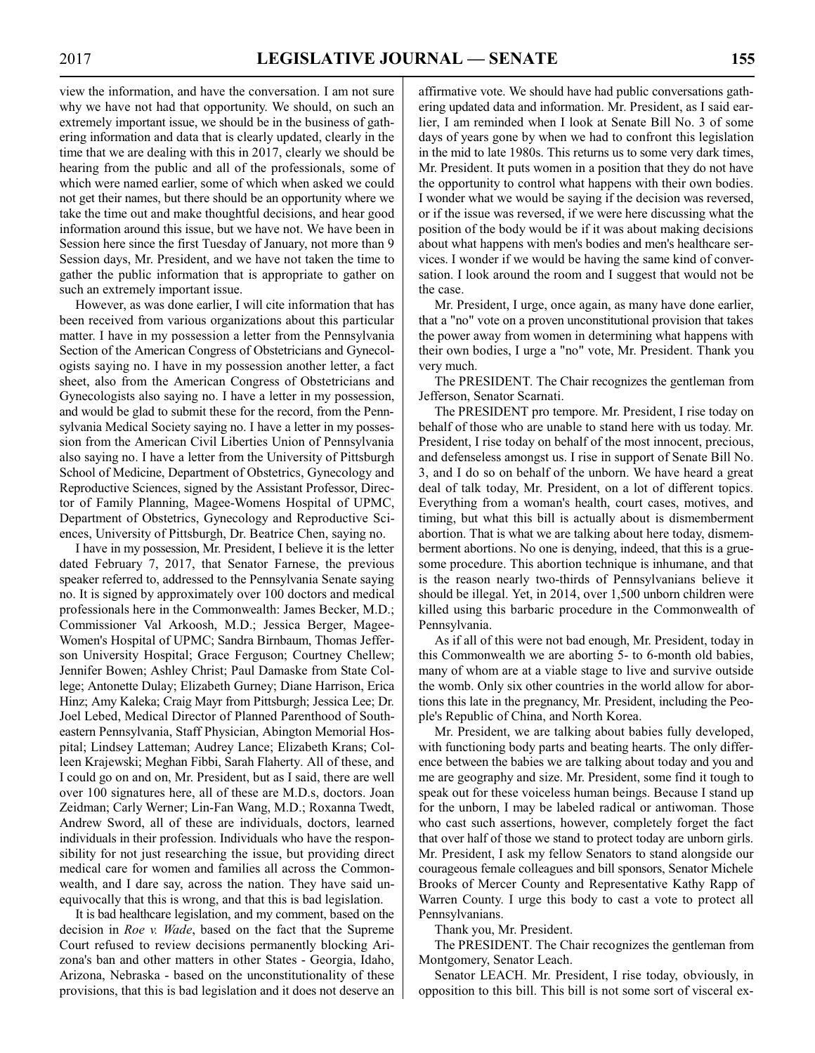view the information, and have the conversation. I am not sure why we have not had that opportunity. We should, on such an extremely important issue, we should be in the business of gathering information and data that is clearly updated, clearly in the time that we are dealing with this in 2017, clearly we should be hearing from the public and all of the professionals, some of which were named earlier, some of which when asked we could not get their names, but there should be an opportunity where we take the time out and make thoughtful decisions, and hear good information around this issue, but we have not. We have been in Session here since the first Tuesday of January, not more than 9 Session days, Mr. President, and we have not taken the time to gather the public information that is appropriate to gather on such an extremely important issue.

However, as was done earlier, I will cite information that has been received from various organizations about this particular matter. I have in my possession a letter from the Pennsylvania Section of the American Congress of Obstetricians and Gynecologists saying no. I have in my possession another letter, a fact sheet, also from the American Congress of Obstetricians and Gynecologists also saying no. I have a letter in my possession, and would be glad to submit these for the record, from the Pennsylvania Medical Society saying no. I have a letter in my possession from the American Civil Liberties Union of Pennsylvania also saying no. I have a letter from the University of Pittsburgh School of Medicine, Department of Obstetrics, Gynecology and Reproductive Sciences, signed by the Assistant Professor, Director of Family Planning, Magee-Womens Hospital of UPMC, Department of Obstetrics, Gynecology and Reproductive Sciences, University of Pittsburgh, Dr. Beatrice Chen, saying no.

I have in my possession, Mr. President, I believe it is the letter dated February 7, 2017, that Senator Farnese, the previous speaker referred to, addressed to the Pennsylvania Senate saying no. It is signed by approximately over 100 doctors and medical professionals here in the Commonwealth: James Becker, M.D.; Commissioner Val Arkoosh, M.D.; Jessica Berger, Magee-Women's Hospital of UPMC; Sandra Birnbaum, Thomas Jefferson University Hospital; Grace Ferguson; Courtney Chellew; Jennifer Bowen; Ashley Christ; Paul Damaske from State College; Antonette Dulay; Elizabeth Gurney; Diane Harrison, Erica Hinz; Amy Kaleka; Craig Mayr from Pittsburgh; Jessica Lee; Dr. Joel Lebed, Medical Director of Planned Parenthood of Southeastern Pennsylvania, Staff Physician, Abington Memorial Hospital; Lindsey Latteman; Audrey Lance; Elizabeth Krans; Colleen Krajewski; Meghan Fibbi, Sarah Flaherty. All of these, and I could go on and on, Mr. President, but as I said, there are well over 100 signatures here, all of these are M.D.s, doctors. Joan Zeidman; Carly Werner; Lin-Fan Wang, M.D.; Roxanna Twedt, Andrew Sword, all of these are individuals, doctors, learned individuals in their profession. Individuals who have the responsibility for not just researching the issue, but providing direct medical care for women and families all across the Commonwealth, and I dare say, across the nation. They have said unequivocally that this is wrong, and that this is bad legislation.

It is bad healthcare legislation, and my comment, based on the decision in *Roe v. Wade*, based on the fact that the Supreme Court refused to review decisions permanently blocking Arizona's ban and other matters in other States - Georgia, Idaho, Arizona, Nebraska - based on the unconstitutionality of these provisions, that this is bad legislation and it does not deserve an affirmative vote. We should have had public conversations gathering updated data and information. Mr. President, as I said earlier, I am reminded when I look at Senate Bill No. 3 of some days of years gone by when we had to confront this legislation in the mid to late 1980s. This returns us to some very dark times, Mr. President. It puts women in a position that they do not have the opportunity to control what happens with their own bodies. I wonder what we would be saying if the decision was reversed, or if the issue was reversed, if we were here discussing what the position of the body would be if it was about making decisions about what happens with men's bodies and men's healthcare services. I wonder if we would be having the same kind of conversation. I look around the room and I suggest that would not be the case.

Mr. President, I urge, once again, as many have done earlier, that a "no" vote on a proven unconstitutional provision that takes the power away from women in determining what happens with their own bodies, I urge a "no" vote, Mr. President. Thank you very much.

The PRESIDENT. The Chair recognizes the gentleman from Jefferson, Senator Scarnati.

The PRESIDENT pro tempore. Mr. President, I rise today on behalf of those who are unable to stand here with us today. Mr. President, I rise today on behalf of the most innocent, precious, and defenseless amongst us. I rise in support of Senate Bill No. 3, and I do so on behalf of the unborn. We have heard a great deal of talk today, Mr. President, on a lot of different topics. Everything from a woman's health, court cases, motives, and timing, but what this bill is actually about is dismemberment abortion. That is what we are talking about here today, dismemberment abortions. No one is denying, indeed, that this is a gruesome procedure. This abortion technique is inhumane, and that is the reason nearly two-thirds of Pennsylvanians believe it should be illegal. Yet, in 2014, over 1,500 unborn children were killed using this barbaric procedure in the Commonwealth of Pennsylvania.

As if all of this were not bad enough, Mr. President, today in this Commonwealth we are aborting 5- to 6-month old babies, many of whom are at a viable stage to live and survive outside the womb. Only six other countries in the world allow for abortions this late in the pregnancy, Mr. President, including the People's Republic of China, and North Korea.

Mr. President, we are talking about babies fully developed, with functioning body parts and beating hearts. The only difference between the babies we are talking about today and you and me are geography and size. Mr. President, some find it tough to speak out for these voiceless human beings. Because I stand up for the unborn, I may be labeled radical or antiwoman. Those who cast such assertions, however, completely forget the fact that over half of those we stand to protect today are unborn girls. Mr. President, I ask my fellow Senators to stand alongside our courageous female colleagues and bill sponsors, Senator Michele Brooks of Mercer County and Representative Kathy Rapp of Warren County. I urge this body to cast a vote to protect all Pennsylvanians.

Thank you, Mr. President.

The PRESIDENT. The Chair recognizes the gentleman from Montgomery, Senator Leach.

Senator LEACH. Mr. President, I rise today, obviously, in opposition to this bill. This bill is not some sort of visceral ex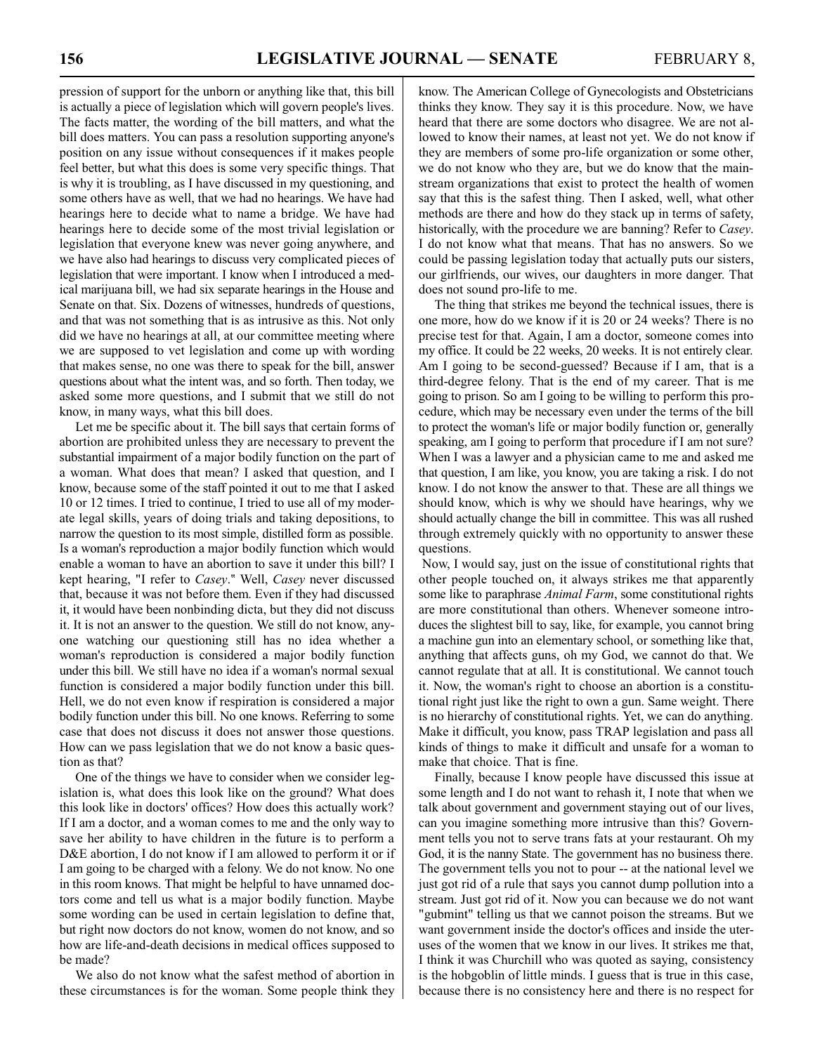pression of support for the unborn or anything like that, this bill is actually a piece of legislation which will govern people's lives. The facts matter, the wording of the bill matters, and what the bill does matters. You can pass a resolution supporting anyone's position on any issue without consequences if it makes people feel better, but what this does is some very specific things. That is why it is troubling, as I have discussed in my questioning, and some others have as well, that we had no hearings. We have had hearings here to decide what to name a bridge. We have had hearings here to decide some of the most trivial legislation or legislation that everyone knew was never going anywhere, and we have also had hearings to discuss very complicated pieces of legislation that were important. I know when I introduced a medical marijuana bill, we had six separate hearings in the House and Senate on that. Six. Dozens of witnesses, hundreds of questions, and that was not something that is as intrusive as this. Not only did we have no hearings at all, at our committee meeting where we are supposed to vet legislation and come up with wording that makes sense, no one was there to speak for the bill, answer questions about what the intent was, and so forth. Then today, we asked some more questions, and I submit that we still do not know, in many ways, what this bill does.

Let me be specific about it. The bill says that certain forms of abortion are prohibited unless they are necessary to prevent the substantial impairment of a major bodily function on the part of a woman. What does that mean? I asked that question, and I know, because some of the staff pointed it out to me that I asked 10 or 12 times. I tried to continue, I tried to use all of my moderate legal skills, years of doing trials and taking depositions, to narrow the question to its most simple, distilled form as possible. Is a woman's reproduction a major bodily function which would enable a woman to have an abortion to save it under this bill? I kept hearing, "I refer to *Casey*." Well, *Casey* never discussed that, because it was not before them. Even if they had discussed it, it would have been nonbinding dicta, but they did not discuss it. It is not an answer to the question. We still do not know, anyone watching our questioning still has no idea whether a woman's reproduction is considered a major bodily function under this bill. We still have no idea if a woman's normal sexual function is considered a major bodily function under this bill. Hell, we do not even know if respiration is considered a major bodily function under this bill. No one knows. Referring to some case that does not discuss it does not answer those questions. How can we pass legislation that we do not know a basic question as that?

One of the things we have to consider when we consider legislation is, what does this look like on the ground? What does this look like in doctors' offices? How does this actually work? If I am a doctor, and a woman comes to me and the only way to save her ability to have children in the future is to perform a D&E abortion, I do not know if I am allowed to perform it or if I am going to be charged with a felony. We do not know. No one in this room knows. That might be helpful to have unnamed doctors come and tell us what is a major bodily function. Maybe some wording can be used in certain legislation to define that, but right now doctors do not know, women do not know, and so how are life-and-death decisions in medical offices supposed to be made?

We also do not know what the safest method of abortion in these circumstances is for the woman. Some people think they know. The American College of Gynecologists and Obstetricians thinks they know. They say it is this procedure. Now, we have heard that there are some doctors who disagree. We are not allowed to know their names, at least not yet. We do not know if they are members of some pro-life organization or some other, we do not know who they are, but we do know that the mainstream organizations that exist to protect the health of women say that this is the safest thing. Then I asked, well, what other methods are there and how do they stack up in terms of safety, historically, with the procedure we are banning? Refer to *Casey*. I do not know what that means. That has no answers. So we could be passing legislation today that actually puts our sisters, our girlfriends, our wives, our daughters in more danger. That does not sound pro-life to me.

The thing that strikes me beyond the technical issues, there is one more, how do we know if it is 20 or 24 weeks? There is no precise test for that. Again, I am a doctor, someone comes into my office. It could be 22 weeks, 20 weeks. It is not entirely clear. Am I going to be second-guessed? Because if I am, that is a third-degree felony. That is the end of my career. That is me going to prison. So am I going to be willing to perform this procedure, which may be necessary even under the terms of the bill to protect the woman's life or major bodily function or, generally speaking, am I going to perform that procedure if I am not sure? When I was a lawyer and a physician came to me and asked me that question, I am like, you know, you are taking a risk. I do not know. I do not know the answer to that. These are all things we should know, which is why we should have hearings, why we should actually change the bill in committee. This was all rushed through extremely quickly with no opportunity to answer these questions.

Now, I would say, just on the issue of constitutional rights that other people touched on, it always strikes me that apparently some like to paraphrase *Animal Farm*, some constitutional rights are more constitutional than others. Whenever someone introduces the slightest bill to say, like, for example, you cannot bring a machine gun into an elementary school, or something like that, anything that affects guns, oh my God, we cannot do that. We cannot regulate that at all. It is constitutional. We cannot touch it. Now, the woman's right to choose an abortion is a constitutional right just like the right to own a gun. Same weight. There is no hierarchy of constitutional rights. Yet, we can do anything. Make it difficult, you know, pass TRAP legislation and pass all kinds of things to make it difficult and unsafe for a woman to make that choice. That is fine.

Finally, because I know people have discussed this issue at some length and I do not want to rehash it, I note that when we talk about government and government staying out of our lives, can you imagine something more intrusive than this? Government tells you not to serve trans fats at your restaurant. Oh my God, it is the nanny State. The government has no business there. The government tells you not to pour -- at the national level we just got rid of a rule that says you cannot dump pollution into a stream. Just got rid of it. Now you can because we do not want "gubmint" telling us that we cannot poison the streams. But we want government inside the doctor's offices and inside the uteruses of the women that we know in our lives. It strikes me that, I think it was Churchill who was quoted as saying, consistency is the hobgoblin of little minds. I guess that is true in this case, because there is no consistency here and there is no respect for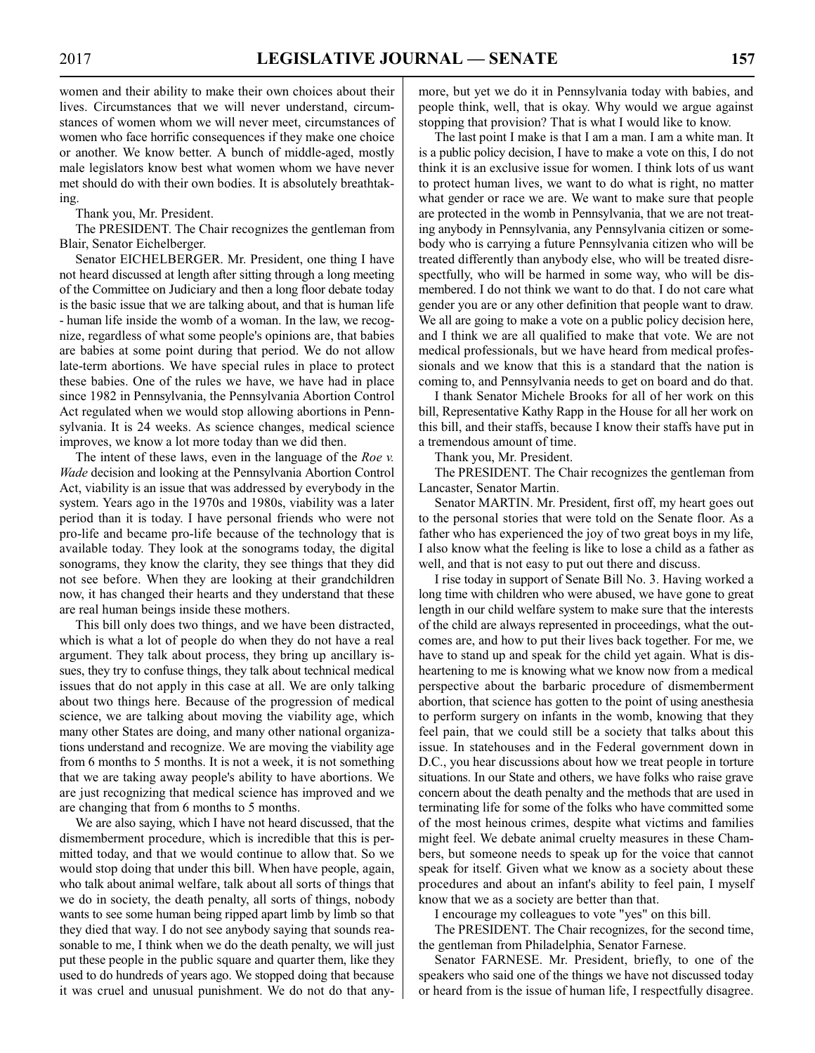women and their ability to make their own choices about their lives. Circumstances that we will never understand, circumstances of women whom we will never meet, circumstances of women who face horrific consequences if they make one choice or another. We know better. A bunch of middle-aged, mostly male legislators know best what women whom we have never met should do with their own bodies. It is absolutely breathtaking.

Thank you, Mr. President.

The PRESIDENT. The Chair recognizes the gentleman from Blair, Senator Eichelberger.

Senator EICHELBERGER. Mr. President, one thing I have not heard discussed at length after sitting through a long meeting of the Committee on Judiciary and then a long floor debate today is the basic issue that we are talking about, and that is human life - human life inside the womb of a woman. In the law, we recognize, regardless of what some people's opinions are, that babies are babies at some point during that period. We do not allow late-term abortions. We have special rules in place to protect these babies. One of the rules we have, we have had in place since 1982 in Pennsylvania, the Pennsylvania Abortion Control Act regulated when we would stop allowing abortions in Pennsylvania. It is 24 weeks. As science changes, medical science improves, we know a lot more today than we did then.

The intent of these laws, even in the language of the *Roe v. Wade* decision and looking at the Pennsylvania Abortion Control Act, viability is an issue that was addressed by everybody in the system. Years ago in the 1970s and 1980s, viability was a later period than it is today. I have personal friends who were not pro-life and became pro-life because of the technology that is available today. They look at the sonograms today, the digital sonograms, they know the clarity, they see things that they did not see before. When they are looking at their grandchildren now, it has changed their hearts and they understand that these are real human beings inside these mothers.

This bill only does two things, and we have been distracted, which is what a lot of people do when they do not have a real argument. They talk about process, they bring up ancillary issues, they try to confuse things, they talk about technical medical issues that do not apply in this case at all. We are only talking about two things here. Because of the progression of medical science, we are talking about moving the viability age, which many other States are doing, and many other national organizations understand and recognize. We are moving the viability age from 6 months to 5 months. It is not a week, it is not something that we are taking away people's ability to have abortions. We are just recognizing that medical science has improved and we are changing that from 6 months to 5 months.

We are also saying, which I have not heard discussed, that the dismemberment procedure, which is incredible that this is permitted today, and that we would continue to allow that. So we would stop doing that under this bill. When have people, again, who talk about animal welfare, talk about all sorts of things that we do in society, the death penalty, all sorts of things, nobody wants to see some human being ripped apart limb by limb so that they died that way. I do not see anybody saying that sounds reasonable to me, I think when we do the death penalty, we will just put these people in the public square and quarter them, like they used to do hundreds of years ago. We stopped doing that because it was cruel and unusual punishment. We do not do that anymore, but yet we do it in Pennsylvania today with babies, and people think, well, that is okay. Why would we argue against stopping that provision? That is what I would like to know.

The last point I make is that I am a man. I am a white man. It is a public policy decision, I have to make a vote on this, I do not think it is an exclusive issue for women. I think lots of us want to protect human lives, we want to do what is right, no matter what gender or race we are. We want to make sure that people are protected in the womb in Pennsylvania, that we are not treating anybody in Pennsylvania, any Pennsylvania citizen or somebody who is carrying a future Pennsylvania citizen who will be treated differently than anybody else, who will be treated disrespectfully, who will be harmed in some way, who will be dismembered. I do not think we want to do that. I do not care what gender you are or any other definition that people want to draw. We all are going to make a vote on a public policy decision here, and I think we are all qualified to make that vote. We are not medical professionals, but we have heard from medical professionals and we know that this is a standard that the nation is coming to, and Pennsylvania needs to get on board and do that.

I thank Senator Michele Brooks for all of her work on this bill, Representative Kathy Rapp in the House for all her work on this bill, and their staffs, because I know their staffs have put in a tremendous amount of time.

Thank you, Mr. President.

The PRESIDENT. The Chair recognizes the gentleman from Lancaster, Senator Martin.

Senator MARTIN. Mr. President, first off, my heart goes out to the personal stories that were told on the Senate floor. As a father who has experienced the joy of two great boys in my life, I also know what the feeling is like to lose a child as a father as well, and that is not easy to put out there and discuss.

I rise today in support of Senate Bill No. 3. Having worked a long time with children who were abused, we have gone to great length in our child welfare system to make sure that the interests of the child are always represented in proceedings, what the outcomes are, and how to put their lives back together. For me, we have to stand up and speak for the child yet again. What is disheartening to me is knowing what we know now from a medical perspective about the barbaric procedure of dismemberment abortion, that science has gotten to the point of using anesthesia to perform surgery on infants in the womb, knowing that they feel pain, that we could still be a society that talks about this issue. In statehouses and in the Federal government down in D.C., you hear discussions about how we treat people in torture situations. In our State and others, we have folks who raise grave concern about the death penalty and the methods that are used in terminating life for some of the folks who have committed some of the most heinous crimes, despite what victims and families might feel. We debate animal cruelty measures in these Chambers, but someone needs to speak up for the voice that cannot speak for itself. Given what we know as a society about these procedures and about an infant's ability to feel pain, I myself know that we as a society are better than that.

I encourage my colleagues to vote "yes" on this bill.

The PRESIDENT. The Chair recognizes, for the second time, the gentleman from Philadelphia, Senator Farnese.

Senator FARNESE. Mr. President, briefly, to one of the speakers who said one of the things we have not discussed today or heard from is the issue of human life, I respectfully disagree.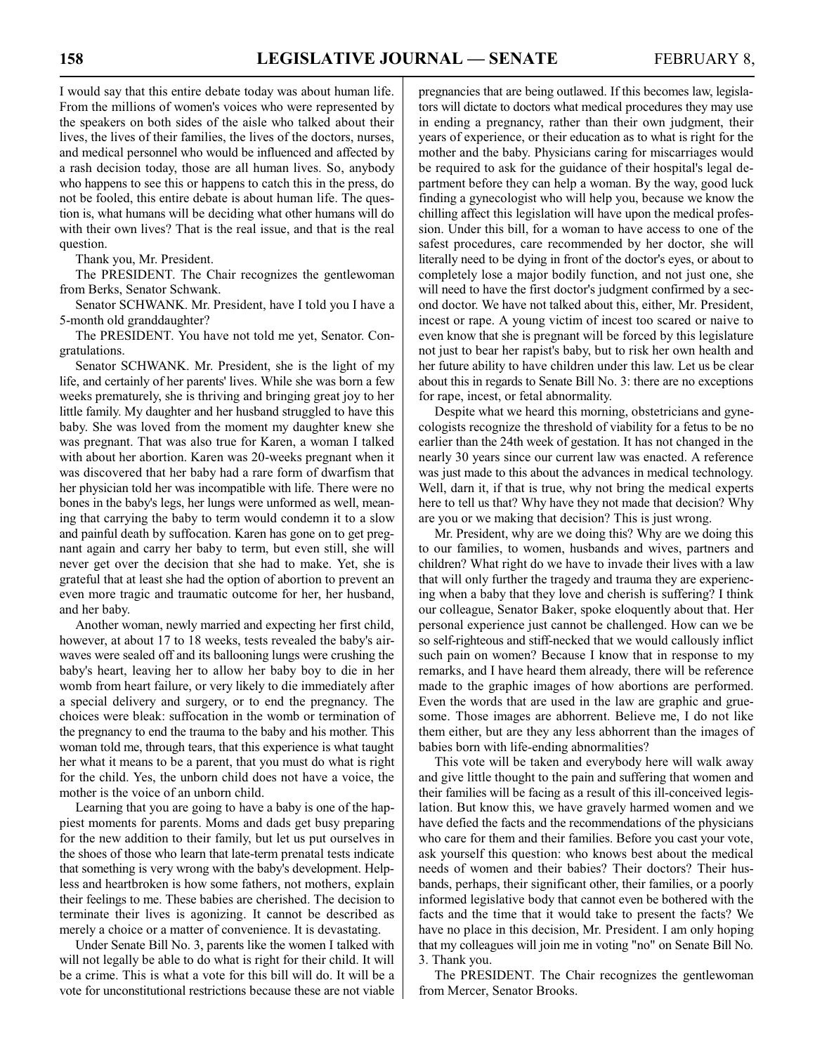I would say that this entire debate today was about human life. From the millions of women's voices who were represented by the speakers on both sides of the aisle who talked about their lives, the lives of their families, the lives of the doctors, nurses, and medical personnel who would be influenced and affected by a rash decision today, those are all human lives. So, anybody who happens to see this or happens to catch this in the press, do not be fooled, this entire debate is about human life. The question is, what humans will be deciding what other humans will do with their own lives? That is the real issue, and that is the real question.

Thank you, Mr. President.

The PRESIDENT. The Chair recognizes the gentlewoman from Berks, Senator Schwank.

Senator SCHWANK. Mr. President, have I told you I have a 5-month old granddaughter?

The PRESIDENT. You have not told me yet, Senator. Congratulations.

Senator SCHWANK. Mr. President, she is the light of my life, and certainly of her parents' lives. While she was born a few weeks prematurely, she is thriving and bringing great joy to her little family. My daughter and her husband struggled to have this baby. She was loved from the moment my daughter knew she was pregnant. That was also true for Karen, a woman I talked with about her abortion. Karen was 20-weeks pregnant when it was discovered that her baby had a rare form of dwarfism that her physician told her was incompatible with life. There were no bones in the baby's legs, her lungs were unformed as well, meaning that carrying the baby to term would condemn it to a slow and painful death by suffocation. Karen has gone on to get pregnant again and carry her baby to term, but even still, she will never get over the decision that she had to make. Yet, she is grateful that at least she had the option of abortion to prevent an even more tragic and traumatic outcome for her, her husband, and her baby.

Another woman, newly married and expecting her first child, however, at about 17 to 18 weeks, tests revealed the baby's airwaves were sealed off and its ballooning lungs were crushing the baby's heart, leaving her to allow her baby boy to die in her womb from heart failure, or very likely to die immediately after a special delivery and surgery, or to end the pregnancy. The choices were bleak: suffocation in the womb or termination of the pregnancy to end the trauma to the baby and his mother. This woman told me, through tears, that this experience is what taught her what it means to be a parent, that you must do what is right for the child. Yes, the unborn child does not have a voice, the mother is the voice of an unborn child.

Learning that you are going to have a baby is one of the happiest moments for parents. Moms and dads get busy preparing for the new addition to their family, but let us put ourselves in the shoes of those who learn that late-term prenatal tests indicate that something is very wrong with the baby's development. Helpless and heartbroken is how some fathers, not mothers, explain their feelings to me. These babies are cherished. The decision to terminate their lives is agonizing. It cannot be described as merely a choice or a matter of convenience. It is devastating.

Under Senate Bill No. 3, parents like the women I talked with will not legally be able to do what is right for their child. It will be a crime. This is what a vote for this bill will do. It will be a vote for unconstitutional restrictions because these are not viable pregnancies that are being outlawed. If this becomes law, legislators will dictate to doctors what medical procedures they may use in ending a pregnancy, rather than their own judgment, their years of experience, or their education as to what is right for the mother and the baby. Physicians caring for miscarriages would be required to ask for the guidance of their hospital's legal department before they can help a woman. By the way, good luck finding a gynecologist who will help you, because we know the chilling affect this legislation will have upon the medical profession. Under this bill, for a woman to have access to one of the safest procedures, care recommended by her doctor, she will literally need to be dying in front of the doctor's eyes, or about to completely lose a major bodily function, and not just one, she will need to have the first doctor's judgment confirmed by a second doctor. We have not talked about this, either, Mr. President, incest or rape. A young victim of incest too scared or naive to even know that she is pregnant will be forced by this legislature not just to bear her rapist's baby, but to risk her own health and her future ability to have children under this law. Let us be clear about this in regards to Senate Bill No. 3: there are no exceptions for rape, incest, or fetal abnormality.

Despite what we heard this morning, obstetricians and gynecologists recognize the threshold of viability for a fetus to be no earlier than the 24th week of gestation. It has not changed in the nearly 30 years since our current law was enacted. A reference was just made to this about the advances in medical technology. Well, darn it, if that is true, why not bring the medical experts here to tell us that? Why have they not made that decision? Why are you or we making that decision? This is just wrong.

Mr. President, why are we doing this? Why are we doing this to our families, to women, husbands and wives, partners and children? What right do we have to invade their lives with a law that will only further the tragedy and trauma they are experiencing when a baby that they love and cherish is suffering? I think our colleague, Senator Baker, spoke eloquently about that. Her personal experience just cannot be challenged. How can we be so self-righteous and stiff-necked that we would callously inflict such pain on women? Because I know that in response to my remarks, and I have heard them already, there will be reference made to the graphic images of how abortions are performed. Even the words that are used in the law are graphic and gruesome. Those images are abhorrent. Believe me, I do not like them either, but are they any less abhorrent than the images of babies born with life-ending abnormalities?

This vote will be taken and everybody here will walk away and give little thought to the pain and suffering that women and their families will be facing as a result of this ill-conceived legislation. But know this, we have gravely harmed women and we have defied the facts and the recommendations of the physicians who care for them and their families. Before you cast your vote, ask yourself this question: who knows best about the medical needs of women and their babies? Their doctors? Their husbands, perhaps, their significant other, their families, or a poorly informed legislative body that cannot even be bothered with the facts and the time that it would take to present the facts? We have no place in this decision, Mr. President. I am only hoping that my colleagues will join me in voting "no" on Senate Bill No. 3. Thank you.

The PRESIDENT. The Chair recognizes the gentlewoman from Mercer, Senator Brooks.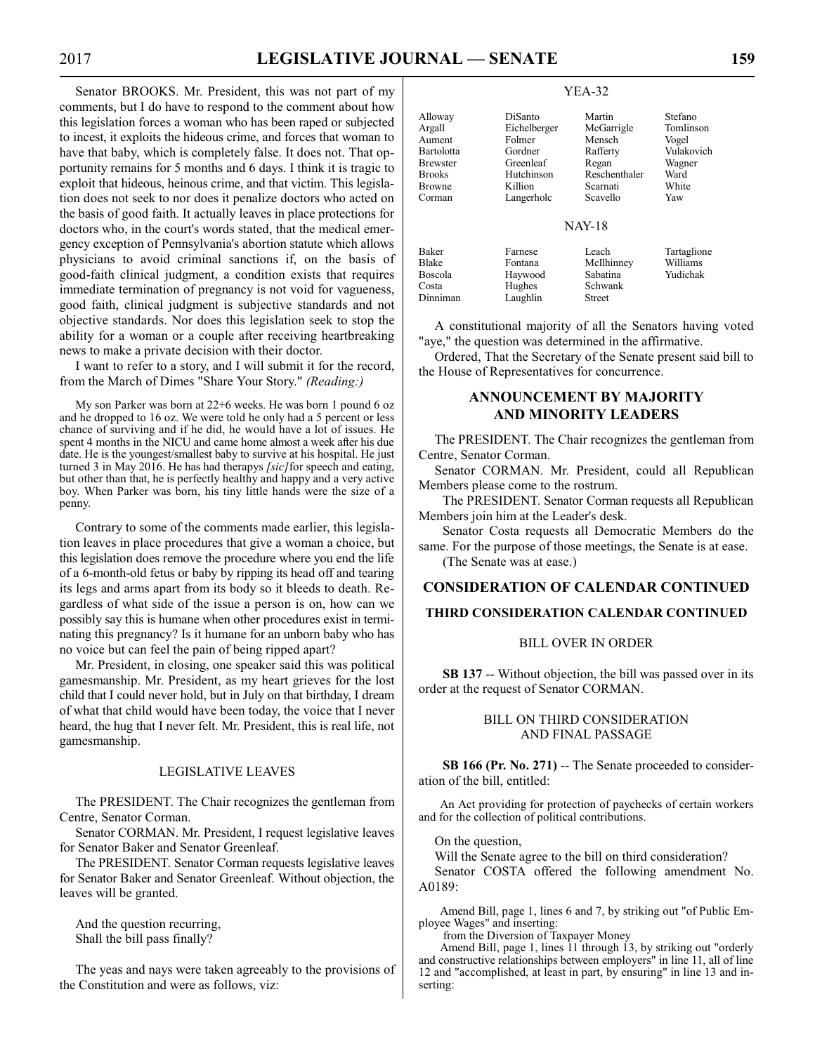Senator BROOKS. Mr. President, this was not part of my comments, but I do have to respond to the comment about how this legislation forces a woman who has been raped or subjected to incest, it exploits the hideous crime, and forces that woman to have that baby, which is completely false. It does not. That opportunity remains for 5 months and 6 days. I think it is tragic to exploit that hideous, heinous crime, and that victim. This legislation does not seek to nor does it penalize doctors who acted on the basis of good faith. It actually leaves in place protections for doctors who, in the court's words stated, that the medical emergency exception of Pennsylvania's abortion statute which allows physicians to avoid criminal sanctions if, on the basis of good-faith clinical judgment, a condition exists that requires immediate termination of pregnancy is not void for vagueness, good faith, clinical judgment is subjective standards and not objective standards. Nor does this legislation seek to stop the ability for a woman or a couple after receiving heartbreaking news to make a private decision with their doctor.

I want to refer to a story, and I will submit it for the record, from the March of Dimes "Share Your Story." *(Reading:)*

My son Parker was born at 22+6 weeks. He was born 1 pound 6 oz and he dropped to 16 oz. We were told he only had a 5 percent or less chance of surviving and if he did, he would have a lot of issues. He spent 4 months in the NICU and came home almost a week after his due date. He is the youngest/smallest baby to survive at his hospital. He just turned 3 in May 2016. He has had therapys *[sic]*for speech and eating, but other than that, he is perfectly healthy and happy and a very active boy. When Parker was born, his tiny little hands were the size of a penny.

Contrary to some of the comments made earlier, this legislation leaves in place procedures that give a woman a choice, but this legislation does remove the procedure where you end the life of a 6-month-old fetus or baby by ripping its head off and tearing its legs and arms apart from its body so it bleeds to death. Regardless of what side of the issue a person is on, how can we possibly say this is humane when other procedures exist in terminating this pregnancy? Is it humane for an unborn baby who has no voice but can feel the pain of being ripped apart?

Mr. President, in closing, one speaker said this was political gamesmanship. Mr. President, as my heart grieves for the lost child that I could never hold, but in July on that birthday, I dream of what that child would have been today, the voice that I never heard, the hug that I never felt. Mr. President, this is real life, not gamesmanship.

#### LEGISLATIVE LEAVES

The PRESIDENT. The Chair recognizes the gentleman from Centre, Senator Corman.

Senator CORMAN. Mr. President, I request legislative leaves for Senator Baker and Senator Greenleaf.

The PRESIDENT. Senator Corman requests legislative leaves for Senator Baker and Senator Greenleaf. Without objection, the leaves will be granted.

And the question recurring, Shall the bill pass finally?

The yeas and nays were taken agreeably to the provisions of the Constitution and were as follows, viz:

#### YEA-32

| DiSanto      | Martin        | Stefano       |
|--------------|---------------|---------------|
| Eichelberger | McGarrigle    | Tomlinson     |
| Folmer       | Mensch        | Vogel         |
| Gordner      | Rafferty      | Vulakovich    |
| Greenleaf    | Regan         | Wagner        |
| Hutchinson   | Reschenthaler | Ward          |
| Killion      | Scarnati      | White         |
| Langerholc   | Scavello      | Yaw           |
|              |               |               |
|              |               | <b>NAY-18</b> |

Vulakovich

#### NAY-18

| Baker<br>Blake | Farnese<br>Fontana | Leach<br>McIlhinney | Tartaglione<br>Williams |
|----------------|--------------------|---------------------|-------------------------|
| Boscola        | Haywood            | Sabatina            | Yudichak                |
| Costa          | Hughes             | Schwank             |                         |
| Dinniman       | Laughlin           | <b>Street</b>       |                         |

A constitutional majority of all the Senators having voted "aye," the question was determined in the affirmative.

Ordered, That the Secretary of the Senate present said bill to the House of Representatives for concurrence.

#### **ANNOUNCEMENT BY MAJORITY AND MINORITY LEADERS**

The PRESIDENT. The Chair recognizes the gentleman from Centre, Senator Corman.

Senator CORMAN. Mr. President, could all Republican Members please come to the rostrum.

The PRESIDENT. Senator Corman requests all Republican Members join him at the Leader's desk.

Senator Costa requests all Democratic Members do the same. For the purpose of those meetings, the Senate is at ease.

(The Senate was at ease.)

# **CONSIDERATION OF CALENDAR CONTINUED THIRD CONSIDERATION CALENDAR CONTINUED**

#### BILL OVER IN ORDER

**SB 137** -- Without objection, the bill was passed over in its order at the request of Senator CORMAN.

#### BILL ON THIRD CONSIDERATION AND FINAL PASSAGE

**SB 166 (Pr. No. 271)** -- The Senate proceeded to consideration of the bill, entitled:

An Act providing for protection of paychecks of certain workers and for the collection of political contributions.

On the question,

Will the Senate agree to the bill on third consideration? Senator COSTA offered the following amendment No. A0189:

Amend Bill, page 1, lines 6 and 7, by striking out "of Public Employee Wages" and inserting:

from the Diversion of Taxpayer Money

Amend Bill, page 1, lines 11 through 13, by striking out "orderly and constructive relationships between employers" in line 11, all of line 12 and "accomplished, at least in part, by ensuring" in line 13 and inserting: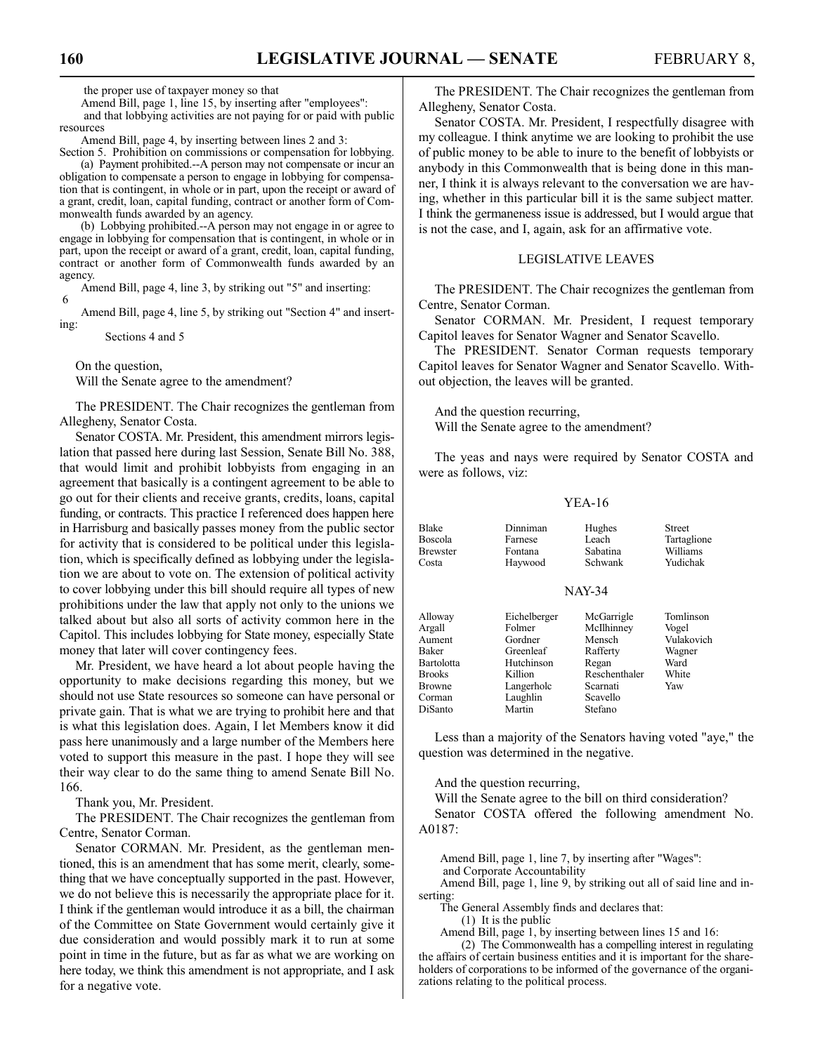Amend Bill, page 1, line 15, by inserting after "employees": and that lobbying activities are not paying for or paid with public resources

Amend Bill, page 4, by inserting between lines 2 and 3:

Section 5. Prohibition on commissions or compensation for lobbying. (a) Payment prohibited.--A person may not compensate or incur an obligation to compensate a person to engage in lobbying for compensation that is contingent, in whole or in part, upon the receipt or award of a grant, credit, loan, capital funding, contract or another form of Commonwealth funds awarded by an agency.

(b) Lobbying prohibited.--A person may not engage in or agree to engage in lobbying for compensation that is contingent, in whole or in part, upon the receipt or award of a grant, credit, loan, capital funding, contract or another form of Commonwealth funds awarded by an agency.

Amend Bill, page 4, line 3, by striking out "5" and inserting: 6

Amend Bill, page 4, line 5, by striking out "Section 4" and inserting:

Sections 4 and 5

On the question,

Will the Senate agree to the amendment?

The PRESIDENT. The Chair recognizes the gentleman from Allegheny, Senator Costa.

Senator COSTA. Mr. President, this amendment mirrors legislation that passed here during last Session, Senate Bill No. 388, that would limit and prohibit lobbyists from engaging in an agreement that basically is a contingent agreement to be able to go out for their clients and receive grants, credits, loans, capital funding, or contracts. This practice I referenced does happen here in Harrisburg and basically passes money from the public sector for activity that is considered to be political under this legislation, which is specifically defined as lobbying under the legislation we are about to vote on. The extension of political activity to cover lobbying under this bill should require all types of new prohibitions under the law that apply not only to the unions we talked about but also all sorts of activity common here in the Capitol. This includes lobbying for State money, especially State money that later will cover contingency fees.

Mr. President, we have heard a lot about people having the opportunity to make decisions regarding this money, but we should not use State resources so someone can have personal or private gain. That is what we are trying to prohibit here and that is what this legislation does. Again, I let Members know it did pass here unanimously and a large number of the Members here voted to support this measure in the past. I hope they will see their way clear to do the same thing to amend Senate Bill No. 166.

Thank you, Mr. President.

The PRESIDENT. The Chair recognizes the gentleman from Centre, Senator Corman.

Senator CORMAN. Mr. President, as the gentleman mentioned, this is an amendment that has some merit, clearly, something that we have conceptually supported in the past. However, we do not believe this is necessarily the appropriate place for it. I think if the gentleman would introduce it as a bill, the chairman of the Committee on State Government would certainly give it due consideration and would possibly mark it to run at some point in time in the future, but as far as what we are working on here today, we think this amendment is not appropriate, and I ask for a negative vote.

Senator COSTA. Mr. President, I respectfully disagree with my colleague. I think anytime we are looking to prohibit the use of public money to be able to inure to the benefit of lobbyists or anybody in this Commonwealth that is being done in this manner, I think it is always relevant to the conversation we are having, whether in this particular bill it is the same subject matter. I think the germaneness issue is addressed, but I would argue that is not the case, and I, again, ask for an affirmative vote.

#### LEGISLATIVE LEAVES

The PRESIDENT. The Chair recognizes the gentleman from Centre, Senator Corman.

Senator CORMAN. Mr. President, I request temporary Capitol leaves for Senator Wagner and Senator Scavello.

The PRESIDENT. Senator Corman requests temporary Capitol leaves for Senator Wagner and Senator Scavello. Without objection, the leaves will be granted.

And the question recurring, Will the Senate agree to the amendment?

The yeas and nays were required by Senator COSTA and were as follows, viz:

#### YEA-16

| Blake<br><b>Boscola</b> | Dinniman<br>Farnese | Hughes<br>Leach | <b>Street</b><br>Tartaglione |
|-------------------------|---------------------|-----------------|------------------------------|
| <b>Brewster</b>         | Fontana             | Sabatina        | Williams                     |
| Costa                   | Haywood             | Schwank         | Yudichak                     |
|                         |                     |                 |                              |

#### NAY-34

| Alloway    | Eichelberger | McGarrigle    | Tomlinson  |
|------------|--------------|---------------|------------|
| Argall     | Folmer       | McIlhinney    | Vogel      |
| Aument     | Gordner      | Mensch        | Vulakovich |
| Baker      | Greenleaf    | Rafferty      | Wagner     |
| Bartolotta | Hutchinson   | Regan         | Ward       |
| Brooks     | Killion      | Reschenthaler | White      |
| Browne     | Langerholc   | Scarnati      | Yaw        |
| Corman     | Laughlin     | Scavello      |            |
| DiSanto    | Martin       | Stefano       |            |
|            |              |               |            |

Less than a majority of the Senators having voted "aye," the question was determined in the negative.

And the question recurring,

Will the Senate agree to the bill on third consideration?

Senator COSTA offered the following amendment No. A0187:

Amend Bill, page 1, line 7, by inserting after "Wages":

and Corporate Accountability

Amend Bill, page 1, line 9, by striking out all of said line and inserting:

The General Assembly finds and declares that:

(1) It is the public

Amend Bill, page 1, by inserting between lines 15 and 16:

(2) The Commonwealth has a compelling interest in regulating the affairs of certain business entities and it is important for the shareholders of corporations to be informed of the governance of the organizations relating to the political process.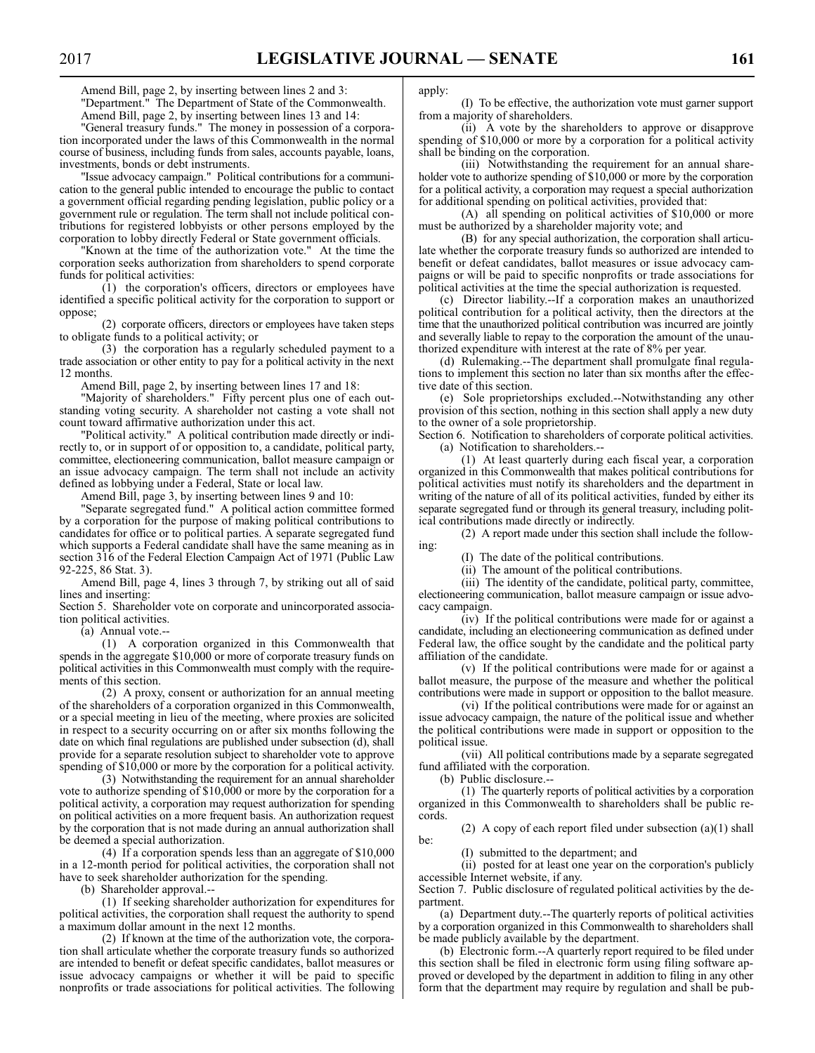Amend Bill, page 2, by inserting between lines 2 and 3: "Department." The Department of State of the Commonwealth. Amend Bill, page 2, by inserting between lines 13 and 14:

"General treasury funds." The money in possession of a corporation incorporated under the laws of this Commonwealth in the normal course of business, including funds from sales, accounts payable, loans, investments, bonds or debt instruments.

"Issue advocacy campaign." Political contributions for a communication to the general public intended to encourage the public to contact a government official regarding pending legislation, public policy or a government rule or regulation. The term shall not include political contributions for registered lobbyists or other persons employed by the corporation to lobby directly Federal or State government officials.

"Known at the time of the authorization vote." At the time the corporation seeks authorization from shareholders to spend corporate funds for political activities:

(1) the corporation's officers, directors or employees have identified a specific political activity for the corporation to support or oppose;

(2) corporate officers, directors or employees have taken steps to obligate funds to a political activity; or

(3) the corporation has a regularly scheduled payment to a trade association or other entity to pay for a political activity in the next 12 months.

Amend Bill, page 2, by inserting between lines 17 and 18:

"Majority of shareholders." Fifty percent plus one of each outstanding voting security. A shareholder not casting a vote shall not count toward affirmative authorization under this act.

"Political activity." A political contribution made directly or indirectly to, or in support of or opposition to, a candidate, political party, committee, electioneering communication, ballot measure campaign or an issue advocacy campaign. The term shall not include an activity defined as lobbying under a Federal, State or local law.

Amend Bill, page 3, by inserting between lines 9 and 10:

"Separate segregated fund." A political action committee formed by a corporation for the purpose of making political contributions to candidates for office or to political parties. A separate segregated fund which supports a Federal candidate shall have the same meaning as in section 316 of the Federal Election Campaign Act of 1971 (Public Law 92-225, 86 Stat. 3).

Amend Bill, page 4, lines 3 through 7, by striking out all of said lines and inserting:

Section 5. Shareholder vote on corporate and unincorporated association political activities.

(a) Annual vote.--

(1) A corporation organized in this Commonwealth that spends in the aggregate \$10,000 or more of corporate treasury funds on political activities in this Commonwealth must comply with the requirements of this section.

(2) A proxy, consent or authorization for an annual meeting of the shareholders of a corporation organized in this Commonwealth, or a special meeting in lieu of the meeting, where proxies are solicited in respect to a security occurring on or after six months following the date on which final regulations are published under subsection (d), shall provide for a separate resolution subject to shareholder vote to approve spending of \$10,000 or more by the corporation for a political activity.

(3) Notwithstanding the requirement for an annual shareholder vote to authorize spending of \$10,000 or more by the corporation for a political activity, a corporation may request authorization for spending on political activities on a more frequent basis. An authorization request by the corporation that is not made during an annual authorization shall be deemed a special authorization.

(4) If a corporation spends less than an aggregate of \$10,000 in a 12-month period for political activities, the corporation shall not have to seek shareholder authorization for the spending.

(b) Shareholder approval.--

(1) If seeking shareholder authorization for expenditures for political activities, the corporation shall request the authority to spend a maximum dollar amount in the next 12 months.

(2) If known at the time of the authorization vote, the corporation shall articulate whether the corporate treasury funds so authorized are intended to benefit or defeat specific candidates, ballot measures or issue advocacy campaigns or whether it will be paid to specific nonprofits or trade associations for political activities. The following apply:

(I) To be effective, the authorization vote must garner support from a majority of shareholders.

(ii) A vote by the shareholders to approve or disapprove spending of \$10,000 or more by a corporation for a political activity shall be binding on the corporation.

(iii) Notwithstanding the requirement for an annual shareholder vote to authorize spending of \$10,000 or more by the corporation for a political activity, a corporation may request a special authorization for additional spending on political activities, provided that:

(A) all spending on political activities of \$10,000 or more must be authorized by a shareholder majority vote; and

(B) for any special authorization, the corporation shall articulate whether the corporate treasury funds so authorized are intended to benefit or defeat candidates, ballot measures or issue advocacy campaigns or will be paid to specific nonprofits or trade associations for political activities at the time the special authorization is requested.

(c) Director liability.--If a corporation makes an unauthorized political contribution for a political activity, then the directors at the time that the unauthorized political contribution was incurred are jointly and severally liable to repay to the corporation the amount of the unauthorized expenditure with interest at the rate of 8% per year.

(d) Rulemaking.--The department shall promulgate final regulations to implement this section no later than six months after the effective date of this section.

(e) Sole proprietorships excluded.--Notwithstanding any other provision of this section, nothing in this section shall apply a new duty to the owner of a sole proprietorship.

Section 6. Notification to shareholders of corporate political activities. (a) Notification to shareholders.--

(1) At least quarterly during each fiscal year, a corporation organized in this Commonwealth that makes political contributions for political activities must notify its shareholders and the department in writing of the nature of all of its political activities, funded by either its separate segregated fund or through its general treasury, including political contributions made directly or indirectly.

(2) A report made under this section shall include the following:

(I) The date of the political contributions.

(ii) The amount of the political contributions.

(iii) The identity of the candidate, political party, committee, electioneering communication, ballot measure campaign or issue advocacy campaign.

(iv) If the political contributions were made for or against a candidate, including an electioneering communication as defined under Federal law, the office sought by the candidate and the political party affiliation of the candidate.

(v) If the political contributions were made for or against a ballot measure, the purpose of the measure and whether the political contributions were made in support or opposition to the ballot measure.

(vi) If the political contributions were made for or against an issue advocacy campaign, the nature of the political issue and whether the political contributions were made in support or opposition to the political issue.

(vii) All political contributions made by a separate segregated fund affiliated with the corporation.

(b) Public disclosure.--

(1) The quarterly reports of political activities by a corporation organized in this Commonwealth to shareholders shall be public records.

(2) A copy of each report filed under subsection (a)(1) shall be:

(I) submitted to the department; and

(ii) posted for at least one year on the corporation's publicly accessible Internet website, if any.

Section 7. Public disclosure of regulated political activities by the department.

(a) Department duty.--The quarterly reports of political activities by a corporation organized in this Commonwealth to shareholders shall be made publicly available by the department.

(b) Electronic form.--A quarterly report required to be filed under this section shall be filed in electronic form using filing software approved or developed by the department in addition to filing in any other form that the department may require by regulation and shall be pub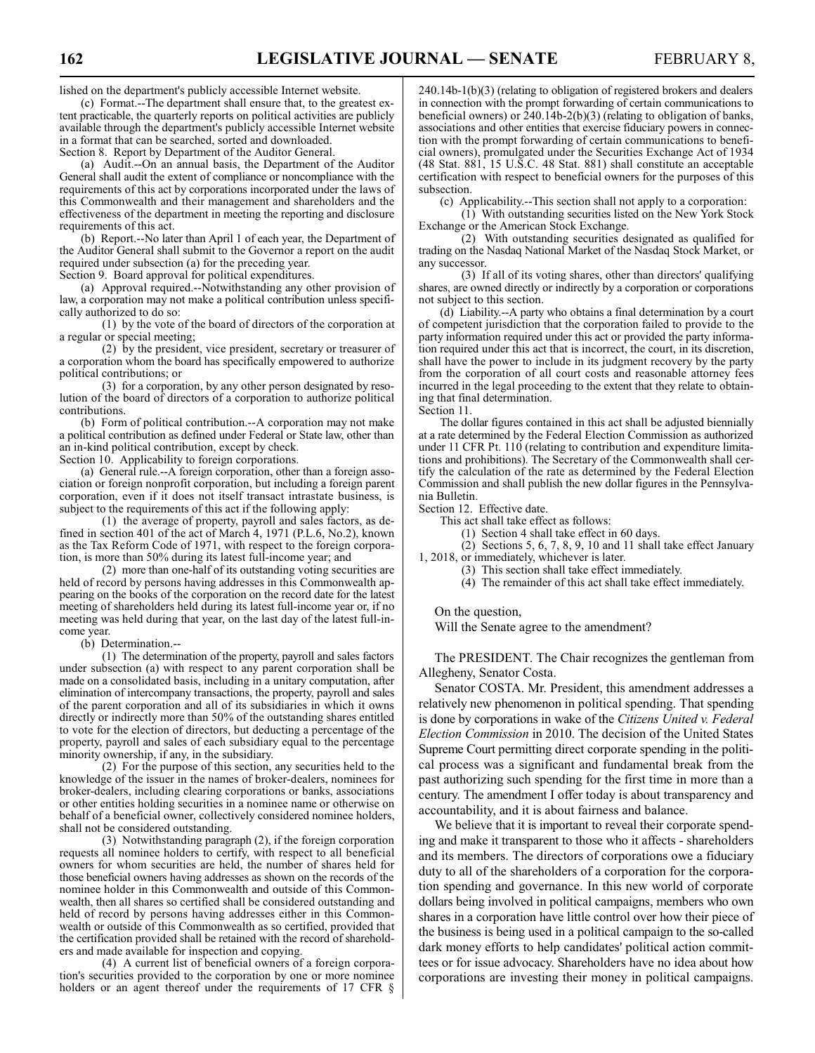lished on the department's publicly accessible Internet website.

(c) Format.--The department shall ensure that, to the greatest extent practicable, the quarterly reports on political activities are publicly available through the department's publicly accessible Internet website in a format that can be searched, sorted and downloaded.

Section 8. Report by Department of the Auditor General.

(a) Audit.--On an annual basis, the Department of the Auditor General shall audit the extent of compliance or noncompliance with the requirements of this act by corporations incorporated under the laws of this Commonwealth and their management and shareholders and the effectiveness of the department in meeting the reporting and disclosure requirements of this act.

(b) Report.--No later than April 1 of each year, the Department of the Auditor General shall submit to the Governor a report on the audit required under subsection (a) for the preceding year.

Section 9. Board approval for political expenditures.

(a) Approval required.--Notwithstanding any other provision of law, a corporation may not make a political contribution unless specifically authorized to do so:

(1) by the vote of the board of directors of the corporation at a regular or special meeting;

(2) by the president, vice president, secretary or treasurer of a corporation whom the board has specifically empowered to authorize political contributions; or

(3) for a corporation, by any other person designated by resolution of the board of directors of a corporation to authorize political contributions.

(b) Form of political contribution.--A corporation may not make a political contribution as defined under Federal or State law, other than an in-kind political contribution, except by check.

Section 10. Applicability to foreign corporations.

(a) General rule.--A foreign corporation, other than a foreign association or foreign nonprofit corporation, but including a foreign parent corporation, even if it does not itself transact intrastate business, is subject to the requirements of this act if the following apply:

(1) the average of property, payroll and sales factors, as defined in section 401 of the act of March 4, 1971 (P.L.6, No.2), known as the Tax Reform Code of 1971, with respect to the foreign corporation, is more than 50% during its latest full-income year; and

(2) more than one-half of its outstanding voting securities are held of record by persons having addresses in this Commonwealth appearing on the books of the corporation on the record date for the latest meeting of shareholders held during its latest full-income year or, if no meeting was held during that year, on the last day of the latest full-income year.

(b) Determination.--

(1) The determination of the property, payroll and sales factors under subsection (a) with respect to any parent corporation shall be made on a consolidated basis, including in a unitary computation, after elimination of intercompany transactions, the property, payroll and sales of the parent corporation and all of its subsidiaries in which it owns directly or indirectly more than 50% of the outstanding shares entitled to vote for the election of directors, but deducting a percentage of the property, payroll and sales of each subsidiary equal to the percentage minority ownership, if any, in the subsidiary.

(2) For the purpose of this section, any securities held to the knowledge of the issuer in the names of broker-dealers, nominees for broker-dealers, including clearing corporations or banks, associations or other entities holding securities in a nominee name or otherwise on behalf of a beneficial owner, collectively considered nominee holders, shall not be considered outstanding.

(3) Notwithstanding paragraph (2), if the foreign corporation requests all nominee holders to certify, with respect to all beneficial owners for whom securities are held, the number of shares held for those beneficial owners having addresses as shown on the records of the nominee holder in this Commonwealth and outside of this Commonwealth, then all shares so certified shall be considered outstanding and held of record by persons having addresses either in this Commonwealth or outside of this Commonwealth as so certified, provided that the certification provided shall be retained with the record of shareholders and made available for inspection and copying.

(4) A current list of beneficial owners of a foreign corporation's securities provided to the corporation by one or more nominee holders or an agent thereof under the requirements of 17 CFR § 240.14b-1(b)(3) (relating to obligation of registered brokers and dealers in connection with the prompt forwarding of certain communications to beneficial owners) or  $\frac{240.14b-2(b)(3)}{20}$  (relating to obligation of banks, associations and other entities that exercise fiduciary powers in connection with the prompt forwarding of certain communications to beneficial owners), promulgated under the Securities Exchange Act of 1934 (48 Stat. 881, 15 U.S.C. 48 Stat. 881) shall constitute an acceptable certification with respect to beneficial owners for the purposes of this subsection.

(c) Applicability.--This section shall not apply to a corporation:

(1) With outstanding securities listed on the New York Stock Exchange or the American Stock Exchange.

(2) With outstanding securities designated as qualified for trading on the Nasdaq National Market of the Nasdaq Stock Market, or any successor.

(3) If all of its voting shares, other than directors' qualifying shares, are owned directly or indirectly by a corporation or corporations not subject to this section.

(d) Liability.--A party who obtains a final determination by a court of competent jurisdiction that the corporation failed to provide to the party information required under this act or provided the party information required under this act that is incorrect, the court, in its discretion, shall have the power to include in its judgment recovery by the party from the corporation of all court costs and reasonable attorney fees incurred in the legal proceeding to the extent that they relate to obtaining that final determination.

Section 11.

The dollar figures contained in this act shall be adjusted biennially at a rate determined by the Federal Election Commission as authorized under 11 CFR Pt. 110 (relating to contribution and expenditure limitations and prohibitions). The Secretary of the Commonwealth shall certify the calculation of the rate as determined by the Federal Election Commission and shall publish the new dollar figures in the Pennsylvania Bulletin.

Section 12. Effective date.

This act shall take effect as follows:

(1) Section 4 shall take effect in 60 days.

(2) Sections 5, 6, 7, 8, 9, 10 and 11 shall take effect January 1, 2018, or immediately, whichever is later.

- (3) This section shall take effect immediately.
- (4) The remainder of this act shall take effect immediately.

On the question,

Will the Senate agree to the amendment?

The PRESIDENT. The Chair recognizes the gentleman from Allegheny, Senator Costa.

Senator COSTA. Mr. President, this amendment addresses a relatively new phenomenon in political spending. That spending is done by corporations in wake of the *Citizens United v. Federal Election Commission* in 2010. The decision of the United States Supreme Court permitting direct corporate spending in the political process was a significant and fundamental break from the past authorizing such spending for the first time in more than a century. The amendment I offer today is about transparency and accountability, and it is about fairness and balance.

We believe that it is important to reveal their corporate spending and make it transparent to those who it affects - shareholders and its members. The directors of corporations owe a fiduciary duty to all of the shareholders of a corporation for the corporation spending and governance. In this new world of corporate dollars being involved in political campaigns, members who own shares in a corporation have little control over how their piece of the business is being used in a political campaign to the so-called dark money efforts to help candidates' political action committees or for issue advocacy. Shareholders have no idea about how corporations are investing their money in political campaigns.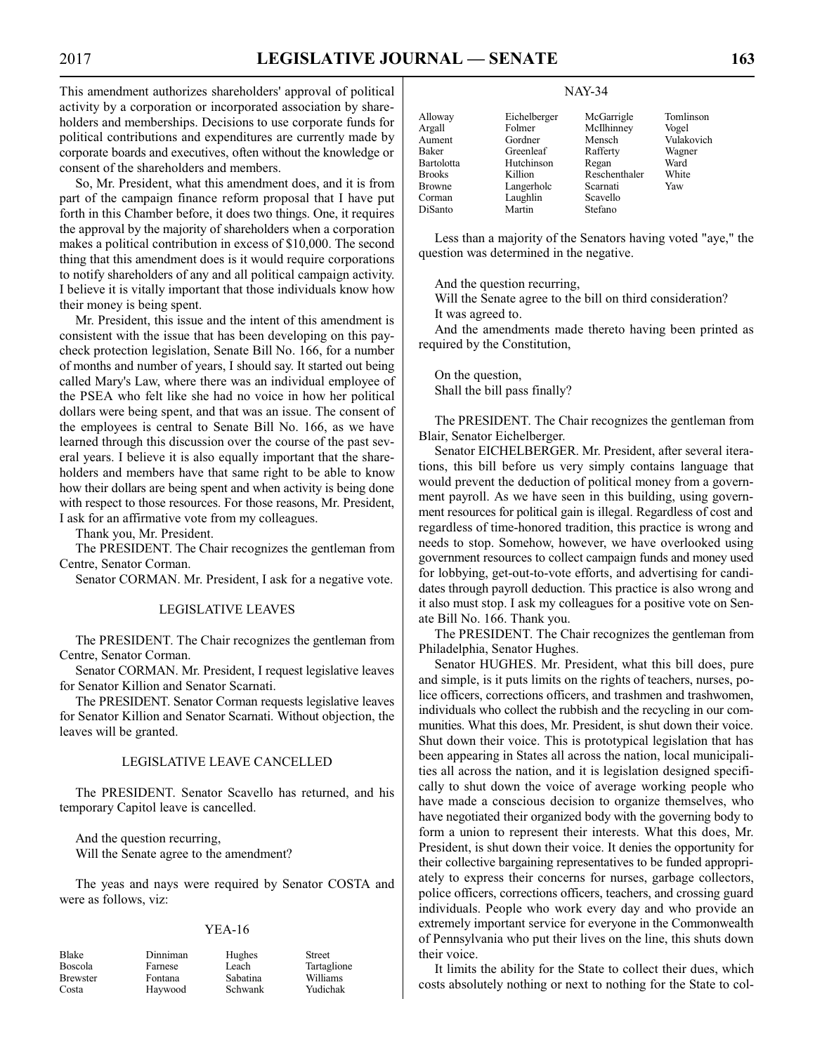This amendment authorizes shareholders' approval of political activity by a corporation or incorporated association by shareholders and memberships. Decisions to use corporate funds for political contributions and expenditures are currently made by corporate boards and executives, often without the knowledge or consent of the shareholders and members.

So, Mr. President, what this amendment does, and it is from part of the campaign finance reform proposal that I have put forth in this Chamber before, it does two things. One, it requires the approval by the majority of shareholders when a corporation makes a political contribution in excess of \$10,000. The second thing that this amendment does is it would require corporations to notify shareholders of any and all political campaign activity. I believe it is vitally important that those individuals know how their money is being spent.

Mr. President, this issue and the intent of this amendment is consistent with the issue that has been developing on this paycheck protection legislation, Senate Bill No. 166, for a number of months and number of years, I should say. It started out being called Mary's Law, where there was an individual employee of the PSEA who felt like she had no voice in how her political dollars were being spent, and that was an issue. The consent of the employees is central to Senate Bill No. 166, as we have learned through this discussion over the course of the past several years. I believe it is also equally important that the shareholders and members have that same right to be able to know how their dollars are being spent and when activity is being done with respect to those resources. For those reasons, Mr. President, I ask for an affirmative vote from my colleagues.

Thank you, Mr. President.

The PRESIDENT. The Chair recognizes the gentleman from Centre, Senator Corman.

Senator CORMAN. Mr. President, I ask for a negative vote.

#### LEGISLATIVE LEAVES

The PRESIDENT. The Chair recognizes the gentleman from Centre, Senator Corman.

Senator CORMAN. Mr. President, I request legislative leaves for Senator Killion and Senator Scarnati.

The PRESIDENT. Senator Corman requests legislative leaves for Senator Killion and Senator Scarnati. Without objection, the leaves will be granted.

#### LEGISLATIVE LEAVE CANCELLED

The PRESIDENT. Senator Scavello has returned, and his temporary Capitol leave is cancelled.

And the question recurring, Will the Senate agree to the amendment?

The yeas and nays were required by Senator COSTA and were as follows, viz:

|  | า |
|--|---|
|--|---|

| Blake    | Dinniman | Hughes          | <b>Street</b>   |
|----------|----------|-----------------|-----------------|
| Boscola  | Farnese  | Leach           | Tartaglione     |
| Brewster | Fontana  | <b>Sabatina</b> | <b>Williams</b> |
| Costa    | Haywood  | Schwank         | Yudichak        |

NAY-34

| Alloway       | Eichelberger | McGarrigle    | Tomlinson  |
|---------------|--------------|---------------|------------|
| Argall        | Folmer       | McIlhinney    | Vogel      |
| Aument        | Gordner      | Mensch        | Vulakovich |
| Baker         | Greenleaf    | Rafferty      | Wagner     |
| Bartolotta    | Hutchinson   | Regan         | Ward       |
| <b>Brooks</b> | Killion      | Reschenthaler | White      |
| <b>Browne</b> | Langerholc   | Scarnati      | Yaw        |
| Corman        | Laughlin     | Scavello      |            |
| DiSanto       | Martin       | Stefano       |            |

Less than a majority of the Senators having voted "aye," the question was determined in the negative.

And the question recurring,

Will the Senate agree to the bill on third consideration? It was agreed to.

And the amendments made thereto having been printed as required by the Constitution,

On the question, Shall the bill pass finally?

The PRESIDENT. The Chair recognizes the gentleman from Blair, Senator Eichelberger.

Senator EICHELBERGER. Mr. President, after several iterations, this bill before us very simply contains language that would prevent the deduction of political money from a government payroll. As we have seen in this building, using government resources for political gain is illegal. Regardless of cost and regardless of time-honored tradition, this practice is wrong and needs to stop. Somehow, however, we have overlooked using government resources to collect campaign funds and money used for lobbying, get-out-to-vote efforts, and advertising for candidates through payroll deduction. This practice is also wrong and it also must stop. I ask my colleagues for a positive vote on Senate Bill No. 166. Thank you.

The PRESIDENT. The Chair recognizes the gentleman from Philadelphia, Senator Hughes.

Senator HUGHES. Mr. President, what this bill does, pure and simple, is it puts limits on the rights of teachers, nurses, police officers, corrections officers, and trashmen and trashwomen, individuals who collect the rubbish and the recycling in our communities. What this does, Mr. President, is shut down their voice. Shut down their voice. This is prototypical legislation that has been appearing in States all across the nation, local municipalities all across the nation, and it is legislation designed specifically to shut down the voice of average working people who have made a conscious decision to organize themselves, who have negotiated their organized body with the governing body to form a union to represent their interests. What this does, Mr. President, is shut down their voice. It denies the opportunity for their collective bargaining representatives to be funded appropriately to express their concerns for nurses, garbage collectors, police officers, corrections officers, teachers, and crossing guard individuals. People who work every day and who provide an extremely important service for everyone in the Commonwealth of Pennsylvania who put their lives on the line, this shuts down their voice.

It limits the ability for the State to collect their dues, which costs absolutely nothing or next to nothing for the State to col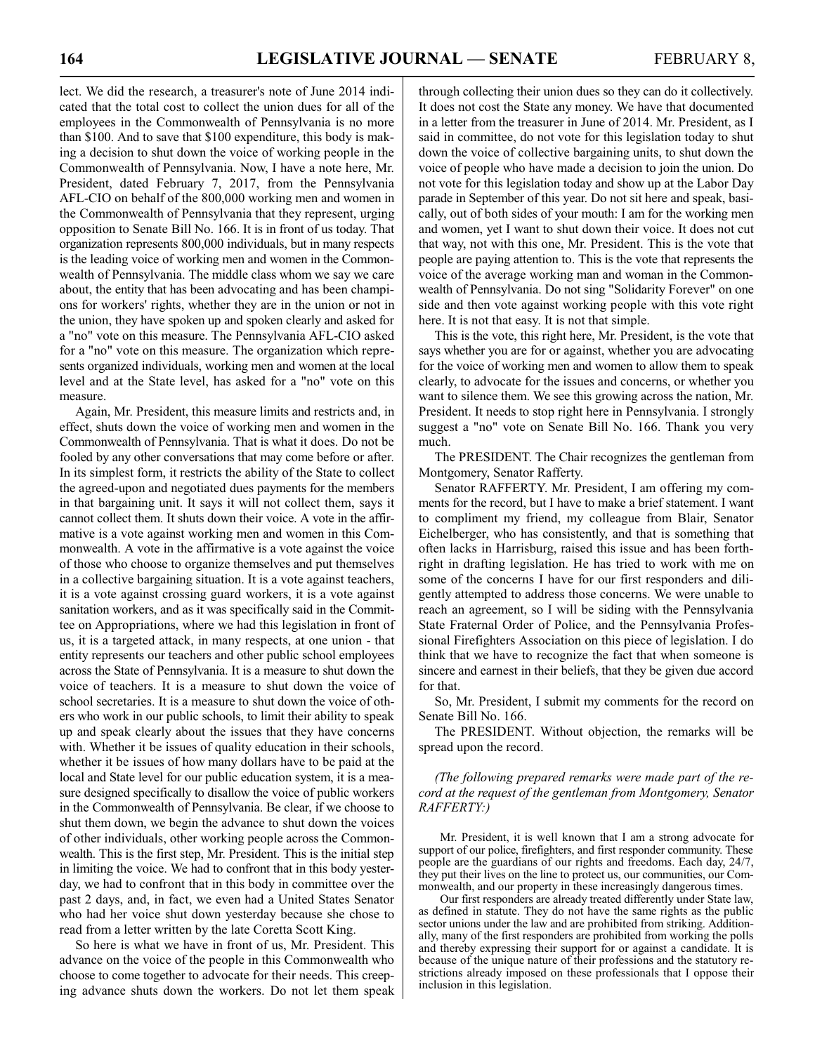lect. We did the research, a treasurer's note of June 2014 indicated that the total cost to collect the union dues for all of the employees in the Commonwealth of Pennsylvania is no more than \$100. And to save that \$100 expenditure, this body is making a decision to shut down the voice of working people in the Commonwealth of Pennsylvania. Now, I have a note here, Mr. President, dated February 7, 2017, from the Pennsylvania AFL-CIO on behalf of the 800,000 working men and women in the Commonwealth of Pennsylvania that they represent, urging opposition to Senate Bill No. 166. It is in front of us today. That organization represents 800,000 individuals, but in many respects is the leading voice of working men and women in the Commonwealth of Pennsylvania. The middle class whom we say we care about, the entity that has been advocating and has been champions for workers' rights, whether they are in the union or not in the union, they have spoken up and spoken clearly and asked for a "no" vote on this measure. The Pennsylvania AFL-CIO asked for a "no" vote on this measure. The organization which represents organized individuals, working men and women at the local level and at the State level, has asked for a "no" vote on this measure.

Again, Mr. President, this measure limits and restricts and, in effect, shuts down the voice of working men and women in the Commonwealth of Pennsylvania. That is what it does. Do not be fooled by any other conversations that may come before or after. In its simplest form, it restricts the ability of the State to collect the agreed-upon and negotiated dues payments for the members in that bargaining unit. It says it will not collect them, says it cannot collect them. It shuts down their voice. A vote in the affirmative is a vote against working men and women in this Commonwealth. A vote in the affirmative is a vote against the voice of those who choose to organize themselves and put themselves in a collective bargaining situation. It is a vote against teachers, it is a vote against crossing guard workers, it is a vote against sanitation workers, and as it was specifically said in the Committee on Appropriations, where we had this legislation in front of us, it is a targeted attack, in many respects, at one union - that entity represents our teachers and other public school employees across the State of Pennsylvania. It is a measure to shut down the voice of teachers. It is a measure to shut down the voice of school secretaries. It is a measure to shut down the voice of others who work in our public schools, to limit their ability to speak up and speak clearly about the issues that they have concerns with. Whether it be issues of quality education in their schools, whether it be issues of how many dollars have to be paid at the local and State level for our public education system, it is a measure designed specifically to disallow the voice of public workers in the Commonwealth of Pennsylvania. Be clear, if we choose to shut them down, we begin the advance to shut down the voices of other individuals, other working people across the Commonwealth. This is the first step, Mr. President. This is the initial step in limiting the voice. We had to confront that in this body yesterday, we had to confront that in this body in committee over the past 2 days, and, in fact, we even had a United States Senator who had her voice shut down yesterday because she chose to read from a letter written by the late Coretta Scott King.

So here is what we have in front of us, Mr. President. This advance on the voice of the people in this Commonwealth who choose to come together to advocate for their needs. This creeping advance shuts down the workers. Do not let them speak through collecting their union dues so they can do it collectively. It does not cost the State any money. We have that documented in a letter from the treasurer in June of 2014. Mr. President, as I said in committee, do not vote for this legislation today to shut down the voice of collective bargaining units, to shut down the voice of people who have made a decision to join the union. Do not vote for this legislation today and show up at the Labor Day parade in September of this year. Do not sit here and speak, basically, out of both sides of your mouth: I am for the working men and women, yet I want to shut down their voice. It does not cut that way, not with this one, Mr. President. This is the vote that people are paying attention to. This is the vote that represents the voice of the average working man and woman in the Commonwealth of Pennsylvania. Do not sing "Solidarity Forever" on one side and then vote against working people with this vote right here. It is not that easy. It is not that simple.

This is the vote, this right here, Mr. President, is the vote that says whether you are for or against, whether you are advocating for the voice of working men and women to allow them to speak clearly, to advocate for the issues and concerns, or whether you want to silence them. We see this growing across the nation, Mr. President. It needs to stop right here in Pennsylvania. I strongly suggest a "no" vote on Senate Bill No. 166. Thank you very much.

The PRESIDENT. The Chair recognizes the gentleman from Montgomery, Senator Rafferty.

Senator RAFFERTY. Mr. President, I am offering my comments for the record, but I have to make a brief statement. I want to compliment my friend, my colleague from Blair, Senator Eichelberger, who has consistently, and that is something that often lacks in Harrisburg, raised this issue and has been forthright in drafting legislation. He has tried to work with me on some of the concerns I have for our first responders and diligently attempted to address those concerns. We were unable to reach an agreement, so I will be siding with the Pennsylvania State Fraternal Order of Police, and the Pennsylvania Professional Firefighters Association on this piece of legislation. I do think that we have to recognize the fact that when someone is sincere and earnest in their beliefs, that they be given due accord for that.

So, Mr. President, I submit my comments for the record on Senate Bill No. 166.

The PRESIDENT. Without objection, the remarks will be spread upon the record.

*(The following prepared remarks were made part of the record at the request of the gentleman from Montgomery, Senator RAFFERTY:)*

Mr. President, it is well known that I am a strong advocate for support of our police, firefighters, and first responder community. These people are the guardians of our rights and freedoms. Each day, 24/7, they put their lives on the line to protect us, our communities, our Commonwealth, and our property in these increasingly dangerous times.

Our first responders are already treated differently under State law, as defined in statute. They do not have the same rights as the public sector unions under the law and are prohibited from striking. Additionally, many of the first responders are prohibited from working the polls and thereby expressing their support for or against a candidate. It is because of the unique nature of their professions and the statutory restrictions already imposed on these professionals that I oppose their inclusion in this legislation.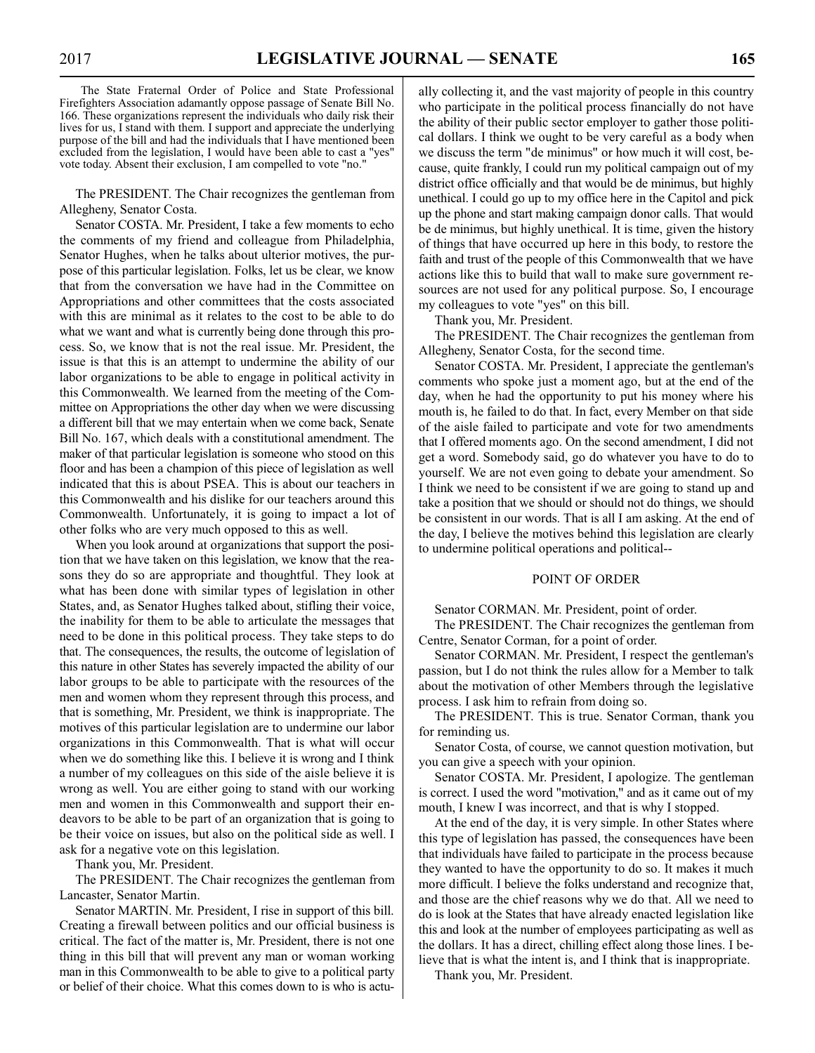The State Fraternal Order of Police and State Professional Firefighters Association adamantly oppose passage of Senate Bill No. 166. These organizations represent the individuals who daily risk their lives for us, I stand with them. I support and appreciate the underlying purpose of the bill and had the individuals that I have mentioned been excluded from the legislation, I would have been able to cast a "yes" vote today. Absent their exclusion, I am compelled to vote "no."

The PRESIDENT. The Chair recognizes the gentleman from Allegheny, Senator Costa.

Senator COSTA. Mr. President, I take a few moments to echo the comments of my friend and colleague from Philadelphia, Senator Hughes, when he talks about ulterior motives, the purpose of this particular legislation. Folks, let us be clear, we know that from the conversation we have had in the Committee on Appropriations and other committees that the costs associated with this are minimal as it relates to the cost to be able to do what we want and what is currently being done through this process. So, we know that is not the real issue. Mr. President, the issue is that this is an attempt to undermine the ability of our labor organizations to be able to engage in political activity in this Commonwealth. We learned from the meeting of the Committee on Appropriations the other day when we were discussing a different bill that we may entertain when we come back, Senate Bill No. 167, which deals with a constitutional amendment. The maker of that particular legislation is someone who stood on this floor and has been a champion of this piece of legislation as well indicated that this is about PSEA. This is about our teachers in this Commonwealth and his dislike for our teachers around this Commonwealth. Unfortunately, it is going to impact a lot of other folks who are very much opposed to this as well.

When you look around at organizations that support the position that we have taken on this legislation, we know that the reasons they do so are appropriate and thoughtful. They look at what has been done with similar types of legislation in other States, and, as Senator Hughes talked about, stifling their voice, the inability for them to be able to articulate the messages that need to be done in this political process. They take steps to do that. The consequences, the results, the outcome of legislation of this nature in other States has severely impacted the ability of our labor groups to be able to participate with the resources of the men and women whom they represent through this process, and that is something, Mr. President, we think is inappropriate. The motives of this particular legislation are to undermine our labor organizations in this Commonwealth. That is what will occur when we do something like this. I believe it is wrong and I think a number of my colleagues on this side of the aisle believe it is wrong as well. You are either going to stand with our working men and women in this Commonwealth and support their endeavors to be able to be part of an organization that is going to be their voice on issues, but also on the political side as well. I ask for a negative vote on this legislation.

Thank you, Mr. President.

The PRESIDENT. The Chair recognizes the gentleman from Lancaster, Senator Martin.

Senator MARTIN. Mr. President, I rise in support of this bill. Creating a firewall between politics and our official business is critical. The fact of the matter is, Mr. President, there is not one thing in this bill that will prevent any man or woman working man in this Commonwealth to be able to give to a political party or belief of their choice. What this comes down to is who is actually collecting it, and the vast majority of people in this country who participate in the political process financially do not have the ability of their public sector employer to gather those political dollars. I think we ought to be very careful as a body when we discuss the term "de minimus" or how much it will cost, because, quite frankly, I could run my political campaign out of my district office officially and that would be de minimus, but highly unethical. I could go up to my office here in the Capitol and pick up the phone and start making campaign donor calls. That would be de minimus, but highly unethical. It is time, given the history of things that have occurred up here in this body, to restore the faith and trust of the people of this Commonwealth that we have actions like this to build that wall to make sure government resources are not used for any political purpose. So, I encourage my colleagues to vote "yes" on this bill.

Thank you, Mr. President.

The PRESIDENT. The Chair recognizes the gentleman from Allegheny, Senator Costa, for the second time.

Senator COSTA. Mr. President, I appreciate the gentleman's comments who spoke just a moment ago, but at the end of the day, when he had the opportunity to put his money where his mouth is, he failed to do that. In fact, every Member on that side of the aisle failed to participate and vote for two amendments that I offered moments ago. On the second amendment, I did not get a word. Somebody said, go do whatever you have to do to yourself. We are not even going to debate your amendment. So I think we need to be consistent if we are going to stand up and take a position that we should or should not do things, we should be consistent in our words. That is all I am asking. At the end of the day, I believe the motives behind this legislation are clearly to undermine political operations and political--

#### POINT OF ORDER

Senator CORMAN. Mr. President, point of order.

The PRESIDENT. The Chair recognizes the gentleman from Centre, Senator Corman, for a point of order.

Senator CORMAN. Mr. President, I respect the gentleman's passion, but I do not think the rules allow for a Member to talk about the motivation of other Members through the legislative process. I ask him to refrain from doing so.

The PRESIDENT. This is true. Senator Corman, thank you for reminding us.

Senator Costa, of course, we cannot question motivation, but you can give a speech with your opinion.

Senator COSTA. Mr. President, I apologize. The gentleman is correct. I used the word "motivation," and as it came out of my mouth, I knew I was incorrect, and that is why I stopped.

At the end of the day, it is very simple. In other States where this type of legislation has passed, the consequences have been that individuals have failed to participate in the process because they wanted to have the opportunity to do so. It makes it much more difficult. I believe the folks understand and recognize that, and those are the chief reasons why we do that. All we need to do is look at the States that have already enacted legislation like this and look at the number of employees participating as well as the dollars. It has a direct, chilling effect along those lines. I believe that is what the intent is, and I think that is inappropriate.

Thank you, Mr. President.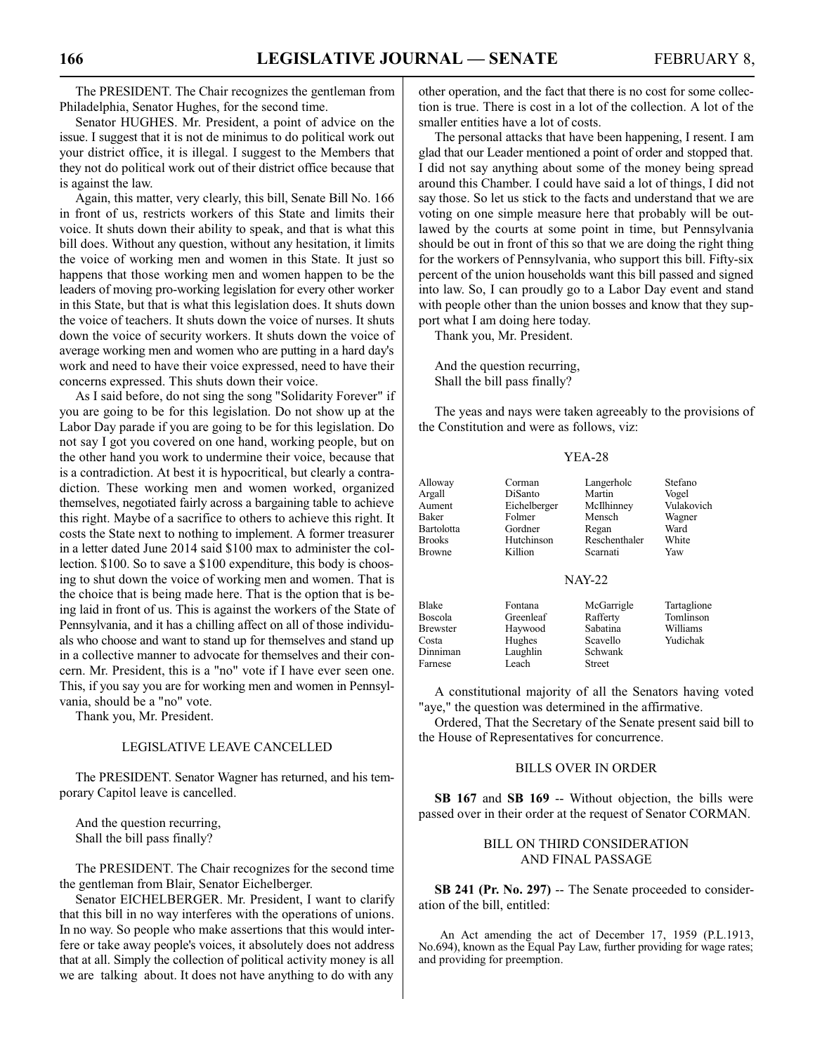The PRESIDENT. The Chair recognizes the gentleman from Philadelphia, Senator Hughes, for the second time.

Senator HUGHES. Mr. President, a point of advice on the issue. I suggest that it is not de minimus to do political work out your district office, it is illegal. I suggest to the Members that they not do political work out of their district office because that is against the law.

Again, this matter, very clearly, this bill, Senate Bill No. 166 in front of us, restricts workers of this State and limits their voice. It shuts down their ability to speak, and that is what this bill does. Without any question, without any hesitation, it limits the voice of working men and women in this State. It just so happens that those working men and women happen to be the leaders of moving pro-working legislation for every other worker in this State, but that is what this legislation does. It shuts down the voice of teachers. It shuts down the voice of nurses. It shuts down the voice of security workers. It shuts down the voice of average working men and women who are putting in a hard day's work and need to have their voice expressed, need to have their concerns expressed. This shuts down their voice.

As I said before, do not sing the song "Solidarity Forever" if you are going to be for this legislation. Do not show up at the Labor Day parade if you are going to be for this legislation. Do not say I got you covered on one hand, working people, but on the other hand you work to undermine their voice, because that is a contradiction. At best it is hypocritical, but clearly a contradiction. These working men and women worked, organized themselves, negotiated fairly across a bargaining table to achieve this right. Maybe of a sacrifice to others to achieve this right. It costs the State next to nothing to implement. A former treasurer in a letter dated June 2014 said \$100 max to administer the collection. \$100. So to save a \$100 expenditure, this body is choosing to shut down the voice of working men and women. That is the choice that is being made here. That is the option that is being laid in front of us. This is against the workers of the State of Pennsylvania, and it has a chilling affect on all of those individuals who choose and want to stand up for themselves and stand up in a collective manner to advocate for themselves and their concern. Mr. President, this is a "no" vote if I have ever seen one. This, if you say you are for working men and women in Pennsylvania, should be a "no" vote.

Thank you, Mr. President.

#### LEGISLATIVE LEAVE CANCELLED

The PRESIDENT. Senator Wagner has returned, and his temporary Capitol leave is cancelled.

And the question recurring, Shall the bill pass finally?

The PRESIDENT. The Chair recognizes for the second time the gentleman from Blair, Senator Eichelberger.

Senator EICHELBERGER. Mr. President, I want to clarify that this bill in no way interferes with the operations of unions. In no way. So people who make assertions that this would interfere or take away people's voices, it absolutely does not address that at all. Simply the collection of political activity money is all we are talking about. It does not have anything to do with any other operation, and the fact that there is no cost for some collection is true. There is cost in a lot of the collection. A lot of the smaller entities have a lot of costs.

The personal attacks that have been happening, I resent. I am glad that our Leader mentioned a point of order and stopped that. I did not say anything about some of the money being spread around this Chamber. I could have said a lot of things, I did not say those. So let us stick to the facts and understand that we are voting on one simple measure here that probably will be outlawed by the courts at some point in time, but Pennsylvania should be out in front of this so that we are doing the right thing for the workers of Pennsylvania, who support this bill. Fifty-six percent of the union households want this bill passed and signed into law. So, I can proudly go to a Labor Day event and stand with people other than the union bosses and know that they support what I am doing here today.

Thank you, Mr. President.

And the question recurring, Shall the bill pass finally?

The yeas and nays were taken agreeably to the provisions of the Constitution and were as follows, viz:

#### YEA-28

| Alloway    | Corman       | Langerholc    | Stefano     |
|------------|--------------|---------------|-------------|
| Argall     | DiSanto      | Martin        | Vogel       |
| Aument     | Eichelberger | McIlhinney    | Vulakovich  |
| Baker      | Folmer       | Mensch        | Wagner      |
| Bartolotta | Gordner      | Regan         | Ward        |
| Brooks     | Hutchinson   | Reschenthaler | White       |
| Browne     | Killion      | Scarnati      | Yaw         |
|            |              | <b>NAY-22</b> |             |
| Blake      | Fontana      | McGarrigle    | Tartaglione |

| Boscola         | Greenleaf | Rafferty      | Tomlinson |
|-----------------|-----------|---------------|-----------|
| <b>Brewster</b> | Haywood   | Sabatina      | Williams  |
| Costa           | Hughes    | Scavello      | Yudichak  |
| Dinniman        | Laughlin  | Schwank       |           |
| Farnese         | Leach     | <b>Street</b> |           |
|                 |           |               |           |

A constitutional majority of all the Senators having voted "aye," the question was determined in the affirmative.

Ordered, That the Secretary of the Senate present said bill to the House of Representatives for concurrence.

#### BILLS OVER IN ORDER

**SB 167** and **SB 169** -- Without objection, the bills were passed over in their order at the request of Senator CORMAN.

#### BILL ON THIRD CONSIDERATION AND FINAL PASSAGE

**SB 241 (Pr. No. 297)** -- The Senate proceeded to consideration of the bill, entitled:

An Act amending the act of December 17, 1959 (P.L.1913, No.694), known as the Equal Pay Law, further providing for wage rates; and providing for preemption.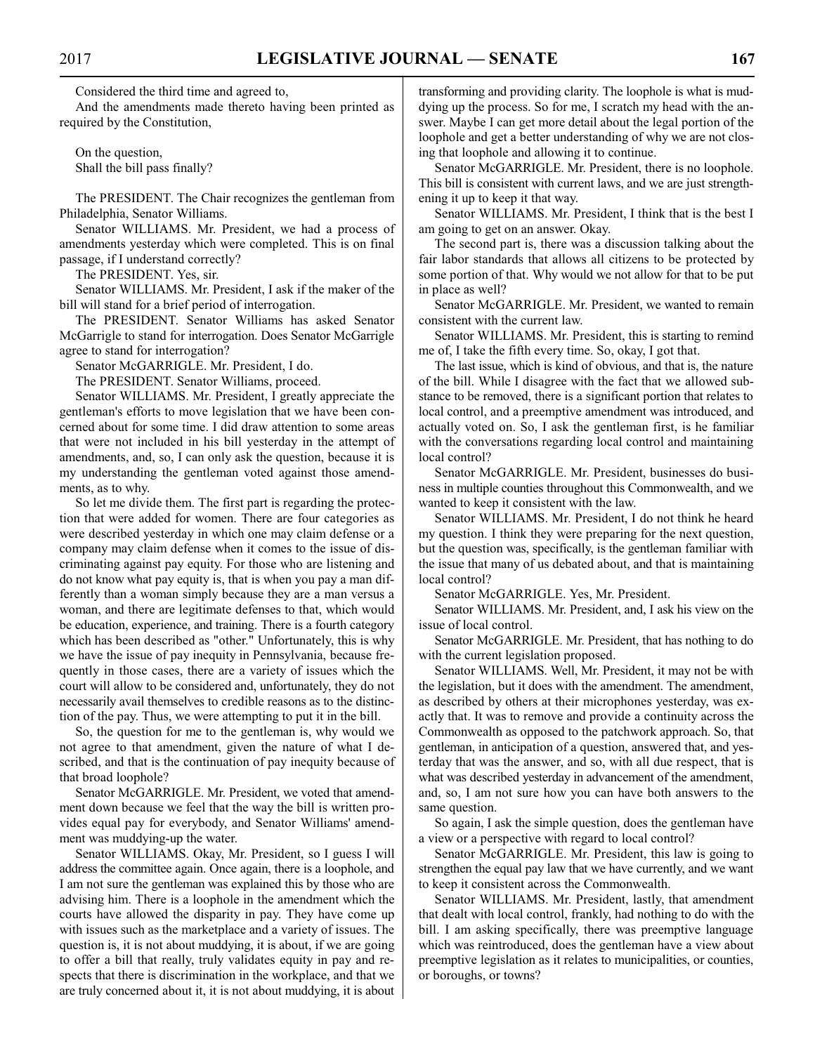Considered the third time and agreed to,

And the amendments made thereto having been printed as required by the Constitution,

On the question, Shall the bill pass finally?

The PRESIDENT. The Chair recognizes the gentleman from Philadelphia, Senator Williams.

Senator WILLIAMS. Mr. President, we had a process of amendments yesterday which were completed. This is on final passage, if I understand correctly?

The PRESIDENT. Yes, sir.

Senator WILLIAMS. Mr. President, I ask if the maker of the bill will stand for a brief period of interrogation.

The PRESIDENT. Senator Williams has asked Senator McGarrigle to stand for interrogation. Does Senator McGarrigle agree to stand for interrogation?

Senator McGARRIGLE. Mr. President, I do.

The PRESIDENT. Senator Williams, proceed.

Senator WILLIAMS. Mr. President, I greatly appreciate the gentleman's efforts to move legislation that we have been concerned about for some time. I did draw attention to some areas that were not included in his bill yesterday in the attempt of amendments, and, so, I can only ask the question, because it is my understanding the gentleman voted against those amendments, as to why.

So let me divide them. The first part is regarding the protection that were added for women. There are four categories as were described yesterday in which one may claim defense or a company may claim defense when it comes to the issue of discriminating against pay equity. For those who are listening and do not know what pay equity is, that is when you pay a man differently than a woman simply because they are a man versus a woman, and there are legitimate defenses to that, which would be education, experience, and training. There is a fourth category which has been described as "other." Unfortunately, this is why we have the issue of pay inequity in Pennsylvania, because frequently in those cases, there are a variety of issues which the court will allow to be considered and, unfortunately, they do not necessarily avail themselves to credible reasons as to the distinction of the pay. Thus, we were attempting to put it in the bill.

So, the question for me to the gentleman is, why would we not agree to that amendment, given the nature of what I described, and that is the continuation of pay inequity because of that broad loophole?

Senator McGARRIGLE. Mr. President, we voted that amendment down because we feel that the way the bill is written provides equal pay for everybody, and Senator Williams' amendment was muddying-up the water.

Senator WILLIAMS. Okay, Mr. President, so I guess I will address the committee again. Once again, there is a loophole, and I am not sure the gentleman was explained this by those who are advising him. There is a loophole in the amendment which the courts have allowed the disparity in pay. They have come up with issues such as the marketplace and a variety of issues. The question is, it is not about muddying, it is about, if we are going to offer a bill that really, truly validates equity in pay and respects that there is discrimination in the workplace, and that we are truly concerned about it, it is not about muddying, it is about transforming and providing clarity. The loophole is what is muddying up the process. So for me, I scratch my head with the answer. Maybe I can get more detail about the legal portion of the loophole and get a better understanding of why we are not closing that loophole and allowing it to continue.

Senator McGARRIGLE. Mr. President, there is no loophole. This bill is consistent with current laws, and we are just strengthening it up to keep it that way.

Senator WILLIAMS. Mr. President, I think that is the best I am going to get on an answer. Okay.

The second part is, there was a discussion talking about the fair labor standards that allows all citizens to be protected by some portion of that. Why would we not allow for that to be put in place as well?

Senator McGARRIGLE. Mr. President, we wanted to remain consistent with the current law.

Senator WILLIAMS. Mr. President, this is starting to remind me of, I take the fifth every time. So, okay, I got that.

The last issue, which is kind of obvious, and that is, the nature of the bill. While I disagree with the fact that we allowed substance to be removed, there is a significant portion that relates to local control, and a preemptive amendment was introduced, and actually voted on. So, I ask the gentleman first, is he familiar with the conversations regarding local control and maintaining local control?

Senator McGARRIGLE. Mr. President, businesses do business in multiple counties throughout this Commonwealth, and we wanted to keep it consistent with the law.

Senator WILLIAMS. Mr. President, I do not think he heard my question. I think they were preparing for the next question, but the question was, specifically, is the gentleman familiar with the issue that many of us debated about, and that is maintaining local control?

Senator McGARRIGLE. Yes, Mr. President.

Senator WILLIAMS. Mr. President, and, I ask his view on the issue of local control.

Senator McGARRIGLE. Mr. President, that has nothing to do with the current legislation proposed.

Senator WILLIAMS. Well, Mr. President, it may not be with the legislation, but it does with the amendment. The amendment, as described by others at their microphones yesterday, was exactly that. It was to remove and provide a continuity across the Commonwealth as opposed to the patchwork approach. So, that gentleman, in anticipation of a question, answered that, and yesterday that was the answer, and so, with all due respect, that is what was described yesterday in advancement of the amendment, and, so, I am not sure how you can have both answers to the same question.

So again, I ask the simple question, does the gentleman have a view or a perspective with regard to local control?

Senator McGARRIGLE. Mr. President, this law is going to strengthen the equal pay law that we have currently, and we want to keep it consistent across the Commonwealth.

Senator WILLIAMS. Mr. President, lastly, that amendment that dealt with local control, frankly, had nothing to do with the bill. I am asking specifically, there was preemptive language which was reintroduced, does the gentleman have a view about preemptive legislation as it relates to municipalities, or counties, or boroughs, or towns?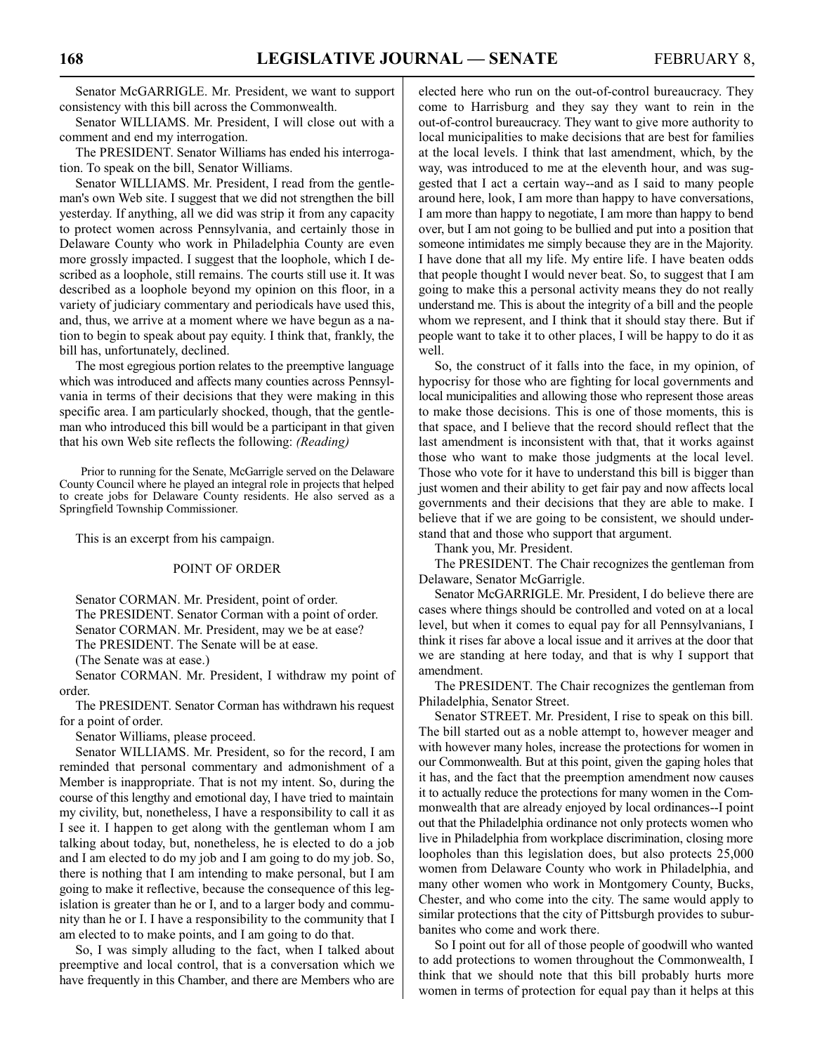Senator McGARRIGLE. Mr. President, we want to support consistency with this bill across the Commonwealth.

Senator WILLIAMS. Mr. President, I will close out with a comment and end my interrogation.

The PRESIDENT. Senator Williams has ended his interrogation. To speak on the bill, Senator Williams.

Senator WILLIAMS. Mr. President, I read from the gentleman's own Web site. I suggest that we did not strengthen the bill yesterday. If anything, all we did was strip it from any capacity to protect women across Pennsylvania, and certainly those in Delaware County who work in Philadelphia County are even more grossly impacted. I suggest that the loophole, which I described as a loophole, still remains. The courts still use it. It was described as a loophole beyond my opinion on this floor, in a variety of judiciary commentary and periodicals have used this, and, thus, we arrive at a moment where we have begun as a nation to begin to speak about pay equity. I think that, frankly, the bill has, unfortunately, declined.

The most egregious portion relates to the preemptive language which was introduced and affects many counties across Pennsylvania in terms of their decisions that they were making in this specific area. I am particularly shocked, though, that the gentleman who introduced this bill would be a participant in that given that his own Web site reflects the following: *(Reading)*

Prior to running for the Senate, McGarrigle served on the Delaware County Council where he played an integral role in projects that helped to create jobs for Delaware County residents. He also served as a Springfield Township Commissioner.

This is an excerpt from his campaign.

#### POINT OF ORDER

Senator CORMAN. Mr. President, point of order. The PRESIDENT. Senator Corman with a point of order. Senator CORMAN. Mr. President, may we be at ease? The PRESIDENT. The Senate will be at ease.

(The Senate was at ease.)

Senator CORMAN. Mr. President, I withdraw my point of order.

The PRESIDENT. Senator Corman has withdrawn his request for a point of order.

Senator Williams, please proceed.

Senator WILLIAMS. Mr. President, so for the record, I am reminded that personal commentary and admonishment of a Member is inappropriate. That is not my intent. So, during the course of this lengthy and emotional day, I have tried to maintain my civility, but, nonetheless, I have a responsibility to call it as I see it. I happen to get along with the gentleman whom I am talking about today, but, nonetheless, he is elected to do a job and I am elected to do my job and I am going to do my job. So, there is nothing that I am intending to make personal, but I am going to make it reflective, because the consequence of this legislation is greater than he or I, and to a larger body and community than he or I. I have a responsibility to the community that I am elected to to make points, and I am going to do that.

So, I was simply alluding to the fact, when I talked about preemptive and local control, that is a conversation which we have frequently in this Chamber, and there are Members who are

elected here who run on the out-of-control bureaucracy. They come to Harrisburg and they say they want to rein in the out-of-control bureaucracy. They want to give more authority to local municipalities to make decisions that are best for families at the local levels. I think that last amendment, which, by the way, was introduced to me at the eleventh hour, and was suggested that I act a certain way--and as I said to many people around here, look, I am more than happy to have conversations, I am more than happy to negotiate, I am more than happy to bend over, but I am not going to be bullied and put into a position that someone intimidates me simply because they are in the Majority. I have done that all my life. My entire life. I have beaten odds that people thought I would never beat. So, to suggest that I am going to make this a personal activity means they do not really understand me. This is about the integrity of a bill and the people whom we represent, and I think that it should stay there. But if people want to take it to other places, I will be happy to do it as well.

So, the construct of it falls into the face, in my opinion, of hypocrisy for those who are fighting for local governments and local municipalities and allowing those who represent those areas to make those decisions. This is one of those moments, this is that space, and I believe that the record should reflect that the last amendment is inconsistent with that, that it works against those who want to make those judgments at the local level. Those who vote for it have to understand this bill is bigger than just women and their ability to get fair pay and now affects local governments and their decisions that they are able to make. I believe that if we are going to be consistent, we should understand that and those who support that argument.

Thank you, Mr. President.

The PRESIDENT. The Chair recognizes the gentleman from Delaware, Senator McGarrigle.

Senator McGARRIGLE. Mr. President, I do believe there are cases where things should be controlled and voted on at a local level, but when it comes to equal pay for all Pennsylvanians, I think it rises far above a local issue and it arrives at the door that we are standing at here today, and that is why I support that amendment.

The PRESIDENT. The Chair recognizes the gentleman from Philadelphia, Senator Street.

Senator STREET. Mr. President, I rise to speak on this bill. The bill started out as a noble attempt to, however meager and with however many holes, increase the protections for women in our Commonwealth. But at this point, given the gaping holes that it has, and the fact that the preemption amendment now causes it to actually reduce the protections for many women in the Commonwealth that are already enjoyed by local ordinances--I point out that the Philadelphia ordinance not only protects women who live in Philadelphia from workplace discrimination, closing more loopholes than this legislation does, but also protects 25,000 women from Delaware County who work in Philadelphia, and many other women who work in Montgomery County, Bucks, Chester, and who come into the city. The same would apply to similar protections that the city of Pittsburgh provides to suburbanites who come and work there.

So I point out for all of those people of goodwill who wanted to add protections to women throughout the Commonwealth, I think that we should note that this bill probably hurts more women in terms of protection for equal pay than it helps at this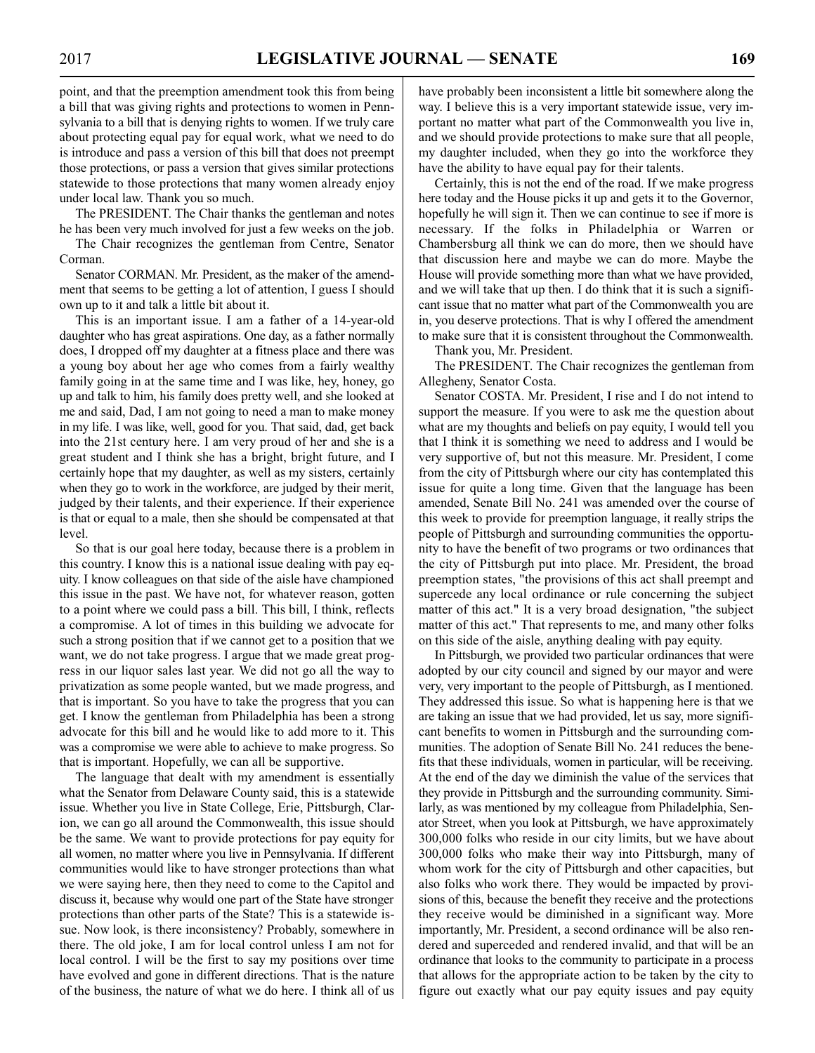point, and that the preemption amendment took this from being a bill that was giving rights and protections to women in Pennsylvania to a bill that is denying rights to women. If we truly care about protecting equal pay for equal work, what we need to do is introduce and pass a version of this bill that does not preempt those protections, or pass a version that gives similar protections statewide to those protections that many women already enjoy under local law. Thank you so much.

The PRESIDENT. The Chair thanks the gentleman and notes he has been very much involved for just a few weeks on the job.

The Chair recognizes the gentleman from Centre, Senator Corman.

Senator CORMAN. Mr. President, as the maker of the amendment that seems to be getting a lot of attention, I guess I should own up to it and talk a little bit about it.

This is an important issue. I am a father of a 14-year-old daughter who has great aspirations. One day, as a father normally does, I dropped off my daughter at a fitness place and there was a young boy about her age who comes from a fairly wealthy family going in at the same time and I was like, hey, honey, go up and talk to him, his family does pretty well, and she looked at me and said, Dad, I am not going to need a man to make money in my life. I was like, well, good for you. That said, dad, get back into the 21st century here. I am very proud of her and she is a great student and I think she has a bright, bright future, and I certainly hope that my daughter, as well as my sisters, certainly when they go to work in the workforce, are judged by their merit, judged by their talents, and their experience. If their experience is that or equal to a male, then she should be compensated at that level.

So that is our goal here today, because there is a problem in this country. I know this is a national issue dealing with pay equity. I know colleagues on that side of the aisle have championed this issue in the past. We have not, for whatever reason, gotten to a point where we could pass a bill. This bill, I think, reflects a compromise. A lot of times in this building we advocate for such a strong position that if we cannot get to a position that we want, we do not take progress. I argue that we made great progress in our liquor sales last year. We did not go all the way to privatization as some people wanted, but we made progress, and that is important. So you have to take the progress that you can get. I know the gentleman from Philadelphia has been a strong advocate for this bill and he would like to add more to it. This was a compromise we were able to achieve to make progress. So that is important. Hopefully, we can all be supportive.

The language that dealt with my amendment is essentially what the Senator from Delaware County said, this is a statewide issue. Whether you live in State College, Erie, Pittsburgh, Clarion, we can go all around the Commonwealth, this issue should be the same. We want to provide protections for pay equity for all women, no matter where you live in Pennsylvania. If different communities would like to have stronger protections than what we were saying here, then they need to come to the Capitol and discuss it, because why would one part of the State have stronger protections than other parts of the State? This is a statewide issue. Now look, is there inconsistency? Probably, somewhere in there. The old joke, I am for local control unless I am not for local control. I will be the first to say my positions over time have evolved and gone in different directions. That is the nature of the business, the nature of what we do here. I think all of us have probably been inconsistent a little bit somewhere along the way. I believe this is a very important statewide issue, very important no matter what part of the Commonwealth you live in, and we should provide protections to make sure that all people, my daughter included, when they go into the workforce they have the ability to have equal pay for their talents.

Certainly, this is not the end of the road. If we make progress here today and the House picks it up and gets it to the Governor, hopefully he will sign it. Then we can continue to see if more is necessary. If the folks in Philadelphia or Warren or Chambersburg all think we can do more, then we should have that discussion here and maybe we can do more. Maybe the House will provide something more than what we have provided, and we will take that up then. I do think that it is such a significant issue that no matter what part of the Commonwealth you are in, you deserve protections. That is why I offered the amendment to make sure that it is consistent throughout the Commonwealth.

Thank you, Mr. President.

The PRESIDENT. The Chair recognizes the gentleman from Allegheny, Senator Costa.

Senator COSTA. Mr. President, I rise and I do not intend to support the measure. If you were to ask me the question about what are my thoughts and beliefs on pay equity, I would tell you that I think it is something we need to address and I would be very supportive of, but not this measure. Mr. President, I come from the city of Pittsburgh where our city has contemplated this issue for quite a long time. Given that the language has been amended, Senate Bill No. 241 was amended over the course of this week to provide for preemption language, it really strips the people of Pittsburgh and surrounding communities the opportunity to have the benefit of two programs or two ordinances that the city of Pittsburgh put into place. Mr. President, the broad preemption states, "the provisions of this act shall preempt and supercede any local ordinance or rule concerning the subject matter of this act." It is a very broad designation, "the subject matter of this act." That represents to me, and many other folks on this side of the aisle, anything dealing with pay equity.

In Pittsburgh, we provided two particular ordinances that were adopted by our city council and signed by our mayor and were very, very important to the people of Pittsburgh, as I mentioned. They addressed this issue. So what is happening here is that we are taking an issue that we had provided, let us say, more significant benefits to women in Pittsburgh and the surrounding communities. The adoption of Senate Bill No. 241 reduces the benefits that these individuals, women in particular, will be receiving. At the end of the day we diminish the value of the services that they provide in Pittsburgh and the surrounding community. Similarly, as was mentioned by my colleague from Philadelphia, Senator Street, when you look at Pittsburgh, we have approximately 300,000 folks who reside in our city limits, but we have about 300,000 folks who make their way into Pittsburgh, many of whom work for the city of Pittsburgh and other capacities, but also folks who work there. They would be impacted by provisions of this, because the benefit they receive and the protections they receive would be diminished in a significant way. More importantly, Mr. President, a second ordinance will be also rendered and superceded and rendered invalid, and that will be an ordinance that looks to the community to participate in a process that allows for the appropriate action to be taken by the city to figure out exactly what our pay equity issues and pay equity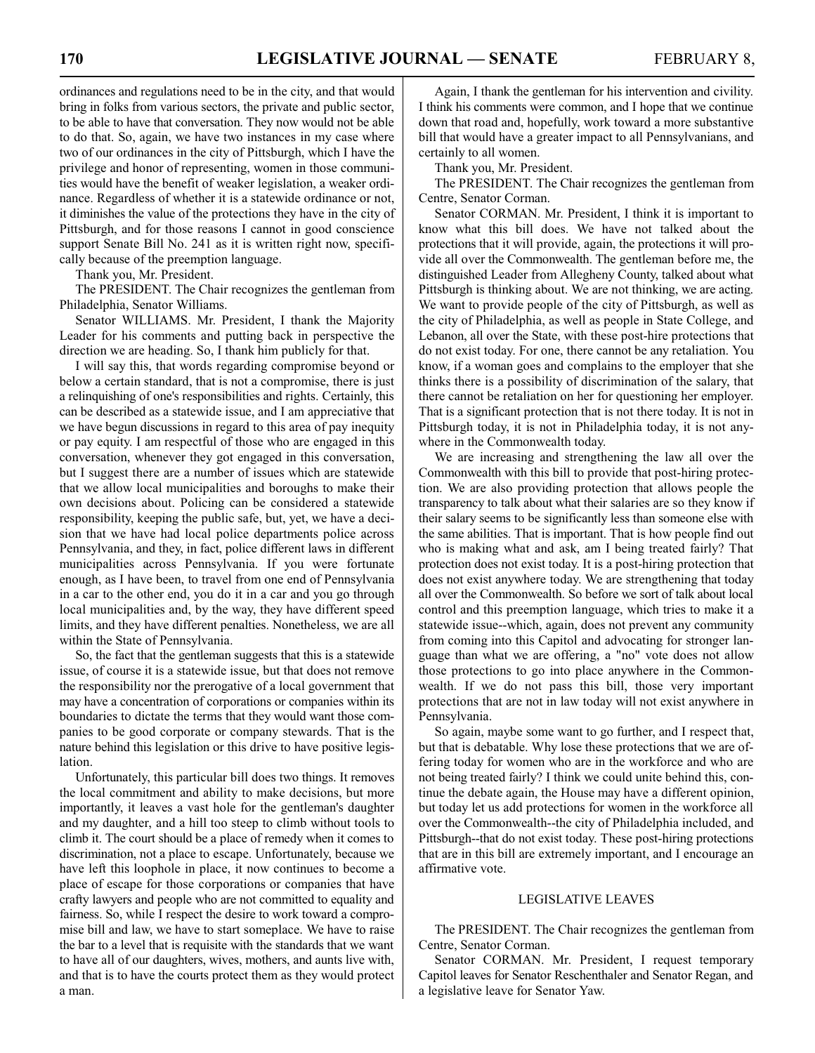ordinances and regulations need to be in the city, and that would bring in folks from various sectors, the private and public sector, to be able to have that conversation. They now would not be able to do that. So, again, we have two instances in my case where two of our ordinances in the city of Pittsburgh, which I have the privilege and honor of representing, women in those communities would have the benefit of weaker legislation, a weaker ordinance. Regardless of whether it is a statewide ordinance or not, it diminishes the value of the protections they have in the city of Pittsburgh, and for those reasons I cannot in good conscience support Senate Bill No. 241 as it is written right now, specifically because of the preemption language.

Thank you, Mr. President.

The PRESIDENT. The Chair recognizes the gentleman from Philadelphia, Senator Williams.

Senator WILLIAMS. Mr. President, I thank the Majority Leader for his comments and putting back in perspective the direction we are heading. So, I thank him publicly for that.

I will say this, that words regarding compromise beyond or below a certain standard, that is not a compromise, there is just a relinquishing of one's responsibilities and rights. Certainly, this can be described as a statewide issue, and I am appreciative that we have begun discussions in regard to this area of pay inequity or pay equity. I am respectful of those who are engaged in this conversation, whenever they got engaged in this conversation, but I suggest there are a number of issues which are statewide that we allow local municipalities and boroughs to make their own decisions about. Policing can be considered a statewide responsibility, keeping the public safe, but, yet, we have a decision that we have had local police departments police across Pennsylvania, and they, in fact, police different laws in different municipalities across Pennsylvania. If you were fortunate enough, as I have been, to travel from one end of Pennsylvania in a car to the other end, you do it in a car and you go through local municipalities and, by the way, they have different speed limits, and they have different penalties. Nonetheless, we are all within the State of Pennsylvania.

So, the fact that the gentleman suggests that this is a statewide issue, of course it is a statewide issue, but that does not remove the responsibility nor the prerogative of a local government that may have a concentration of corporations or companies within its boundaries to dictate the terms that they would want those companies to be good corporate or company stewards. That is the nature behind this legislation or this drive to have positive legislation.

Unfortunately, this particular bill does two things. It removes the local commitment and ability to make decisions, but more importantly, it leaves a vast hole for the gentleman's daughter and my daughter, and a hill too steep to climb without tools to climb it. The court should be a place of remedy when it comes to discrimination, not a place to escape. Unfortunately, because we have left this loophole in place, it now continues to become a place of escape for those corporations or companies that have crafty lawyers and people who are not committed to equality and fairness. So, while I respect the desire to work toward a compromise bill and law, we have to start someplace. We have to raise the bar to a level that is requisite with the standards that we want to have all of our daughters, wives, mothers, and aunts live with, and that is to have the courts protect them as they would protect a man.

Again, I thank the gentleman for his intervention and civility. I think his comments were common, and I hope that we continue down that road and, hopefully, work toward a more substantive bill that would have a greater impact to all Pennsylvanians, and certainly to all women.

Thank you, Mr. President.

The PRESIDENT. The Chair recognizes the gentleman from Centre, Senator Corman.

Senator CORMAN. Mr. President, I think it is important to know what this bill does. We have not talked about the protections that it will provide, again, the protections it will provide all over the Commonwealth. The gentleman before me, the distinguished Leader from Allegheny County, talked about what Pittsburgh is thinking about. We are not thinking, we are acting. We want to provide people of the city of Pittsburgh, as well as the city of Philadelphia, as well as people in State College, and Lebanon, all over the State, with these post-hire protections that do not exist today. For one, there cannot be any retaliation. You know, if a woman goes and complains to the employer that she thinks there is a possibility of discrimination of the salary, that there cannot be retaliation on her for questioning her employer. That is a significant protection that is not there today. It is not in Pittsburgh today, it is not in Philadelphia today, it is not anywhere in the Commonwealth today.

We are increasing and strengthening the law all over the Commonwealth with this bill to provide that post-hiring protection. We are also providing protection that allows people the transparency to talk about what their salaries are so they know if their salary seems to be significantly less than someone else with the same abilities. That is important. That is how people find out who is making what and ask, am I being treated fairly? That protection does not exist today. It is a post-hiring protection that does not exist anywhere today. We are strengthening that today all over the Commonwealth. So before we sort of talk about local control and this preemption language, which tries to make it a statewide issue--which, again, does not prevent any community from coming into this Capitol and advocating for stronger language than what we are offering, a "no" vote does not allow those protections to go into place anywhere in the Commonwealth. If we do not pass this bill, those very important protections that are not in law today will not exist anywhere in Pennsylvania.

So again, maybe some want to go further, and I respect that, but that is debatable. Why lose these protections that we are offering today for women who are in the workforce and who are not being treated fairly? I think we could unite behind this, continue the debate again, the House may have a different opinion, but today let us add protections for women in the workforce all over the Commonwealth--the city of Philadelphia included, and Pittsburgh--that do not exist today. These post-hiring protections that are in this bill are extremely important, and I encourage an affirmative vote.

#### LEGISLATIVE LEAVES

The PRESIDENT. The Chair recognizes the gentleman from Centre, Senator Corman.

Senator CORMAN. Mr. President, I request temporary Capitol leaves for Senator Reschenthaler and Senator Regan, and a legislative leave for Senator Yaw.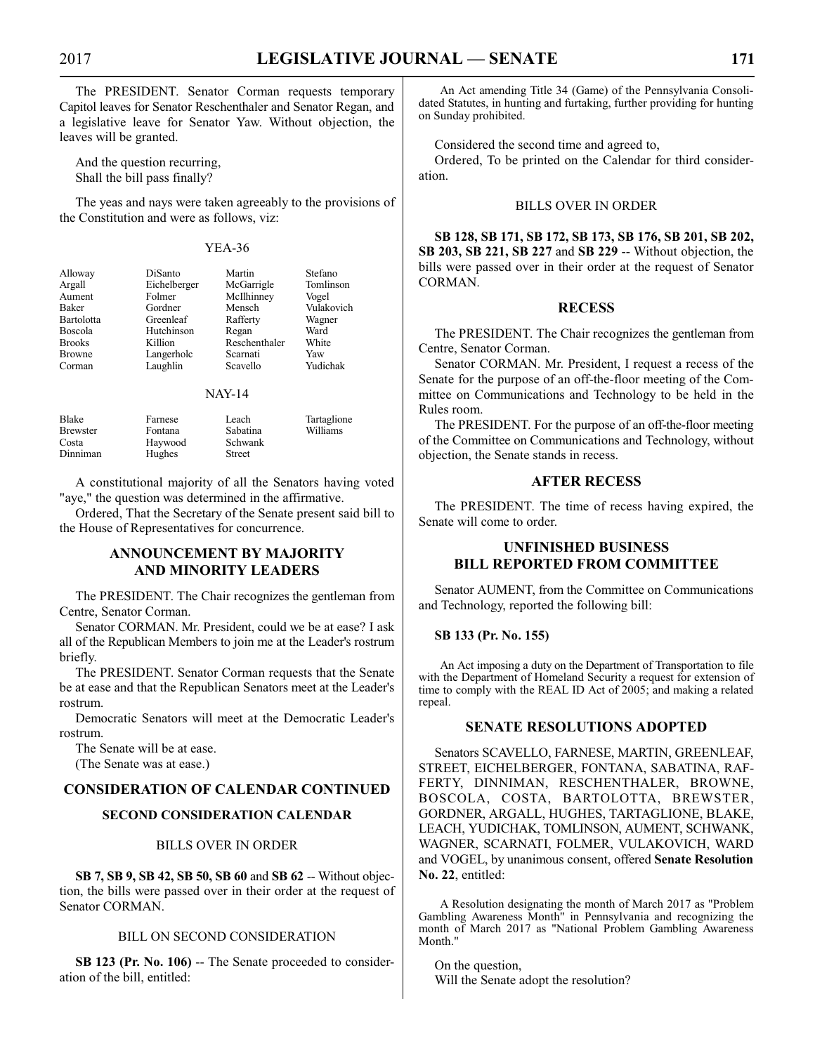The PRESIDENT. Senator Corman requests temporary Capitol leaves for Senator Reschenthaler and Senator Regan, and a legislative leave for Senator Yaw. Without objection, the leaves will be granted.

And the question recurring, Shall the bill pass finally?

The yeas and nays were taken agreeably to the provisions of the Constitution and were as follows, viz:

#### YEA-36

| Alloway        | DiSanto      | Martin        | Stefano    |
|----------------|--------------|---------------|------------|
| Argall         | Eichelberger | McGarrigle    | Tomlinson  |
| Aument         | Folmer       | McIlhinney    | Vogel      |
| Baker          | Gordner      | Mensch        | Vulakovich |
| Bartolotta     | Greenleaf    | Rafferty      | Wagner     |
| <b>Boscola</b> | Hutchinson   | Regan         | Ward       |
| <b>Brooks</b>  | Killion      | Reschenthaler | White      |
| <b>Browne</b>  | Langerholc   | Scarnati      | Yaw        |
| Corman         | Laughlin     | Scavello      | Yudichak   |
|                |              |               |            |

#### NAY-14

| Blake           | Farnese | Leach    | Tartaglione |
|-----------------|---------|----------|-------------|
| <b>Brewster</b> | Fontana | Sabatina | Williams    |
| Costa           | Haywood | Schwank  |             |
| Dinniman        | Hughes  | Street   |             |

A constitutional majority of all the Senators having voted "aye," the question was determined in the affirmative.

Ordered, That the Secretary of the Senate present said bill to the House of Representatives for concurrence.

#### **ANNOUNCEMENT BY MAJORITY AND MINORITY LEADERS**

The PRESIDENT. The Chair recognizes the gentleman from Centre, Senator Corman.

Senator CORMAN. Mr. President, could we be at ease? I ask all of the Republican Members to join me at the Leader's rostrum briefly.

The PRESIDENT. Senator Corman requests that the Senate be at ease and that the Republican Senators meet at the Leader's rostrum.

Democratic Senators will meet at the Democratic Leader's rostrum.

The Senate will be at ease.

(The Senate was at ease.)

#### **CONSIDERATION OF CALENDAR CONTINUED**

#### **SECOND CONSIDERATION CALENDAR**

#### BILLS OVER IN ORDER

**SB 7, SB 9, SB 42, SB 50, SB 60** and **SB 62** -- Without objection, the bills were passed over in their order at the request of Senator CORMAN.

#### BILL ON SECOND CONSIDERATION

**SB 123 (Pr. No. 106)** -- The Senate proceeded to consideration of the bill, entitled:

An Act amending Title 34 (Game) of the Pennsylvania Consolidated Statutes, in hunting and furtaking, further providing for hunting on Sunday prohibited.

Considered the second time and agreed to,

Ordered, To be printed on the Calendar for third consideration.

#### BILLS OVER IN ORDER

**SB 128, SB 171, SB 172, SB 173, SB 176, SB 201, SB 202, SB 203, SB 221, SB 227** and **SB 229** -- Without objection, the bills were passed over in their order at the request of Senator CORMAN.

#### **RECESS**

The PRESIDENT. The Chair recognizes the gentleman from Centre, Senator Corman.

Senator CORMAN. Mr. President, I request a recess of the Senate for the purpose of an off-the-floor meeting of the Committee on Communications and Technology to be held in the Rules room.

The PRESIDENT. For the purpose of an off-the-floor meeting of the Committee on Communications and Technology, without objection, the Senate stands in recess.

#### **AFTER RECESS**

The PRESIDENT. The time of recess having expired, the Senate will come to order.

### **UNFINISHED BUSINESS BILL REPORTED FROM COMMITTEE**

Senator AUMENT, from the Committee on Communications and Technology, reported the following bill:

#### **SB 133 (Pr. No. 155)**

An Act imposing a duty on the Department of Transportation to file with the Department of Homeland Security a request for extension of time to comply with the REAL ID Act of 2005; and making a related repeal.

#### **SENATE RESOLUTIONS ADOPTED**

Senators SCAVELLO, FARNESE, MARTIN, GREENLEAF, STREET, EICHELBERGER, FONTANA, SABATINA, RAF-FERTY, DINNIMAN, RESCHENTHALER, BROWNE, BOSCOLA, COSTA, BARTOLOTTA, BREWSTER, GORDNER, ARGALL, HUGHES, TARTAGLIONE, BLAKE, LEACH, YUDICHAK, TOMLINSON, AUMENT, SCHWANK, WAGNER, SCARNATI, FOLMER, VULAKOVICH, WARD and VOGEL, by unanimous consent, offered **Senate Resolution No. 22**, entitled:

A Resolution designating the month of March 2017 as "Problem Gambling Awareness Month" in Pennsylvania and recognizing the month of March 2017 as "National Problem Gambling Awareness Month."

On the question, Will the Senate adopt the resolution?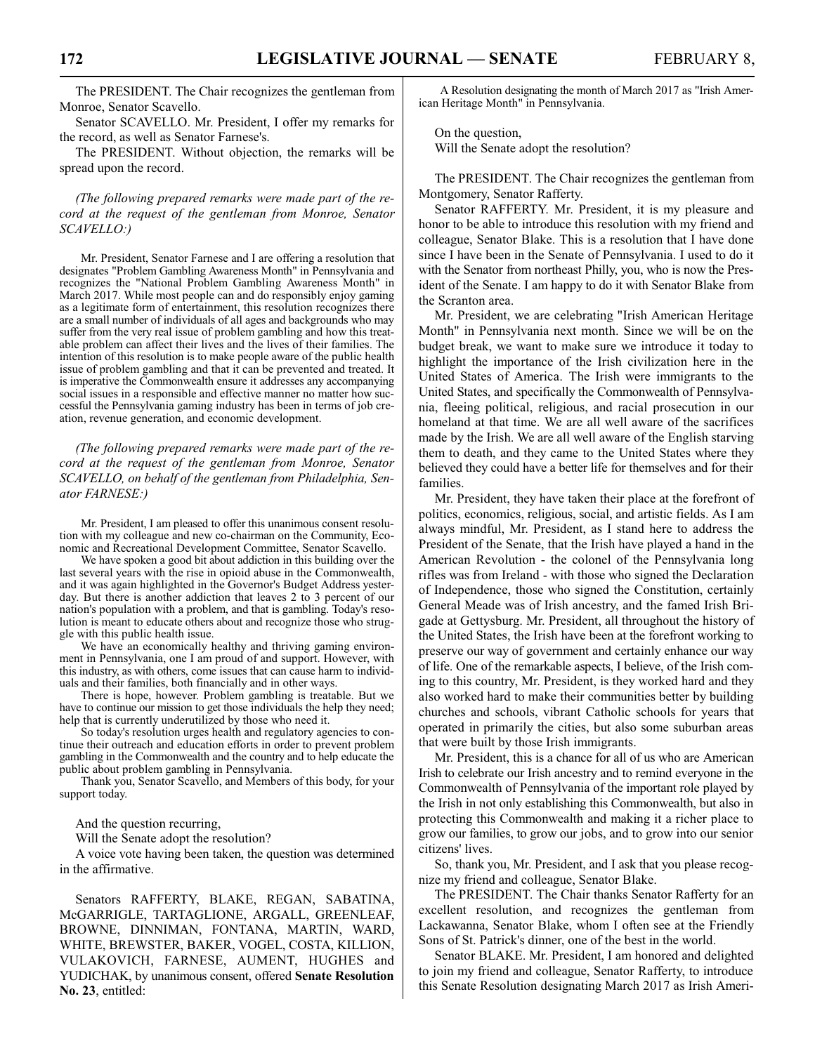The PRESIDENT. The Chair recognizes the gentleman from Monroe, Senator Scavello.

Senator SCAVELLO. Mr. President, I offer my remarks for the record, as well as Senator Farnese's.

The PRESIDENT. Without objection, the remarks will be spread upon the record.

*(The following prepared remarks were made part of the record at the request of the gentleman from Monroe, Senator SCAVELLO:)*

Mr. President, Senator Farnese and I are offering a resolution that designates "Problem Gambling Awareness Month" in Pennsylvania and recognizes the "National Problem Gambling Awareness Month" in March 2017. While most people can and do responsibly enjoy gaming as a legitimate form of entertainment, this resolution recognizes there are a small number of individuals of all ages and backgrounds who may suffer from the very real issue of problem gambling and how this treatable problem can affect their lives and the lives of their families. The intention of this resolution is to make people aware of the public health issue of problem gambling and that it can be prevented and treated. It is imperative the Commonwealth ensure it addresses any accompanying social issues in a responsible and effective manner no matter how successful the Pennsylvania gaming industry has been in terms of job creation, revenue generation, and economic development.

*(The following prepared remarks were made part of the record at the request of the gentleman from Monroe, Senator SCAVELLO, on behalf of the gentleman from Philadelphia, Senator FARNESE:)*

Mr. President, I am pleased to offer this unanimous consent resolution with my colleague and new co-chairman on the Community, Economic and Recreational Development Committee, Senator Scavello.

We have spoken a good bit about addiction in this building over the last several years with the rise in opioid abuse in the Commonwealth, and it was again highlighted in the Governor's Budget Address yesterday. But there is another addiction that leaves 2 to 3 percent of our nation's population with a problem, and that is gambling. Today's resolution is meant to educate others about and recognize those who struggle with this public health issue.

We have an economically healthy and thriving gaming environment in Pennsylvania, one I am proud of and support. However, with this industry, as with others, come issues that can cause harm to individuals and their families, both financially and in other ways.

There is hope, however. Problem gambling is treatable. But we have to continue our mission to get those individuals the help they need; help that is currently underutilized by those who need it.

So today's resolution urges health and regulatory agencies to continue their outreach and education efforts in order to prevent problem gambling in the Commonwealth and the country and to help educate the public about problem gambling in Pennsylvania.

Thank you, Senator Scavello, and Members of this body, for your support today.

And the question recurring,

Will the Senate adopt the resolution?

A voice vote having been taken, the question was determined in the affirmative.

Senators RAFFERTY, BLAKE, REGAN, SABATINA, McGARRIGLE, TARTAGLIONE, ARGALL, GREENLEAF, BROWNE, DINNIMAN, FONTANA, MARTIN, WARD, WHITE, BREWSTER, BAKER, VOGEL, COSTA, KILLION, VULAKOVICH, FARNESE, AUMENT, HUGHES and YUDICHAK, by unanimous consent, offered **Senate Resolution No. 23**, entitled:

A Resolution designating the month of March 2017 as "Irish American Heritage Month" in Pennsylvania.

On the question, Will the Senate adopt the resolution?

The PRESIDENT. The Chair recognizes the gentleman from Montgomery, Senator Rafferty.

Senator RAFFERTY. Mr. President, it is my pleasure and honor to be able to introduce this resolution with my friend and colleague, Senator Blake. This is a resolution that I have done since I have been in the Senate of Pennsylvania. I used to do it with the Senator from northeast Philly, you, who is now the President of the Senate. I am happy to do it with Senator Blake from the Scranton area.

Mr. President, we are celebrating "Irish American Heritage Month" in Pennsylvania next month. Since we will be on the budget break, we want to make sure we introduce it today to highlight the importance of the Irish civilization here in the United States of America. The Irish were immigrants to the United States, and specifically the Commonwealth of Pennsylvania, fleeing political, religious, and racial prosecution in our homeland at that time. We are all well aware of the sacrifices made by the Irish. We are all well aware of the English starving them to death, and they came to the United States where they believed they could have a better life for themselves and for their families.

Mr. President, they have taken their place at the forefront of politics, economics, religious, social, and artistic fields. As I am always mindful, Mr. President, as I stand here to address the President of the Senate, that the Irish have played a hand in the American Revolution - the colonel of the Pennsylvania long rifles was from Ireland - with those who signed the Declaration of Independence, those who signed the Constitution, certainly General Meade was of Irish ancestry, and the famed Irish Brigade at Gettysburg. Mr. President, all throughout the history of the United States, the Irish have been at the forefront working to preserve our way of government and certainly enhance our way of life. One of the remarkable aspects, I believe, of the Irish coming to this country, Mr. President, is they worked hard and they also worked hard to make their communities better by building churches and schools, vibrant Catholic schools for years that operated in primarily the cities, but also some suburban areas that were built by those Irish immigrants.

Mr. President, this is a chance for all of us who are American Irish to celebrate our Irish ancestry and to remind everyone in the Commonwealth of Pennsylvania of the important role played by the Irish in not only establishing this Commonwealth, but also in protecting this Commonwealth and making it a richer place to grow our families, to grow our jobs, and to grow into our senior citizens' lives.

So, thank you, Mr. President, and I ask that you please recognize my friend and colleague, Senator Blake.

The PRESIDENT. The Chair thanks Senator Rafferty for an excellent resolution, and recognizes the gentleman from Lackawanna, Senator Blake, whom I often see at the Friendly Sons of St. Patrick's dinner, one of the best in the world.

Senator BLAKE. Mr. President, I am honored and delighted to join my friend and colleague, Senator Rafferty, to introduce this Senate Resolution designating March 2017 as Irish Ameri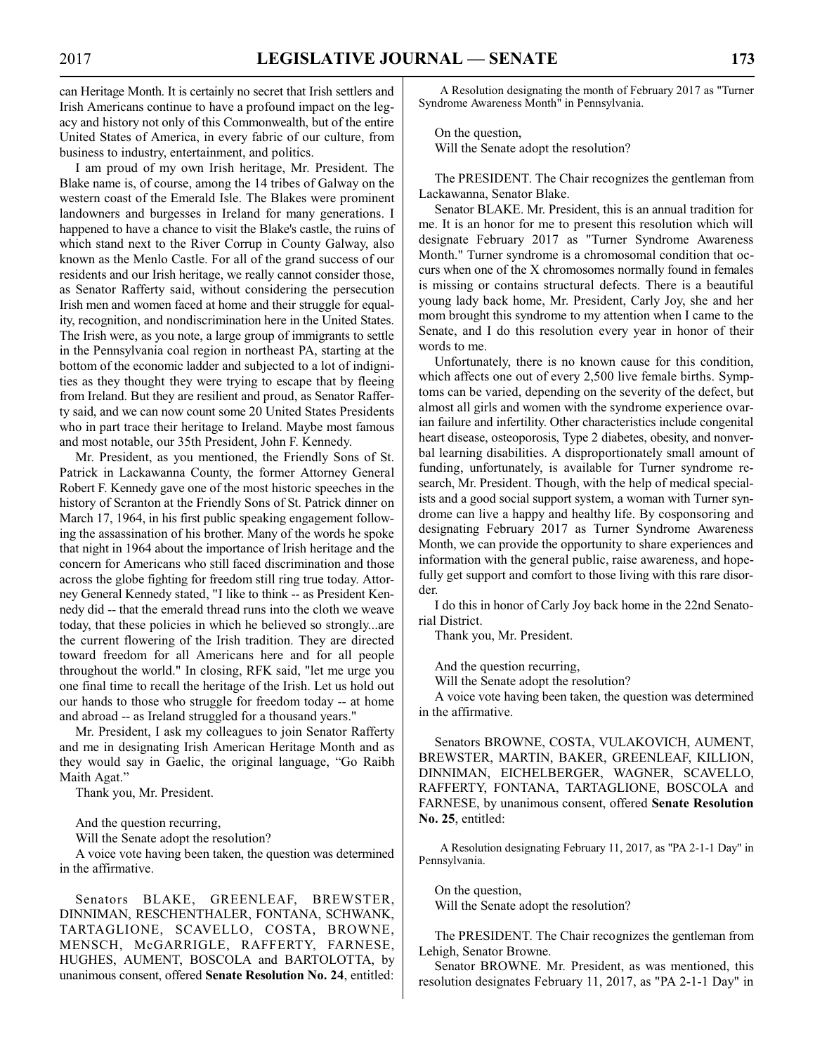can Heritage Month. It is certainly no secret that Irish settlers and Irish Americans continue to have a profound impact on the legacy and history not only of this Commonwealth, but of the entire United States of America, in every fabric of our culture, from business to industry, entertainment, and politics.

I am proud of my own Irish heritage, Mr. President. The Blake name is, of course, among the 14 tribes of Galway on the western coast of the Emerald Isle. The Blakes were prominent landowners and burgesses in Ireland for many generations. I happened to have a chance to visit the Blake's castle, the ruins of which stand next to the River Corrup in County Galway, also known as the Menlo Castle. For all of the grand success of our residents and our Irish heritage, we really cannot consider those, as Senator Rafferty said, without considering the persecution Irish men and women faced at home and their struggle for equality, recognition, and nondiscrimination here in the United States. The Irish were, as you note, a large group of immigrants to settle in the Pennsylvania coal region in northeast PA, starting at the bottom of the economic ladder and subjected to a lot of indignities as they thought they were trying to escape that by fleeing from Ireland. But they are resilient and proud, as Senator Rafferty said, and we can now count some 20 United States Presidents who in part trace their heritage to Ireland. Maybe most famous and most notable, our 35th President, John F. Kennedy.

Mr. President, as you mentioned, the Friendly Sons of St. Patrick in Lackawanna County, the former Attorney General Robert F. Kennedy gave one of the most historic speeches in the history of Scranton at the Friendly Sons of St. Patrick dinner on March 17, 1964, in his first public speaking engagement following the assassination of his brother. Many of the words he spoke that night in 1964 about the importance of Irish heritage and the concern for Americans who still faced discrimination and those across the globe fighting for freedom still ring true today. Attorney General Kennedy stated, "I like to think -- as President Kennedy did -- that the emerald thread runs into the cloth we weave today, that these policies in which he believed so strongly...are the current flowering of the Irish tradition. They are directed toward freedom for all Americans here and for all people throughout the world." In closing, RFK said, "let me urge you one final time to recall the heritage of the Irish. Let us hold out our hands to those who struggle for freedom today -- at home and abroad -- as Ireland struggled for a thousand years."

Mr. President, I ask my colleagues to join Senator Rafferty and me in designating Irish American Heritage Month and as they would say in Gaelic, the original language, "Go Raibh Maith Agat."

Thank you, Mr. President.

And the question recurring,

Will the Senate adopt the resolution?

A voice vote having been taken, the question was determined in the affirmative.

Senators BLAKE, GREENLEAF, BREWSTER, DINNIMAN, RESCHENTHALER, FONTANA, SCHWANK, TARTAGLIONE, SCAVELLO, COSTA, BROWNE, MENSCH, McGARRIGLE, RAFFERTY, FARNESE, HUGHES, AUMENT, BOSCOLA and BARTOLOTTA, by unanimous consent, offered **Senate Resolution No. 24**, entitled:

A Resolution designating the month of February 2017 as "Turner Syndrome Awareness Month" in Pennsylvania.

On the question, Will the Senate adopt the resolution?

The PRESIDENT. The Chair recognizes the gentleman from Lackawanna, Senator Blake.

Senator BLAKE. Mr. President, this is an annual tradition for me. It is an honor for me to present this resolution which will designate February 2017 as "Turner Syndrome Awareness Month." Turner syndrome is a chromosomal condition that occurs when one of the X chromosomes normally found in females is missing or contains structural defects. There is a beautiful young lady back home, Mr. President, Carly Joy, she and her mom brought this syndrome to my attention when I came to the Senate, and I do this resolution every year in honor of their words to me.

Unfortunately, there is no known cause for this condition, which affects one out of every 2,500 live female births. Symptoms can be varied, depending on the severity of the defect, but almost all girls and women with the syndrome experience ovarian failure and infertility. Other characteristics include congenital heart disease, osteoporosis, Type 2 diabetes, obesity, and nonverbal learning disabilities. A disproportionately small amount of funding, unfortunately, is available for Turner syndrome research, Mr. President. Though, with the help of medical specialists and a good social support system, a woman with Turner syndrome can live a happy and healthy life. By cosponsoring and designating February 2017 as Turner Syndrome Awareness Month, we can provide the opportunity to share experiences and information with the general public, raise awareness, and hopefully get support and comfort to those living with this rare disorder.

I do this in honor of Carly Joy back home in the 22nd Senatorial District.

Thank you, Mr. President.

And the question recurring,

Will the Senate adopt the resolution?

A voice vote having been taken, the question was determined in the affirmative.

Senators BROWNE, COSTA, VULAKOVICH, AUMENT, BREWSTER, MARTIN, BAKER, GREENLEAF, KILLION, DINNIMAN, EICHELBERGER, WAGNER, SCAVELLO, RAFFERTY, FONTANA, TARTAGLIONE, BOSCOLA and FARNESE, by unanimous consent, offered **Senate Resolution No. 25**, entitled:

A Resolution designating February 11, 2017, as "PA 2-1-1 Day" in Pennsylvania.

On the question, Will the Senate adopt the resolution?

The PRESIDENT. The Chair recognizes the gentleman from Lehigh, Senator Browne.

Senator BROWNE. Mr. President, as was mentioned, this resolution designates February 11, 2017, as "PA 2-1-1 Day" in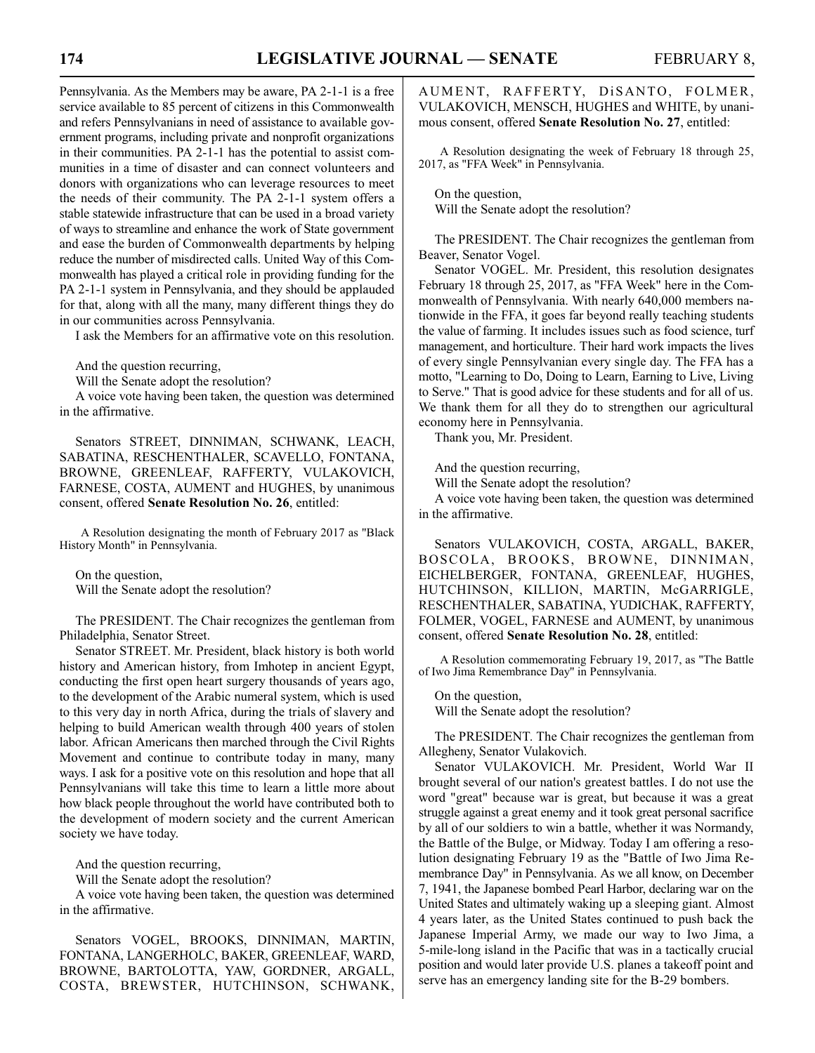Pennsylvania. As the Members may be aware, PA 2-1-1 is a free service available to 85 percent of citizens in this Commonwealth and refers Pennsylvanians in need of assistance to available government programs, including private and nonprofit organizations in their communities. PA 2-1-1 has the potential to assist communities in a time of disaster and can connect volunteers and donors with organizations who can leverage resources to meet the needs of their community. The PA 2-1-1 system offers a stable statewide infrastructure that can be used in a broad variety of ways to streamline and enhance the work of State government and ease the burden of Commonwealth departments by helping reduce the number of misdirected calls. United Way of this Commonwealth has played a critical role in providing funding for the PA 2-1-1 system in Pennsylvania, and they should be applauded for that, along with all the many, many different things they do in our communities across Pennsylvania.

I ask the Members for an affirmative vote on this resolution.

And the question recurring,

Will the Senate adopt the resolution?

A voice vote having been taken, the question was determined in the affirmative.

Senators STREET, DINNIMAN, SCHWANK, LEACH, SABATINA, RESCHENTHALER, SCAVELLO, FONTANA, BROWNE, GREENLEAF, RAFFERTY, VULAKOVICH, FARNESE, COSTA, AUMENT and HUGHES, by unanimous consent, offered **Senate Resolution No. 26**, entitled:

A Resolution designating the month of February 2017 as "Black History Month" in Pennsylvania.

On the question, Will the Senate adopt the resolution?

The PRESIDENT. The Chair recognizes the gentleman from Philadelphia, Senator Street.

Senator STREET. Mr. President, black history is both world history and American history, from Imhotep in ancient Egypt, conducting the first open heart surgery thousands of years ago, to the development of the Arabic numeral system, which is used to this very day in north Africa, during the trials of slavery and helping to build American wealth through 400 years of stolen labor. African Americans then marched through the Civil Rights Movement and continue to contribute today in many, many ways. I ask for a positive vote on this resolution and hope that all Pennsylvanians will take this time to learn a little more about how black people throughout the world have contributed both to the development of modern society and the current American society we have today.

And the question recurring,

Will the Senate adopt the resolution?

A voice vote having been taken, the question was determined in the affirmative.

Senators VOGEL, BROOKS, DINNIMAN, MARTIN, FONTANA, LANGERHOLC, BAKER, GREENLEAF, WARD, BROWNE, BARTOLOTTA, YAW, GORDNER, ARGALL, COSTA, BREWSTER, HUTCHINSON, SCHWANK, AUMENT, RAFFERTY, DISANTO, FOLMER, VULAKOVICH, MENSCH, HUGHES and WHITE, by unanimous consent, offered **Senate Resolution No. 27**, entitled:

A Resolution designating the week of February 18 through 25, 2017, as "FFA Week" in Pennsylvania.

On the question, Will the Senate adopt the resolution?

The PRESIDENT. The Chair recognizes the gentleman from Beaver, Senator Vogel.

Senator VOGEL. Mr. President, this resolution designates February 18 through 25, 2017, as "FFA Week" here in the Commonwealth of Pennsylvania. With nearly 640,000 members nationwide in the FFA, it goes far beyond really teaching students the value of farming. It includes issues such as food science, turf management, and horticulture. Their hard work impacts the lives of every single Pennsylvanian every single day. The FFA has a motto, "Learning to Do, Doing to Learn, Earning to Live, Living to Serve." That is good advice for these students and for all of us. We thank them for all they do to strengthen our agricultural economy here in Pennsylvania.

Thank you, Mr. President.

And the question recurring,

Will the Senate adopt the resolution?

A voice vote having been taken, the question was determined in the affirmative.

Senators VULAKOVICH, COSTA, ARGALL, BAKER, BOSCOLA, BROOKS, BROWNE, DINNIMAN, EICHELBERGER, FONTANA, GREENLEAF, HUGHES, HUTCHINSON, KILLION, MARTIN, McGARRIGLE, RESCHENTHALER, SABATINA, YUDICHAK, RAFFERTY, FOLMER, VOGEL, FARNESE and AUMENT, by unanimous consent, offered **Senate Resolution No. 28**, entitled:

A Resolution commemorating February 19, 2017, as "The Battle of Iwo Jima Remembrance Day" in Pennsylvania.

On the question, Will the Senate adopt the resolution?

The PRESIDENT. The Chair recognizes the gentleman from Allegheny, Senator Vulakovich.

Senator VULAKOVICH. Mr. President, World War II brought several of our nation's greatest battles. I do not use the word "great" because war is great, but because it was a great struggle against a great enemy and it took great personal sacrifice by all of our soldiers to win a battle, whether it was Normandy, the Battle of the Bulge, or Midway. Today I am offering a resolution designating February 19 as the "Battle of Iwo Jima Remembrance Day" in Pennsylvania. As we all know, on December 7, 1941, the Japanese bombed Pearl Harbor, declaring war on the United States and ultimately waking up a sleeping giant. Almost 4 years later, as the United States continued to push back the Japanese Imperial Army, we made our way to Iwo Jima, a 5-mile-long island in the Pacific that was in a tactically crucial position and would later provide U.S. planes a takeoff point and serve has an emergency landing site for the B-29 bombers.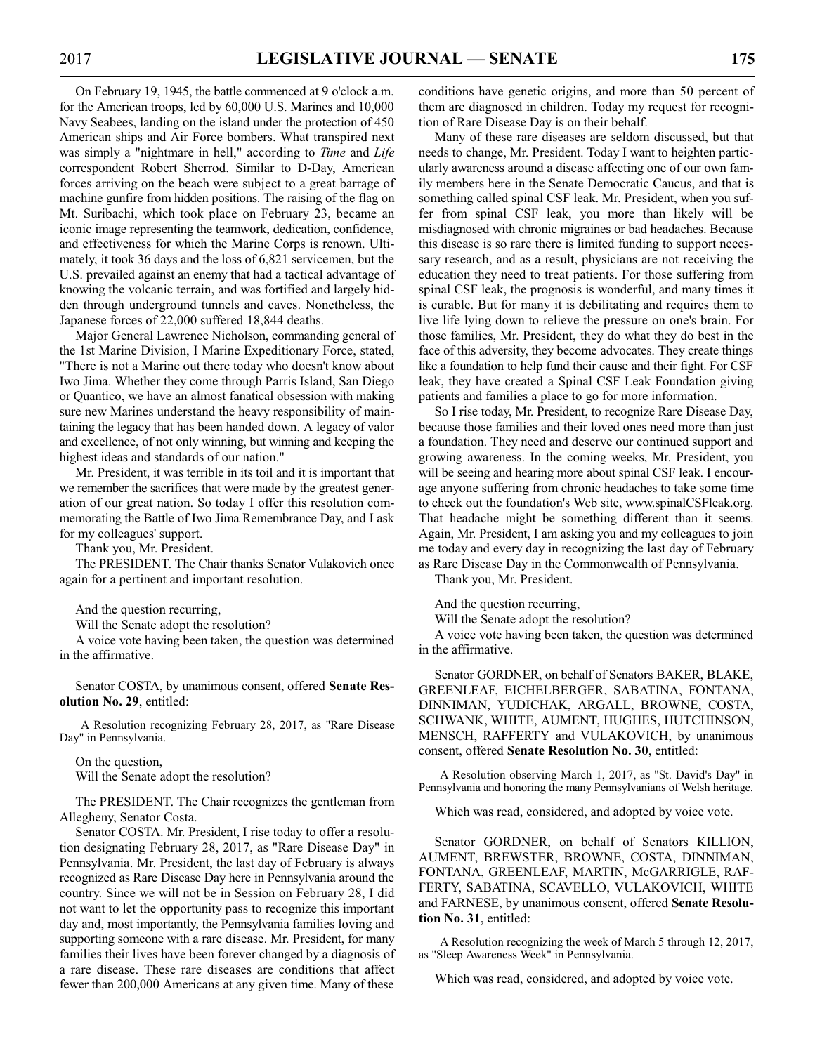On February 19, 1945, the battle commenced at 9 o'clock a.m. for the American troops, led by 60,000 U.S. Marines and 10,000 Navy Seabees, landing on the island under the protection of 450 American ships and Air Force bombers. What transpired next was simply a "nightmare in hell," according to *Time* and *Life* correspondent Robert Sherrod. Similar to D-Day, American forces arriving on the beach were subject to a great barrage of machine gunfire from hidden positions. The raising of the flag on Mt. Suribachi, which took place on February 23, became an iconic image representing the teamwork, dedication, confidence, and effectiveness for which the Marine Corps is renown. Ultimately, it took 36 days and the loss of 6,821 servicemen, but the U.S. prevailed against an enemy that had a tactical advantage of knowing the volcanic terrain, and was fortified and largely hidden through underground tunnels and caves. Nonetheless, the Japanese forces of 22,000 suffered 18,844 deaths.

Major General Lawrence Nicholson, commanding general of the 1st Marine Division, I Marine Expeditionary Force, stated, "There is not a Marine out there today who doesn't know about Iwo Jima. Whether they come through Parris Island, San Diego or Quantico, we have an almost fanatical obsession with making sure new Marines understand the heavy responsibility of maintaining the legacy that has been handed down. A legacy of valor and excellence, of not only winning, but winning and keeping the highest ideas and standards of our nation."

Mr. President, it was terrible in its toil and it is important that we remember the sacrifices that were made by the greatest generation of our great nation. So today I offer this resolution commemorating the Battle of Iwo Jima Remembrance Day, and I ask for my colleagues' support.

Thank you, Mr. President.

The PRESIDENT. The Chair thanks Senator Vulakovich once again for a pertinent and important resolution.

And the question recurring,

Will the Senate adopt the resolution?

A voice vote having been taken, the question was determined in the affirmative.

Senator COSTA, by unanimous consent, offered **Senate Resolution No. 29**, entitled:

A Resolution recognizing February 28, 2017, as "Rare Disease Day" in Pennsylvania.

On the question, Will the Senate adopt the resolution?

The PRESIDENT. The Chair recognizes the gentleman from Allegheny, Senator Costa.

Senator COSTA. Mr. President, I rise today to offer a resolution designating February 28, 2017, as "Rare Disease Day" in Pennsylvania. Mr. President, the last day of February is always recognized as Rare Disease Day here in Pennsylvania around the country. Since we will not be in Session on February 28, I did not want to let the opportunity pass to recognize this important day and, most importantly, the Pennsylvania families loving and supporting someone with a rare disease. Mr. President, for many families their lives have been forever changed by a diagnosis of a rare disease. These rare diseases are conditions that affect fewer than 200,000 Americans at any given time. Many of these conditions have genetic origins, and more than 50 percent of them are diagnosed in children. Today my request for recognition of Rare Disease Day is on their behalf.

Many of these rare diseases are seldom discussed, but that needs to change, Mr. President. Today I want to heighten particularly awareness around a disease affecting one of our own family members here in the Senate Democratic Caucus, and that is something called spinal CSF leak. Mr. President, when you suffer from spinal CSF leak, you more than likely will be misdiagnosed with chronic migraines or bad headaches. Because this disease is so rare there is limited funding to support necessary research, and as a result, physicians are not receiving the education they need to treat patients. For those suffering from spinal CSF leak, the prognosis is wonderful, and many times it is curable. But for many it is debilitating and requires them to live life lying down to relieve the pressure on one's brain. For those families, Mr. President, they do what they do best in the face of this adversity, they become advocates. They create things like a foundation to help fund their cause and their fight. For CSF leak, they have created a Spinal CSF Leak Foundation giving patients and families a place to go for more information.

So I rise today, Mr. President, to recognize Rare Disease Day, because those families and their loved ones need more than just a foundation. They need and deserve our continued support and growing awareness. In the coming weeks, Mr. President, you will be seeing and hearing more about spinal CSF leak. I encourage anyone suffering from chronic headaches to take some time to check out the foundation's Web site, www.spinalCSFleak.org. That headache might be something different than it seems. Again, Mr. President, I am asking you and my colleagues to join me today and every day in recognizing the last day of February as Rare Disease Day in the Commonwealth of Pennsylvania.

Thank you, Mr. President.

And the question recurring,

Will the Senate adopt the resolution?

A voice vote having been taken, the question was determined in the affirmative.

Senator GORDNER, on behalf of Senators BAKER, BLAKE, GREENLEAF, EICHELBERGER, SABATINA, FONTANA, DINNIMAN, YUDICHAK, ARGALL, BROWNE, COSTA, SCHWANK, WHITE, AUMENT, HUGHES, HUTCHINSON, MENSCH, RAFFERTY and VULAKOVICH, by unanimous consent, offered **Senate Resolution No. 30**, entitled:

A Resolution observing March 1, 2017, as "St. David's Day" in Pennsylvania and honoring the many Pennsylvanians of Welsh heritage.

Which was read, considered, and adopted by voice vote.

Senator GORDNER, on behalf of Senators KILLION, AUMENT, BREWSTER, BROWNE, COSTA, DINNIMAN, FONTANA, GREENLEAF, MARTIN, McGARRIGLE, RAF-FERTY, SABATINA, SCAVELLO, VULAKOVICH, WHITE and FARNESE, by unanimous consent, offered **Senate Resolution No. 31**, entitled:

A Resolution recognizing the week of March 5 through 12, 2017, as "Sleep Awareness Week" in Pennsylvania.

Which was read, considered, and adopted by voice vote.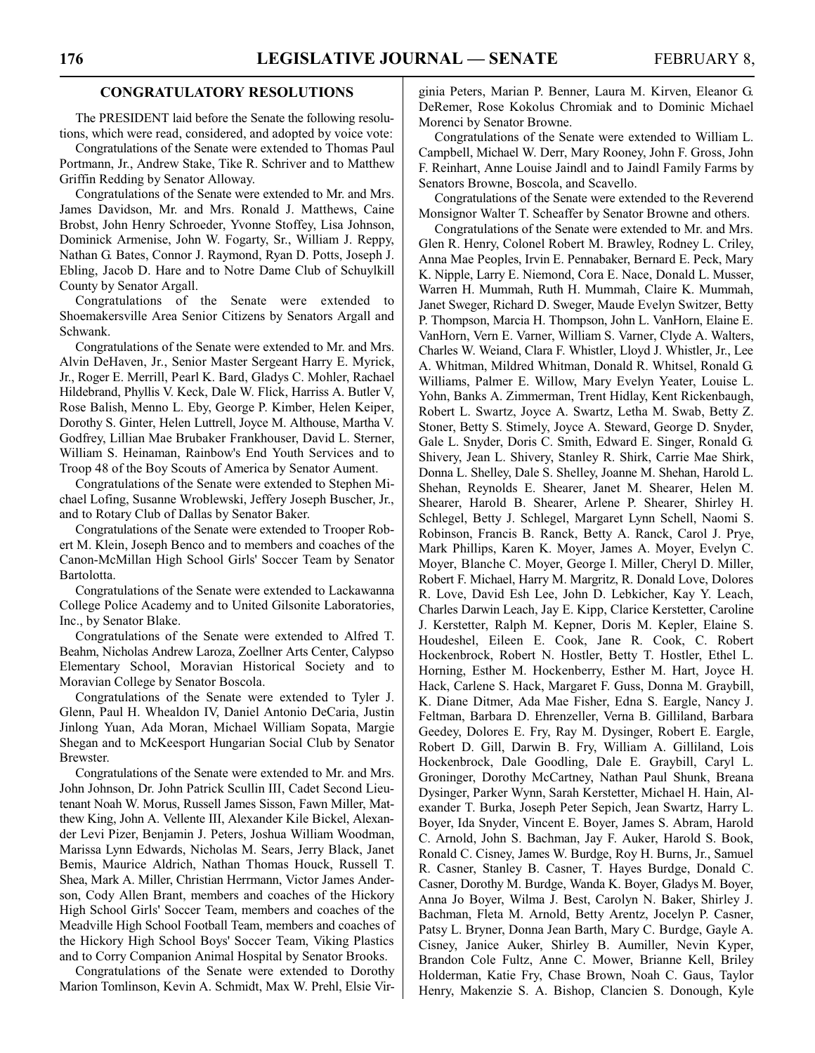#### **CONGRATULATORY RESOLUTIONS**

The PRESIDENT laid before the Senate the following resolutions, which were read, considered, and adopted by voice vote:

Congratulations of the Senate were extended to Thomas Paul Portmann, Jr., Andrew Stake, Tike R. Schriver and to Matthew Griffin Redding by Senator Alloway.

Congratulations of the Senate were extended to Mr. and Mrs. James Davidson, Mr. and Mrs. Ronald J. Matthews, Caine Brobst, John Henry Schroeder, Yvonne Stoffey, Lisa Johnson, Dominick Armenise, John W. Fogarty, Sr., William J. Reppy, Nathan G. Bates, Connor J. Raymond, Ryan D. Potts, Joseph J. Ebling, Jacob D. Hare and to Notre Dame Club of Schuylkill County by Senator Argall.

Congratulations of the Senate were extended to Shoemakersville Area Senior Citizens by Senators Argall and Schwank.

Congratulations of the Senate were extended to Mr. and Mrs. Alvin DeHaven, Jr., Senior Master Sergeant Harry E. Myrick, Jr., Roger E. Merrill, Pearl K. Bard, Gladys C. Mohler, Rachael Hildebrand, Phyllis V. Keck, Dale W. Flick, Harriss A. Butler V, Rose Balish, Menno L. Eby, George P. Kimber, Helen Keiper, Dorothy S. Ginter, Helen Luttrell, Joyce M. Althouse, Martha V. Godfrey, Lillian Mae Brubaker Frankhouser, David L. Sterner, William S. Heinaman, Rainbow's End Youth Services and to Troop 48 of the Boy Scouts of America by Senator Aument.

Congratulations of the Senate were extended to Stephen Michael Lofing, Susanne Wroblewski, Jeffery Joseph Buscher, Jr., and to Rotary Club of Dallas by Senator Baker.

Congratulations of the Senate were extended to Trooper Robert M. Klein, Joseph Benco and to members and coaches of the Canon-McMillan High School Girls' Soccer Team by Senator Bartolotta.

Congratulations of the Senate were extended to Lackawanna College Police Academy and to United Gilsonite Laboratories, Inc., by Senator Blake.

Congratulations of the Senate were extended to Alfred T. Beahm, Nicholas Andrew Laroza, Zoellner Arts Center, Calypso Elementary School, Moravian Historical Society and to Moravian College by Senator Boscola.

Congratulations of the Senate were extended to Tyler J. Glenn, Paul H. Whealdon IV, Daniel Antonio DeCaria, Justin Jinlong Yuan, Ada Moran, Michael William Sopata, Margie Shegan and to McKeesport Hungarian Social Club by Senator Brewster.

Congratulations of the Senate were extended to Mr. and Mrs. John Johnson, Dr. John Patrick Scullin III, Cadet Second Lieutenant Noah W. Morus, Russell James Sisson, Fawn Miller, Matthew King, John A. Vellente III, Alexander Kile Bickel, Alexander Levi Pizer, Benjamin J. Peters, Joshua William Woodman, Marissa Lynn Edwards, Nicholas M. Sears, Jerry Black, Janet Bemis, Maurice Aldrich, Nathan Thomas Houck, Russell T. Shea, Mark A. Miller, Christian Herrmann, Victor James Anderson, Cody Allen Brant, members and coaches of the Hickory High School Girls' Soccer Team, members and coaches of the Meadville High School Football Team, members and coaches of the Hickory High School Boys' Soccer Team, Viking Plastics and to Corry Companion Animal Hospital by Senator Brooks.

Congratulations of the Senate were extended to Dorothy Marion Tomlinson, Kevin A. Schmidt, Max W. Prehl, Elsie Virginia Peters, Marian P. Benner, Laura M. Kirven, Eleanor G. DeRemer, Rose Kokolus Chromiak and to Dominic Michael Morenci by Senator Browne.

Congratulations of the Senate were extended to William L. Campbell, Michael W. Derr, Mary Rooney, John F. Gross, John F. Reinhart, Anne Louise Jaindl and to Jaindl Family Farms by Senators Browne, Boscola, and Scavello.

Congratulations of the Senate were extended to the Reverend Monsignor Walter T. Scheaffer by Senator Browne and others.

Congratulations of the Senate were extended to Mr. and Mrs. Glen R. Henry, Colonel Robert M. Brawley, Rodney L. Criley, Anna Mae Peoples, Irvin E. Pennabaker, Bernard E. Peck, Mary K. Nipple, Larry E. Niemond, Cora E. Nace, Donald L. Musser, Warren H. Mummah, Ruth H. Mummah, Claire K. Mummah, Janet Sweger, Richard D. Sweger, Maude Evelyn Switzer, Betty P. Thompson, Marcia H. Thompson, John L. VanHorn, Elaine E. VanHorn, Vern E. Varner, William S. Varner, Clyde A. Walters, Charles W. Weiand, Clara F. Whistler, Lloyd J. Whistler, Jr., Lee A. Whitman, Mildred Whitman, Donald R. Whitsel, Ronald G. Williams, Palmer E. Willow, Mary Evelyn Yeater, Louise L. Yohn, Banks A. Zimmerman, Trent Hidlay, Kent Rickenbaugh, Robert L. Swartz, Joyce A. Swartz, Letha M. Swab, Betty Z. Stoner, Betty S. Stimely, Joyce A. Steward, George D. Snyder, Gale L. Snyder, Doris C. Smith, Edward E. Singer, Ronald G. Shivery, Jean L. Shivery, Stanley R. Shirk, Carrie Mae Shirk, Donna L. Shelley, Dale S. Shelley, Joanne M. Shehan, Harold L. Shehan, Reynolds E. Shearer, Janet M. Shearer, Helen M. Shearer, Harold B. Shearer, Arlene P. Shearer, Shirley H. Schlegel, Betty J. Schlegel, Margaret Lynn Schell, Naomi S. Robinson, Francis B. Ranck, Betty A. Ranck, Carol J. Prye, Mark Phillips, Karen K. Moyer, James A. Moyer, Evelyn C. Moyer, Blanche C. Moyer, George I. Miller, Cheryl D. Miller, Robert F. Michael, Harry M. Margritz, R. Donald Love, Dolores R. Love, David Esh Lee, John D. Lebkicher, Kay Y. Leach, Charles Darwin Leach, Jay E. Kipp, Clarice Kerstetter, Caroline J. Kerstetter, Ralph M. Kepner, Doris M. Kepler, Elaine S. Houdeshel, Eileen E. Cook, Jane R. Cook, C. Robert Hockenbrock, Robert N. Hostler, Betty T. Hostler, Ethel L. Horning, Esther M. Hockenberry, Esther M. Hart, Joyce H. Hack, Carlene S. Hack, Margaret F. Guss, Donna M. Graybill, K. Diane Ditmer, Ada Mae Fisher, Edna S. Eargle, Nancy J. Feltman, Barbara D. Ehrenzeller, Verna B. Gilliland, Barbara Geedey, Dolores E. Fry, Ray M. Dysinger, Robert E. Eargle, Robert D. Gill, Darwin B. Fry, William A. Gilliland, Lois Hockenbrock, Dale Goodling, Dale E. Graybill, Caryl L. Groninger, Dorothy McCartney, Nathan Paul Shunk, Breana Dysinger, Parker Wynn, Sarah Kerstetter, Michael H. Hain, Alexander T. Burka, Joseph Peter Sepich, Jean Swartz, Harry L. Boyer, Ida Snyder, Vincent E. Boyer, James S. Abram, Harold C. Arnold, John S. Bachman, Jay F. Auker, Harold S. Book, Ronald C. Cisney, James W. Burdge, Roy H. Burns, Jr., Samuel R. Casner, Stanley B. Casner, T. Hayes Burdge, Donald C. Casner, Dorothy M. Burdge, Wanda K. Boyer, Gladys M. Boyer, Anna Jo Boyer, Wilma J. Best, Carolyn N. Baker, Shirley J. Bachman, Fleta M. Arnold, Betty Arentz, Jocelyn P. Casner, Patsy L. Bryner, Donna Jean Barth, Mary C. Burdge, Gayle A. Cisney, Janice Auker, Shirley B. Aumiller, Nevin Kyper, Brandon Cole Fultz, Anne C. Mower, Brianne Kell, Briley Holderman, Katie Fry, Chase Brown, Noah C. Gaus, Taylor Henry, Makenzie S. A. Bishop, Clancien S. Donough, Kyle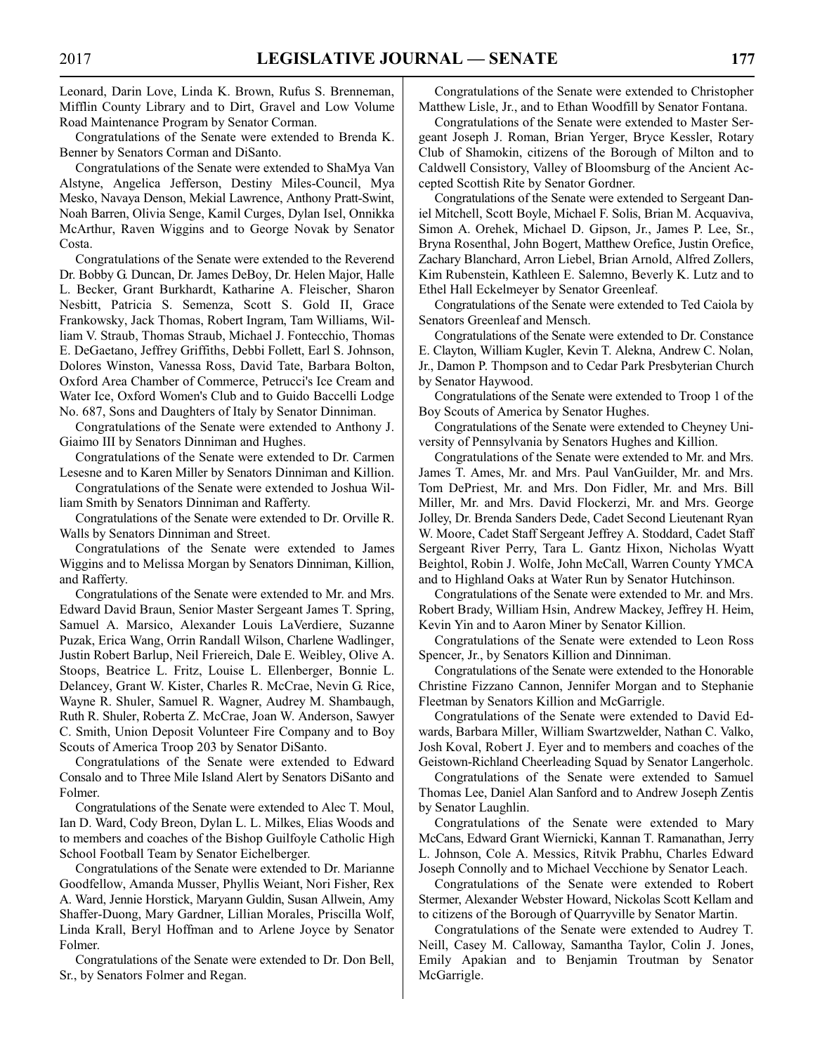Leonard, Darin Love, Linda K. Brown, Rufus S. Brenneman, Mifflin County Library and to Dirt, Gravel and Low Volume Road Maintenance Program by Senator Corman.

Congratulations of the Senate were extended to Brenda K. Benner by Senators Corman and DiSanto.

Congratulations of the Senate were extended to ShaMya Van Alstyne, Angelica Jefferson, Destiny Miles-Council, Mya Mesko, Navaya Denson, Mekial Lawrence, Anthony Pratt-Swint, Noah Barren, Olivia Senge, Kamil Curges, Dylan Isel, Onnikka McArthur, Raven Wiggins and to George Novak by Senator Costa.

Congratulations of the Senate were extended to the Reverend Dr. Bobby G. Duncan, Dr. James DeBoy, Dr. Helen Major, Halle L. Becker, Grant Burkhardt, Katharine A. Fleischer, Sharon Nesbitt, Patricia S. Semenza, Scott S. Gold II, Grace Frankowsky, Jack Thomas, Robert Ingram, Tam Williams, William V. Straub, Thomas Straub, Michael J. Fontecchio, Thomas E. DeGaetano, Jeffrey Griffiths, Debbi Follett, Earl S. Johnson, Dolores Winston, Vanessa Ross, David Tate, Barbara Bolton, Oxford Area Chamber of Commerce, Petrucci's Ice Cream and Water Ice, Oxford Women's Club and to Guido Baccelli Lodge No. 687, Sons and Daughters of Italy by Senator Dinniman.

Congratulations of the Senate were extended to Anthony J. Giaimo III by Senators Dinniman and Hughes.

Congratulations of the Senate were extended to Dr. Carmen Lesesne and to Karen Miller by Senators Dinniman and Killion.

Congratulations of the Senate were extended to Joshua William Smith by Senators Dinniman and Rafferty.

Congratulations of the Senate were extended to Dr. Orville R. Walls by Senators Dinniman and Street.

Congratulations of the Senate were extended to James Wiggins and to Melissa Morgan by Senators Dinniman, Killion, and Rafferty.

Congratulations of the Senate were extended to Mr. and Mrs. Edward David Braun, Senior Master Sergeant James T. Spring, Samuel A. Marsico, Alexander Louis LaVerdiere, Suzanne Puzak, Erica Wang, Orrin Randall Wilson, Charlene Wadlinger, Justin Robert Barlup, Neil Friereich, Dale E. Weibley, Olive A. Stoops, Beatrice L. Fritz, Louise L. Ellenberger, Bonnie L. Delancey, Grant W. Kister, Charles R. McCrae, Nevin G. Rice, Wayne R. Shuler, Samuel R. Wagner, Audrey M. Shambaugh, Ruth R. Shuler, Roberta Z. McCrae, Joan W. Anderson, Sawyer C. Smith, Union Deposit Volunteer Fire Company and to Boy Scouts of America Troop 203 by Senator DiSanto.

Congratulations of the Senate were extended to Edward Consalo and to Three Mile Island Alert by Senators DiSanto and Folmer.

Congratulations of the Senate were extended to Alec T. Moul, Ian D. Ward, Cody Breon, Dylan L. L. Milkes, Elias Woods and to members and coaches of the Bishop Guilfoyle Catholic High School Football Team by Senator Eichelberger.

Congratulations of the Senate were extended to Dr. Marianne Goodfellow, Amanda Musser, Phyllis Weiant, Nori Fisher, Rex A. Ward, Jennie Horstick, Maryann Guldin, Susan Allwein, Amy Shaffer-Duong, Mary Gardner, Lillian Morales, Priscilla Wolf, Linda Krall, Beryl Hoffman and to Arlene Joyce by Senator Folmer.

Congratulations of the Senate were extended to Dr. Don Bell, Sr., by Senators Folmer and Regan.

Congratulations of the Senate were extended to Christopher Matthew Lisle, Jr., and to Ethan Woodfill by Senator Fontana.

Congratulations of the Senate were extended to Master Sergeant Joseph J. Roman, Brian Yerger, Bryce Kessler, Rotary Club of Shamokin, citizens of the Borough of Milton and to Caldwell Consistory, Valley of Bloomsburg of the Ancient Accepted Scottish Rite by Senator Gordner.

Congratulations of the Senate were extended to Sergeant Daniel Mitchell, Scott Boyle, Michael F. Solis, Brian M. Acquaviva, Simon A. Orehek, Michael D. Gipson, Jr., James P. Lee, Sr., Bryna Rosenthal, John Bogert, Matthew Orefice, Justin Orefice, Zachary Blanchard, Arron Liebel, Brian Arnold, Alfred Zollers, Kim Rubenstein, Kathleen E. Salemno, Beverly K. Lutz and to Ethel Hall Eckelmeyer by Senator Greenleaf.

Congratulations of the Senate were extended to Ted Caiola by Senators Greenleaf and Mensch.

Congratulations of the Senate were extended to Dr. Constance E. Clayton, William Kugler, Kevin T. Alekna, Andrew C. Nolan, Jr., Damon P. Thompson and to Cedar Park Presbyterian Church by Senator Haywood.

Congratulations of the Senate were extended to Troop 1 of the Boy Scouts of America by Senator Hughes.

Congratulations of the Senate were extended to Cheyney University of Pennsylvania by Senators Hughes and Killion.

Congratulations of the Senate were extended to Mr. and Mrs. James T. Ames, Mr. and Mrs. Paul VanGuilder, Mr. and Mrs. Tom DePriest, Mr. and Mrs. Don Fidler, Mr. and Mrs. Bill Miller, Mr. and Mrs. David Flockerzi, Mr. and Mrs. George Jolley, Dr. Brenda Sanders Dede, Cadet Second Lieutenant Ryan W. Moore, Cadet Staff Sergeant Jeffrey A. Stoddard, Cadet Staff Sergeant River Perry, Tara L. Gantz Hixon, Nicholas Wyatt Beightol, Robin J. Wolfe, John McCall, Warren County YMCA and to Highland Oaks at Water Run by Senator Hutchinson.

Congratulations of the Senate were extended to Mr. and Mrs. Robert Brady, William Hsin, Andrew Mackey, Jeffrey H. Heim, Kevin Yin and to Aaron Miner by Senator Killion.

Congratulations of the Senate were extended to Leon Ross Spencer, Jr., by Senators Killion and Dinniman.

Congratulations of the Senate were extended to the Honorable Christine Fizzano Cannon, Jennifer Morgan and to Stephanie Fleetman by Senators Killion and McGarrigle.

Congratulations of the Senate were extended to David Edwards, Barbara Miller, William Swartzwelder, Nathan C. Valko, Josh Koval, Robert J. Eyer and to members and coaches of the Geistown-Richland Cheerleading Squad by Senator Langerholc.

Congratulations of the Senate were extended to Samuel Thomas Lee, Daniel Alan Sanford and to Andrew Joseph Zentis by Senator Laughlin.

Congratulations of the Senate were extended to Mary McCans, Edward Grant Wiernicki, Kannan T. Ramanathan, Jerry L. Johnson, Cole A. Messics, Ritvik Prabhu, Charles Edward Joseph Connolly and to Michael Vecchione by Senator Leach.

Congratulations of the Senate were extended to Robert Stermer, Alexander Webster Howard, Nickolas Scott Kellam and to citizens of the Borough of Quarryville by Senator Martin.

Congratulations of the Senate were extended to Audrey T. Neill, Casey M. Calloway, Samantha Taylor, Colin J. Jones, Emily Apakian and to Benjamin Troutman by Senator McGarrigle.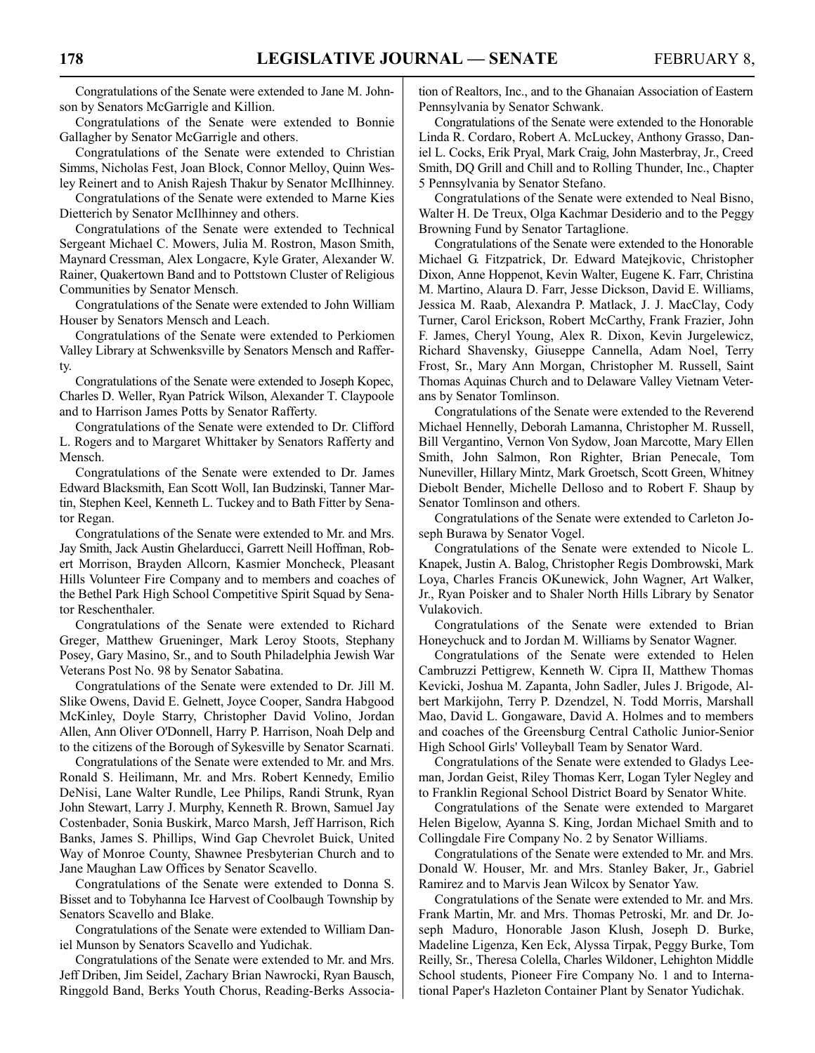Congratulations of the Senate were extended to Jane M. Johnson by Senators McGarrigle and Killion.

Congratulations of the Senate were extended to Bonnie Gallagher by Senator McGarrigle and others.

Congratulations of the Senate were extended to Christian Simms, Nicholas Fest, Joan Block, Connor Melloy, Quinn Wesley Reinert and to Anish Rajesh Thakur by Senator McIlhinney.

Congratulations of the Senate were extended to Marne Kies Dietterich by Senator McIlhinney and others.

Congratulations of the Senate were extended to Technical Sergeant Michael C. Mowers, Julia M. Rostron, Mason Smith, Maynard Cressman, Alex Longacre, Kyle Grater, Alexander W. Rainer, Quakertown Band and to Pottstown Cluster of Religious Communities by Senator Mensch.

Congratulations of the Senate were extended to John William Houser by Senators Mensch and Leach.

Congratulations of the Senate were extended to Perkiomen Valley Library at Schwenksville by Senators Mensch and Rafferty.

Congratulations of the Senate were extended to Joseph Kopec, Charles D. Weller, Ryan Patrick Wilson, Alexander T. Claypoole and to Harrison James Potts by Senator Rafferty.

Congratulations of the Senate were extended to Dr. Clifford L. Rogers and to Margaret Whittaker by Senators Rafferty and Mensch.

Congratulations of the Senate were extended to Dr. James Edward Blacksmith, Ean Scott Woll, Ian Budzinski, Tanner Martin, Stephen Keel, Kenneth L. Tuckey and to Bath Fitter by Senator Regan.

Congratulations of the Senate were extended to Mr. and Mrs. Jay Smith, Jack Austin Ghelarducci, Garrett Neill Hoffman, Robert Morrison, Brayden Allcorn, Kasmier Moncheck, Pleasant Hills Volunteer Fire Company and to members and coaches of the Bethel Park High School Competitive Spirit Squad by Senator Reschenthaler.

Congratulations of the Senate were extended to Richard Greger, Matthew Grueninger, Mark Leroy Stoots, Stephany Posey, Gary Masino, Sr., and to South Philadelphia Jewish War Veterans Post No. 98 by Senator Sabatina.

Congratulations of the Senate were extended to Dr. Jill M. Slike Owens, David E. Gelnett, Joyce Cooper, Sandra Habgood McKinley, Doyle Starry, Christopher David Volino, Jordan Allen, Ann Oliver O'Donnell, Harry P. Harrison, Noah Delp and to the citizens of the Borough of Sykesville by Senator Scarnati.

Congratulations of the Senate were extended to Mr. and Mrs. Ronald S. Heilimann, Mr. and Mrs. Robert Kennedy, Emilio DeNisi, Lane Walter Rundle, Lee Philips, Randi Strunk, Ryan John Stewart, Larry J. Murphy, Kenneth R. Brown, Samuel Jay Costenbader, Sonia Buskirk, Marco Marsh, Jeff Harrison, Rich Banks, James S. Phillips, Wind Gap Chevrolet Buick, United Way of Monroe County, Shawnee Presbyterian Church and to Jane Maughan Law Offices by Senator Scavello.

Congratulations of the Senate were extended to Donna S. Bisset and to Tobyhanna Ice Harvest of Coolbaugh Township by Senators Scavello and Blake.

Congratulations of the Senate were extended to William Daniel Munson by Senators Scavello and Yudichak.

Congratulations of the Senate were extended to Mr. and Mrs. Jeff Driben, Jim Seidel, Zachary Brian Nawrocki, Ryan Bausch, Ringgold Band, Berks Youth Chorus, Reading-Berks Association of Realtors, Inc., and to the Ghanaian Association of Eastern Pennsylvania by Senator Schwank.

Congratulations of the Senate were extended to the Honorable Linda R. Cordaro, Robert A. McLuckey, Anthony Grasso, Daniel L. Cocks, Erik Pryal, Mark Craig, John Masterbray, Jr., Creed Smith, DQ Grill and Chill and to Rolling Thunder, Inc., Chapter 5 Pennsylvania by Senator Stefano.

Congratulations of the Senate were extended to Neal Bisno, Walter H. De Treux, Olga Kachmar Desiderio and to the Peggy Browning Fund by Senator Tartaglione.

Congratulations of the Senate were extended to the Honorable Michael G. Fitzpatrick, Dr. Edward Matejkovic, Christopher Dixon, Anne Hoppenot, Kevin Walter, Eugene K. Farr, Christina M. Martino, Alaura D. Farr, Jesse Dickson, David E. Williams, Jessica M. Raab, Alexandra P. Matlack, J. J. MacClay, Cody Turner, Carol Erickson, Robert McCarthy, Frank Frazier, John F. James, Cheryl Young, Alex R. Dixon, Kevin Jurgelewicz, Richard Shavensky, Giuseppe Cannella, Adam Noel, Terry Frost, Sr., Mary Ann Morgan, Christopher M. Russell, Saint Thomas Aquinas Church and to Delaware Valley Vietnam Veterans by Senator Tomlinson.

Congratulations of the Senate were extended to the Reverend Michael Hennelly, Deborah Lamanna, Christopher M. Russell, Bill Vergantino, Vernon Von Sydow, Joan Marcotte, Mary Ellen Smith, John Salmon, Ron Righter, Brian Penecale, Tom Nuneviller, Hillary Mintz, Mark Groetsch, Scott Green, Whitney Diebolt Bender, Michelle Delloso and to Robert F. Shaup by Senator Tomlinson and others.

Congratulations of the Senate were extended to Carleton Joseph Burawa by Senator Vogel.

Congratulations of the Senate were extended to Nicole L. Knapek, Justin A. Balog, Christopher Regis Dombrowski, Mark Loya, Charles Francis OKunewick, John Wagner, Art Walker, Jr., Ryan Poisker and to Shaler North Hills Library by Senator Vulakovich.

Congratulations of the Senate were extended to Brian Honeychuck and to Jordan M. Williams by Senator Wagner.

Congratulations of the Senate were extended to Helen Cambruzzi Pettigrew, Kenneth W. Cipra II, Matthew Thomas Kevicki, Joshua M. Zapanta, John Sadler, Jules J. Brigode, Albert Markijohn, Terry P. Dzendzel, N. Todd Morris, Marshall Mao, David L. Gongaware, David A. Holmes and to members and coaches of the Greensburg Central Catholic Junior-Senior High School Girls' Volleyball Team by Senator Ward.

Congratulations of the Senate were extended to Gladys Leeman, Jordan Geist, Riley Thomas Kerr, Logan Tyler Negley and to Franklin Regional School District Board by Senator White.

Congratulations of the Senate were extended to Margaret Helen Bigelow, Ayanna S. King, Jordan Michael Smith and to Collingdale Fire Company No. 2 by Senator Williams.

Congratulations of the Senate were extended to Mr. and Mrs. Donald W. Houser, Mr. and Mrs. Stanley Baker, Jr., Gabriel Ramirez and to Marvis Jean Wilcox by Senator Yaw.

Congratulations of the Senate were extended to Mr. and Mrs. Frank Martin, Mr. and Mrs. Thomas Petroski, Mr. and Dr. Joseph Maduro, Honorable Jason Klush, Joseph D. Burke, Madeline Ligenza, Ken Eck, Alyssa Tirpak, Peggy Burke, Tom Reilly, Sr., Theresa Colella, Charles Wildoner, Lehighton Middle School students, Pioneer Fire Company No. 1 and to International Paper's Hazleton Container Plant by Senator Yudichak.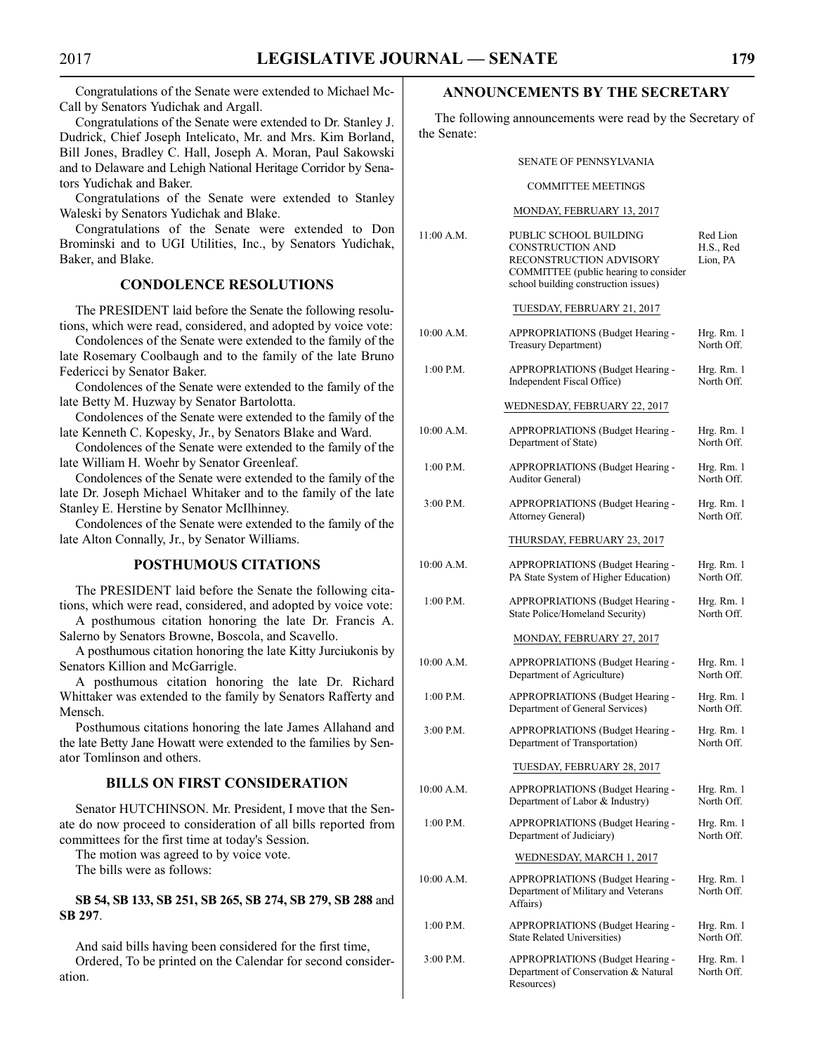Congratulations of the Senate were extended to Michael Mc-Call by Senators Yudichak and Argall.

Congratulations of the Senate were extended to Dr. Stanley J. Dudrick, Chief Joseph Intelicato, Mr. and Mrs. Kim Borland, Bill Jones, Bradley C. Hall, Joseph A. Moran, Paul Sakowski and to Delaware and Lehigh National Heritage Corridor by Senators Yudichak and Baker.

Congratulations of the Senate were extended to Stanley Waleski by Senators Yudichak and Blake.

Congratulations of the Senate were extended to Don Brominski and to UGI Utilities, Inc., by Senators Yudichak, Baker, and Blake.

### **CONDOLENCE RESOLUTIONS**

The PRESIDENT laid before the Senate the following resolutions, which were read, considered, and adopted by voice vote:

Condolences of the Senate were extended to the family of the late Rosemary Coolbaugh and to the family of the late Bruno Federicci by Senator Baker.

Condolences of the Senate were extended to the family of the late Betty M. Huzway by Senator Bartolotta.

Condolences of the Senate were extended to the family of the late Kenneth C. Kopesky, Jr., by Senators Blake and Ward.

Condolences of the Senate were extended to the family of the late William H. Woehr by Senator Greenleaf.

Condolences of the Senate were extended to the family of the late Dr. Joseph Michael Whitaker and to the family of the late Stanley E. Herstine by Senator McIlhinney.

Condolences of the Senate were extended to the family of the late Alton Connally, Jr., by Senator Williams.

#### **POSTHUMOUS CITATIONS**

The PRESIDENT laid before the Senate the following citations, which were read, considered, and adopted by voice vote:

A posthumous citation honoring the late Dr. Francis A. Salerno by Senators Browne, Boscola, and Scavello.

A posthumous citation honoring the late Kitty Jurciukonis by Senators Killion and McGarrigle.

A posthumous citation honoring the late Dr. Richard Whittaker was extended to the family by Senators Rafferty and Mensch.

Posthumous citations honoring the late James Allahand and the late Betty Jane Howatt were extended to the families by Senator Tomlinson and others.

#### **BILLS ON FIRST CONSIDERATION**

Senator HUTCHINSON. Mr. President, I move that the Senate do now proceed to consideration of all bills reported from committees for the first time at today's Session.

The motion was agreed to by voice vote.

The bills were as follows:

#### **SB 54, SB 133, SB 251, SB 265, SB 274, SB 279, SB 288** and **SB 297**.

And said bills having been considered for the first time, Ordered, To be printed on the Calendar for second consideration.

#### **ANNOUNCEMENTS BY THE SECRETARY**

The following announcements were read by the Secretary of the Senate:

#### SENATE OF PENNSYLVANIA

#### COMMITTEE MEETINGS

#### MONDAY, FEBRUARY 13, 2017

| 11:00 A.M.  | PUBLIC SCHOOL BUILDING<br><b>CONSTRUCTION AND</b><br>RECONSTRUCTION ADVISORY<br>COMMITTEE (public hearing to consider<br>school building construction issues) | Red Lion<br>H.S., Red<br>Lion, PA |
|-------------|---------------------------------------------------------------------------------------------------------------------------------------------------------------|-----------------------------------|
|             | TUESDAY, FEBRUARY 21, 2017                                                                                                                                    |                                   |
| 10:00 A.M.  | APPROPRIATIONS (Budget Hearing -<br>Treasury Department)                                                                                                      | Hrg. Rm. 1<br>North Off.          |
| 1:00 P.M.   | APPROPRIATIONS (Budget Hearing -<br>Independent Fiscal Office)                                                                                                | Hrg. Rm. 1<br>North Off.          |
|             | WEDNESDAY, FEBRUARY 22, 2017                                                                                                                                  |                                   |
| 10:00 A.M.  | APPROPRIATIONS (Budget Hearing -<br>Department of State)                                                                                                      | Hrg. Rm. 1<br>North Off.          |
| 1:00 P.M.   | APPROPRIATIONS (Budget Hearing -<br><b>Auditor General</b> )                                                                                                  | Hrg. Rm. 1<br>North Off.          |
| $3:00$ P.M. | APPROPRIATIONS (Budget Hearing -<br><b>Attorney General)</b>                                                                                                  | Hrg. Rm. 1<br>North Off.          |
|             | THURSDAY, FEBRUARY 23, 2017                                                                                                                                   |                                   |
| 10:00 A.M.  | APPROPRIATIONS (Budget Hearing -<br>PA State System of Higher Education)                                                                                      | Hrg. Rm. 1<br>North Off.          |
| $1:00$ P.M. | APPROPRIATIONS (Budget Hearing -<br>State Police/Homeland Security)                                                                                           | Hrg. Rm. 1<br>North Off.          |
|             | MONDAY, FEBRUARY 27, 2017                                                                                                                                     |                                   |
| 10:00 A.M.  | APPROPRIATIONS (Budget Hearing -<br>Department of Agriculture)                                                                                                | Hrg. Rm. 1<br>North Off.          |
| 1:00 P.M.   | APPROPRIATIONS (Budget Hearing -<br>Department of General Services)                                                                                           | Hrg. Rm. 1<br>North Off.          |
| $3:00$ P.M. | APPROPRIATIONS (Budget Hearing -<br>Department of Transportation)                                                                                             | Hrg. Rm. 1<br>North Off.          |
|             | TUESDAY, FEBRUARY 28, 2017                                                                                                                                    |                                   |
| 10:00 A.M.  | APPROPRIATIONS (Budget Hearing -<br>Department of Labor & Industry)                                                                                           | Hrg. Rm. 1<br>North Off.          |
| 1:00 P.M.   | APPROPRIATIONS (Budget Hearing -<br>Department of Judiciary)                                                                                                  | Hrg. Rm. 1<br>North Off.          |
|             | WEDNESDAY, MARCH 1, 2017                                                                                                                                      |                                   |
| 10:00 A.M.  | APPROPRIATIONS (Budget Hearing -<br>Department of Military and Veterans<br>Affairs)                                                                           | Hrg. Rm. 1<br>North Off.          |
| 1:00 P.M.   | APPROPRIATIONS (Budget Hearing -<br><b>State Related Universities)</b>                                                                                        | Hrg. Rm. 1<br>North Off.          |
| $3:00$ P.M. | APPROPRIATIONS (Budget Hearing -<br>Department of Conservation & Natural<br>Resources)                                                                        | Hrg. Rm. 1<br>North Off.          |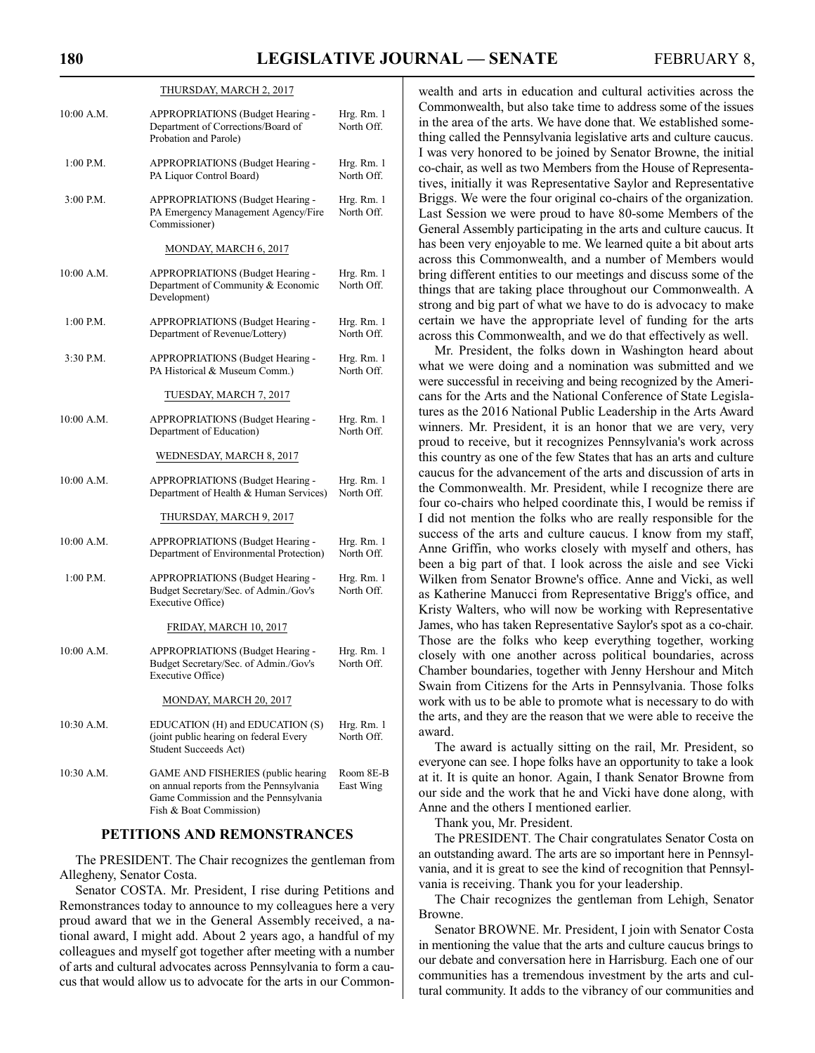$\mathbf{H}$ 

|             | <b>IHURSDAY, MARCH 2, 2017</b>                                                                                                                   |                          |
|-------------|--------------------------------------------------------------------------------------------------------------------------------------------------|--------------------------|
| 10:00 A.M.  | APPROPRIATIONS (Budget Hearing -<br>Department of Corrections/Board of<br>Probation and Parole)                                                  | Hrg. Rm. 1<br>North Off. |
| $1:00$ P.M. | APPROPRIATIONS (Budget Hearing -<br>PA Liquor Control Board)                                                                                     | Hrg. Rm. 1<br>North Off. |
| $3:00$ P.M. | APPROPRIATIONS (Budget Hearing -<br>PA Emergency Management Agency/Fire<br>Commissioner)                                                         | Hrg. Rm. 1<br>North Off. |
|             | MONDAY, MARCH 6, 2017                                                                                                                            |                          |
| 10:00 A.M.  | APPROPRIATIONS (Budget Hearing -<br>Department of Community & Economic<br>Development)                                                           | Hrg. Rm. 1<br>North Off. |
| 1:00 P.M.   | APPROPRIATIONS (Budget Hearing -<br>Department of Revenue/Lottery)                                                                               | Hrg. Rm. 1<br>North Off. |
| 3:30 P.M.   | APPROPRIATIONS (Budget Hearing -<br>PA Historical & Museum Comm.)                                                                                | Hrg. Rm. 1<br>North Off. |
|             | <u>TUESDAY, MARCH 7, 2017</u>                                                                                                                    |                          |
| 10:00 A.M.  | APPROPRIATIONS (Budget Hearing -<br>Department of Education)                                                                                     | Hrg. Rm. 1<br>North Off. |
|             | WEDNESDAY, MARCH 8, 2017                                                                                                                         |                          |
| 10:00 A.M.  | APPROPRIATIONS (Budget Hearing -<br>Department of Health & Human Services)                                                                       | Hrg. Rm. 1<br>North Off. |
|             | THURSDAY, MARCH 9, 2017                                                                                                                          |                          |
| 10:00 A.M.  | APPROPRIATIONS (Budget Hearing -<br>Department of Environmental Protection)                                                                      | Hrg. Rm. 1<br>North Off. |
| 1:00 P.M.   | APPROPRIATIONS (Budget Hearing -<br>Budget Secretary/Sec. of Admin./Gov's<br>Executive Office)                                                   | Hrg. Rm. 1<br>North Off. |
|             | FRIDAY, MARCH 10, 2017                                                                                                                           |                          |
| 10:00 A.M.  | APPROPRIATIONS (Budget Hearing -<br>Budget Secretary/Sec. of Admin./Gov's<br>Executive Office)                                                   | Hrg. Rm. 1<br>North Off. |
|             | MONDAY, MARCH 20, 2017                                                                                                                           |                          |
| 10:30 A.M.  | EDUCATION (H) and EDUCATION (S)<br>(joint public hearing on federal Every<br>Student Succeeds Act)                                               | Hrg. Rm. 1<br>North Off. |
| 10:30 A.M.  | GAME AND FISHERIES (public hearing<br>on annual reports from the Pennsylvania<br>Game Commission and the Pennsylvania<br>Fish & Boat Commission) | Room 8E-B<br>East Wing   |

#### **PETITIONS AND REMONSTRANCES**

The PRESIDENT. The Chair recognizes the gentleman from Allegheny, Senator Costa.

Senator COSTA. Mr. President, I rise during Petitions and Remonstrances today to announce to my colleagues here a very proud award that we in the General Assembly received, a national award, I might add. About 2 years ago, a handful of my colleagues and myself got together after meeting with a number of arts and cultural advocates across Pennsylvania to form a caucus that would allow us to advocate for the arts in our Commonwealth and arts in education and cultural activities across the Commonwealth, but also take time to address some of the issues in the area of the arts. We have done that. We established something called the Pennsylvania legislative arts and culture caucus. I was very honored to be joined by Senator Browne, the initial co-chair, as well as two Members from the House of Representatives, initially it was Representative Saylor and Representative Briggs. We were the four original co-chairs of the organization. Last Session we were proud to have 80-some Members of the General Assembly participating in the arts and culture caucus. It has been very enjoyable to me. We learned quite a bit about arts across this Commonwealth, and a number of Members would bring different entities to our meetings and discuss some of the things that are taking place throughout our Commonwealth. A strong and big part of what we have to do is advocacy to make certain we have the appropriate level of funding for the arts across this Commonwealth, and we do that effectively as well.

Mr. President, the folks down in Washington heard about what we were doing and a nomination was submitted and we were successful in receiving and being recognized by the Americans for the Arts and the National Conference of State Legislatures as the 2016 National Public Leadership in the Arts Award winners. Mr. President, it is an honor that we are very, very proud to receive, but it recognizes Pennsylvania's work across this country as one of the few States that has an arts and culture caucus for the advancement of the arts and discussion of arts in the Commonwealth. Mr. President, while I recognize there are four co-chairs who helped coordinate this, I would be remiss if I did not mention the folks who are really responsible for the success of the arts and culture caucus. I know from my staff, Anne Griffin, who works closely with myself and others, has been a big part of that. I look across the aisle and see Vicki Wilken from Senator Browne's office. Anne and Vicki, as well as Katherine Manucci from Representative Brigg's office, and Kristy Walters, who will now be working with Representative James, who has taken Representative Saylor's spot as a co-chair. Those are the folks who keep everything together, working closely with one another across political boundaries, across Chamber boundaries, together with Jenny Hershour and Mitch Swain from Citizens for the Arts in Pennsylvania. Those folks work with us to be able to promote what is necessary to do with the arts, and they are the reason that we were able to receive the award.

The award is actually sitting on the rail, Mr. President, so everyone can see. I hope folks have an opportunity to take a look at it. It is quite an honor. Again, I thank Senator Browne from our side and the work that he and Vicki have done along, with Anne and the others I mentioned earlier.

Thank you, Mr. President.

The PRESIDENT. The Chair congratulates Senator Costa on an outstanding award. The arts are so important here in Pennsylvania, and it is great to see the kind of recognition that Pennsylvania is receiving. Thank you for your leadership.

The Chair recognizes the gentleman from Lehigh, Senator Browne.

Senator BROWNE. Mr. President, I join with Senator Costa in mentioning the value that the arts and culture caucus brings to our debate and conversation here in Harrisburg. Each one of our communities has a tremendous investment by the arts and cultural community. It adds to the vibrancy of our communities and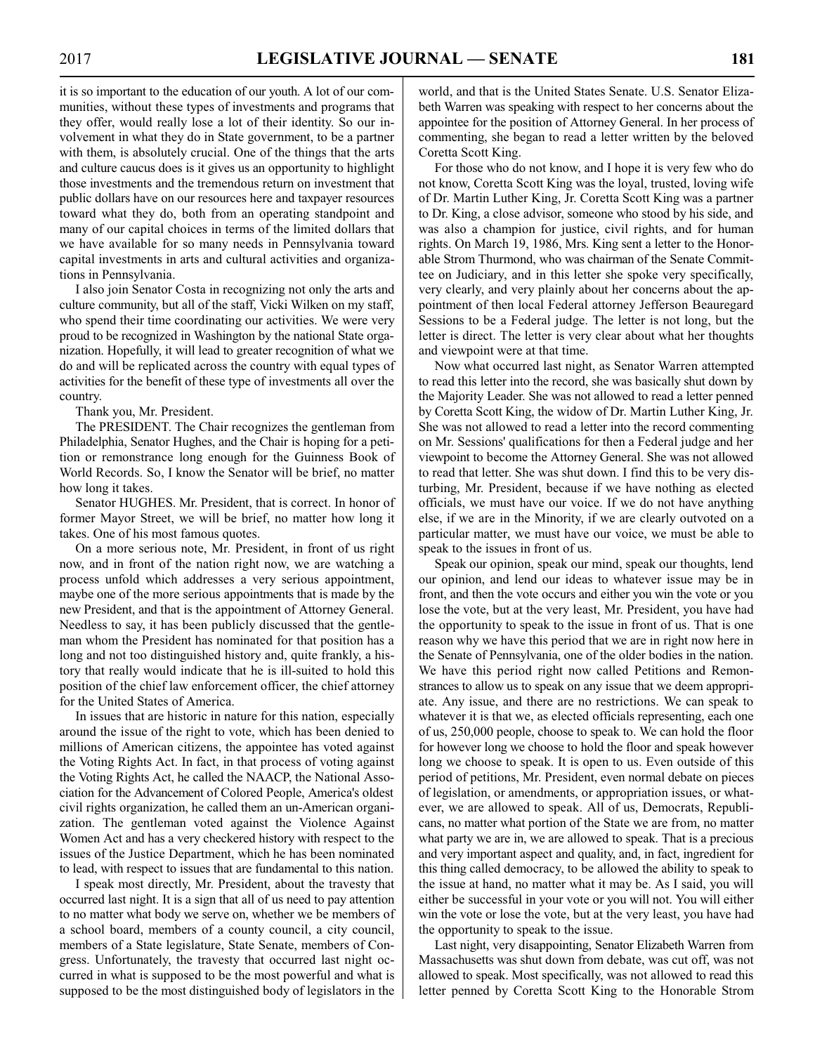it is so important to the education of our youth. A lot of our communities, without these types of investments and programs that they offer, would really lose a lot of their identity. So our involvement in what they do in State government, to be a partner with them, is absolutely crucial. One of the things that the arts and culture caucus does is it gives us an opportunity to highlight those investments and the tremendous return on investment that public dollars have on our resources here and taxpayer resources toward what they do, both from an operating standpoint and many of our capital choices in terms of the limited dollars that we have available for so many needs in Pennsylvania toward capital investments in arts and cultural activities and organizations in Pennsylvania.

I also join Senator Costa in recognizing not only the arts and culture community, but all of the staff, Vicki Wilken on my staff, who spend their time coordinating our activities. We were very proud to be recognized in Washington by the national State organization. Hopefully, it will lead to greater recognition of what we do and will be replicated across the country with equal types of activities for the benefit of these type of investments all over the country.

Thank you, Mr. President.

The PRESIDENT. The Chair recognizes the gentleman from Philadelphia, Senator Hughes, and the Chair is hoping for a petition or remonstrance long enough for the Guinness Book of World Records. So, I know the Senator will be brief, no matter how long it takes.

Senator HUGHES. Mr. President, that is correct. In honor of former Mayor Street, we will be brief, no matter how long it takes. One of his most famous quotes.

On a more serious note, Mr. President, in front of us right now, and in front of the nation right now, we are watching a process unfold which addresses a very serious appointment, maybe one of the more serious appointments that is made by the new President, and that is the appointment of Attorney General. Needless to say, it has been publicly discussed that the gentleman whom the President has nominated for that position has a long and not too distinguished history and, quite frankly, a history that really would indicate that he is ill-suited to hold this position of the chief law enforcement officer, the chief attorney for the United States of America.

In issues that are historic in nature for this nation, especially around the issue of the right to vote, which has been denied to millions of American citizens, the appointee has voted against the Voting Rights Act. In fact, in that process of voting against the Voting Rights Act, he called the NAACP, the National Association for the Advancement of Colored People, America's oldest civil rights organization, he called them an un-American organization. The gentleman voted against the Violence Against Women Act and has a very checkered history with respect to the issues of the Justice Department, which he has been nominated to lead, with respect to issues that are fundamental to this nation.

I speak most directly, Mr. President, about the travesty that occurred last night. It is a sign that all of us need to pay attention to no matter what body we serve on, whether we be members of a school board, members of a county council, a city council, members of a State legislature, State Senate, members of Congress. Unfortunately, the travesty that occurred last night occurred in what is supposed to be the most powerful and what is supposed to be the most distinguished body of legislators in the world, and that is the United States Senate. U.S. Senator Elizabeth Warren was speaking with respect to her concerns about the appointee for the position of Attorney General. In her process of commenting, she began to read a letter written by the beloved Coretta Scott King.

For those who do not know, and I hope it is very few who do not know, Coretta Scott King was the loyal, trusted, loving wife of Dr. Martin Luther King, Jr. Coretta Scott King was a partner to Dr. King, a close advisor, someone who stood by his side, and was also a champion for justice, civil rights, and for human rights. On March 19, 1986, Mrs. King sent a letter to the Honorable Strom Thurmond, who was chairman of the Senate Committee on Judiciary, and in this letter she spoke very specifically, very clearly, and very plainly about her concerns about the appointment of then local Federal attorney Jefferson Beauregard Sessions to be a Federal judge. The letter is not long, but the letter is direct. The letter is very clear about what her thoughts and viewpoint were at that time.

Now what occurred last night, as Senator Warren attempted to read this letter into the record, she was basically shut down by the Majority Leader. She was not allowed to read a letter penned by Coretta Scott King, the widow of Dr. Martin Luther King, Jr. She was not allowed to read a letter into the record commenting on Mr. Sessions' qualifications for then a Federal judge and her viewpoint to become the Attorney General. She was not allowed to read that letter. She was shut down. I find this to be very disturbing, Mr. President, because if we have nothing as elected officials, we must have our voice. If we do not have anything else, if we are in the Minority, if we are clearly outvoted on a particular matter, we must have our voice, we must be able to speak to the issues in front of us.

Speak our opinion, speak our mind, speak our thoughts, lend our opinion, and lend our ideas to whatever issue may be in front, and then the vote occurs and either you win the vote or you lose the vote, but at the very least, Mr. President, you have had the opportunity to speak to the issue in front of us. That is one reason why we have this period that we are in right now here in the Senate of Pennsylvania, one of the older bodies in the nation. We have this period right now called Petitions and Remonstrances to allow us to speak on any issue that we deem appropriate. Any issue, and there are no restrictions. We can speak to whatever it is that we, as elected officials representing, each one of us, 250,000 people, choose to speak to. We can hold the floor for however long we choose to hold the floor and speak however long we choose to speak. It is open to us. Even outside of this period of petitions, Mr. President, even normal debate on pieces of legislation, or amendments, or appropriation issues, or whatever, we are allowed to speak. All of us, Democrats, Republicans, no matter what portion of the State we are from, no matter what party we are in, we are allowed to speak. That is a precious and very important aspect and quality, and, in fact, ingredient for this thing called democracy, to be allowed the ability to speak to the issue at hand, no matter what it may be. As I said, you will either be successful in your vote or you will not. You will either win the vote or lose the vote, but at the very least, you have had the opportunity to speak to the issue.

Last night, very disappointing, Senator Elizabeth Warren from Massachusetts was shut down from debate, was cut off, was not allowed to speak. Most specifically, was not allowed to read this letter penned by Coretta Scott King to the Honorable Strom